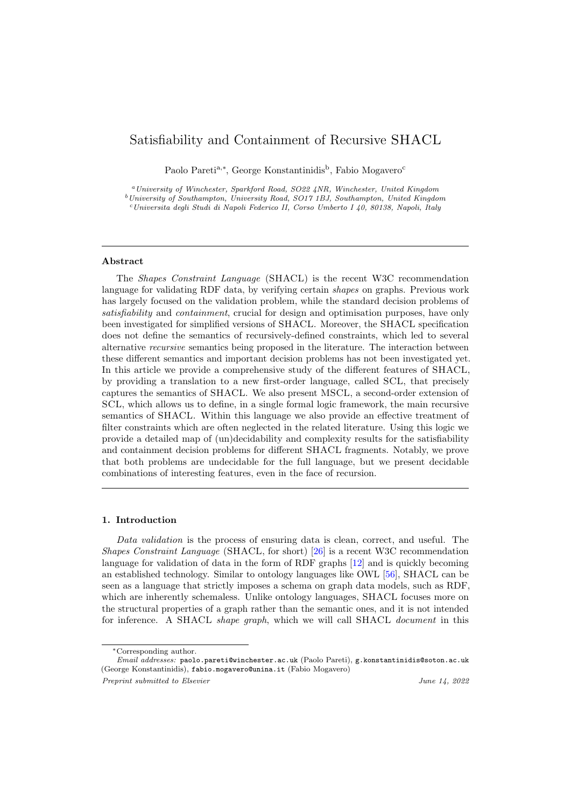# Satisfiability and Containment of Recursive SHACL

Paolo Pareti<sup>a,∗</sup>, George Konstantinidis<sup>b</sup>, Fabio Mogavero<sup>c</sup>

<sup>a</sup>University of Winchester, Sparkford Road, SO22 4NR, Winchester, United Kingdom  $^{b}$ University of Southampton, University Road, SO17 1BJ, Southampton, United Kingdom

 $c$ Universita degli Studi di Napoli Federico II, Corso Umberto I 40, 80138, Napoli, Italy

# Abstract

The Shapes Constraint Language (SHACL) is the recent W3C recommendation language for validating RDF data, by verifying certain shapes on graphs. Previous work has largely focused on the validation problem, while the standard decision problems of satisfiability and *containment*, crucial for design and optimisation purposes, have only been investigated for simplified versions of SHACL. Moreover, the SHACL specification does not define the semantics of recursively-defined constraints, which led to several alternative recursive semantics being proposed in the literature. The interaction between these different semantics and important decision problems has not been investigated yet. In this article we provide a comprehensive study of the different features of SHACL, by providing a translation to a new first-order language, called SCL, that precisely captures the semantics of SHACL. We also present MSCL, a second-order extension of SCL, which allows us to define, in a single formal logic framework, the main recursive semantics of SHACL. Within this language we also provide an effective treatment of filter constraints which are often neglected in the related literature. Using this logic we provide a detailed map of (un)decidability and complexity results for the satisfiability and containment decision problems for different SHACL fragments. Notably, we prove that both problems are undecidable for the full language, but we present decidable combinations of interesting features, even in the face of recursion.

# 1. Introduction

Data validation is the process of ensuring data is clean, correct, and useful. The Shapes Constraint Language (SHACL, for short) [\[26\]](#page-49-0) is a recent W3C recommendation language for validation of data in the form of RDF graphs [\[12\]](#page-49-1) and is quickly becoming an established technology. Similar to ontology languages like OWL [\[56\]](#page-50-0), SHACL can be seen as a language that strictly imposes a schema on graph data models, such as RDF, which are inherently schemaless. Unlike ontology languages, SHACL focuses more on the structural properties of a graph rather than the semantic ones, and it is not intended for inference. A SHACL shape graph, which we will call SHACL document in this

<sup>∗</sup>Corresponding author.

Email addresses: paolo.pareti@winchester.ac.uk (Paolo Pareti), g.konstantinidis@soton.ac.uk (George Konstantinidis), fabio.mogavero@unina.it (Fabio Mogavero) Preprint submitted to Elsevier  $\blacksquare$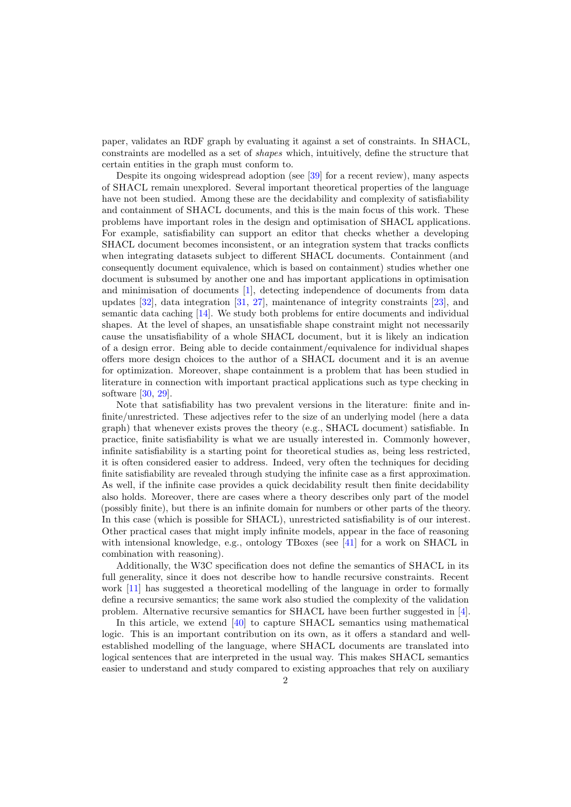paper, validates an RDF graph by evaluating it against a set of constraints. In SHACL, constraints are modelled as a set of shapes which, intuitively, define the structure that certain entities in the graph must conform to.

Despite its ongoing widespread adoption (see [\[39\]](#page-50-1) for a recent review), many aspects of SHACL remain unexplored. Several important theoretical properties of the language have not been studied. Among these are the decidability and complexity of satisfiability and containment of SHACL documents, and this is the main focus of this work. These problems have important roles in the design and optimisation of SHACL applications. For example, satisfiability can support an editor that checks whether a developing SHACL document becomes inconsistent, or an integration system that tracks conflicts when integrating datasets subject to different SHACL documents. Containment (and consequently document equivalence, which is based on containment) studies whether one document is subsumed by another one and has important applications in optimisation and minimisation of documents [\[1\]](#page-49-2), detecting independence of documents from data updates [\[32\]](#page-50-2), data integration [\[31,](#page-50-3) [27\]](#page-49-3), maintenance of integrity constraints [\[23\]](#page-49-4), and semantic data caching [\[14\]](#page-49-5). We study both problems for entire documents and individual shapes. At the level of shapes, an unsatisfiable shape constraint might not necessarily cause the unsatisfiability of a whole SHACL document, but it is likely an indication of a design error. Being able to decide containment/equivalence for individual shapes offers more design choices to the author of a SHACL document and it is an avenue for optimization. Moreover, shape containment is a problem that has been studied in literature in connection with important practical applications such as type checking in software [\[30,](#page-50-4) [29\]](#page-49-6).

Note that satisfiability has two prevalent versions in the literature: finite and infinite/unrestricted. These adjectives refer to the size of an underlying model (here a data graph) that whenever exists proves the theory (e.g., SHACL document) satisfiable. In practice, finite satisfiability is what we are usually interested in. Commonly however, infinite satisfiability is a starting point for theoretical studies as, being less restricted, it is often considered easier to address. Indeed, very often the techniques for deciding finite satisfiability are revealed through studying the infinite case as a first approximation. As well, if the infinite case provides a quick decidability result then finite decidability also holds. Moreover, there are cases where a theory describes only part of the model (possibly finite), but there is an infinite domain for numbers or other parts of the theory. In this case (which is possible for SHACL), unrestricted satisfiability is of our interest. Other practical cases that might imply infinite models, appear in the face of reasoning with intensional knowledge, e.g., ontology TBoxes (see [\[41\]](#page-50-5) for a work on SHACL in combination with reasoning).

Additionally, the W3C specification does not define the semantics of SHACL in its full generality, since it does not describe how to handle recursive constraints. Recent work [\[11\]](#page-49-7) has suggested a theoretical modelling of the language in order to formally define a recursive semantics; the same work also studied the complexity of the validation problem. Alternative recursive semantics for SHACL have been further suggested in [\[4\]](#page-49-8).

In this article, we extend [\[40\]](#page-50-6) to capture SHACL semantics using mathematical logic. This is an important contribution on its own, as it offers a standard and wellestablished modelling of the language, where SHACL documents are translated into logical sentences that are interpreted in the usual way. This makes SHACL semantics easier to understand and study compared to existing approaches that rely on auxiliary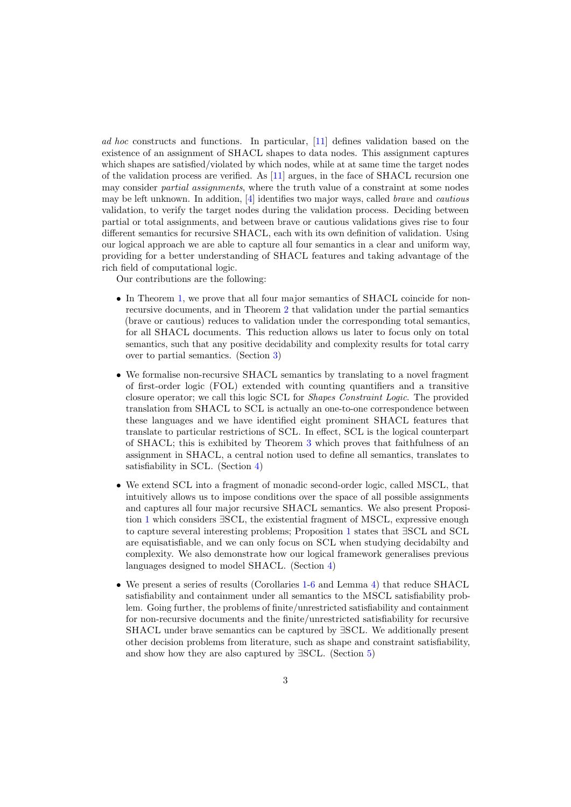ad hoc constructs and functions. In particular, [\[11\]](#page-49-7) defines validation based on the existence of an assignment of SHACL shapes to data nodes. This assignment captures which shapes are satisfied/violated by which nodes, while at at same time the target nodes of the validation process are verified. As [\[11\]](#page-49-7) argues, in the face of SHACL recursion one may consider partial assignments, where the truth value of a constraint at some nodes may be left unknown. In addition, [\[4\]](#page-49-8) identifies two major ways, called brave and cautious validation, to verify the target nodes during the validation process. Deciding between partial or total assignments, and between brave or cautious validations gives rise to four different semantics for recursive SHACL, each with its own definition of validation. Using our logical approach we are able to capture all four semantics in a clear and uniform way, providing for a better understanding of SHACL features and taking advantage of the rich field of computational logic.

Our contributions are the following:

- In Theorem [1,](#page-11-0) we prove that all four major semantics of SHACL coincide for nonrecursive documents, and in Theorem [2](#page-13-0) that validation under the partial semantics (brave or cautious) reduces to validation under the corresponding total semantics, for all SHACL documents. This reduction allows us later to focus only on total semantics, such that any positive decidability and complexity results for total carry over to partial semantics. (Section [3\)](#page-3-0)
- We formalise non-recursive SHACL semantics by translating to a novel fragment of first-order logic (FOL) extended with counting quantifiers and a transitive closure operator; we call this logic SCL for Shapes Constraint Logic. The provided translation from SHACL to SCL is actually an one-to-one correspondence between these languages and we have identified eight prominent SHACL features that translate to particular restrictions of SCL. In effect, SCL is the logical counterpart of SHACL; this is exhibited by Theorem [3](#page-17-0) which proves that faithfulness of an assignment in SHACL, a central notion used to define all semantics, translates to satisfiability in SCL. (Section [4\)](#page-14-0)
- We extend SCL into a fragment of monadic second-order logic, called MSCL, that intuitively allows us to impose conditions over the space of all possible assignments and captures all four major recursive SHACL semantics. We also present Proposition [1](#page-19-0) which considers ∃SCL, the existential fragment of MSCL, expressive enough to capture several interesting problems; Proposition [1](#page-19-0) states that ∃SCL and SCL are equisatisfiable, and we can only focus on SCL when studying decidabilty and complexity. We also demonstrate how our logical framework generalises previous languages designed to model SHACL. (Section [4\)](#page-14-0)
- We present a series of results (Corollaries [1-](#page-20-0)[6](#page-20-1) and Lemma [4\)](#page-20-2) that reduce SHACL satisfiability and containment under all semantics to the MSCL satisfiability problem. Going further, the problems of finite/unrestricted satisfiability and containment for non-recursive documents and the finite/unrestricted satisfiability for recursive SHACL under brave semantics can be captured by ∃SCL. We additionally present other decision problems from literature, such as shape and constraint satisfiability, and show how they are also captured by ∃SCL. (Section [5\)](#page-19-1)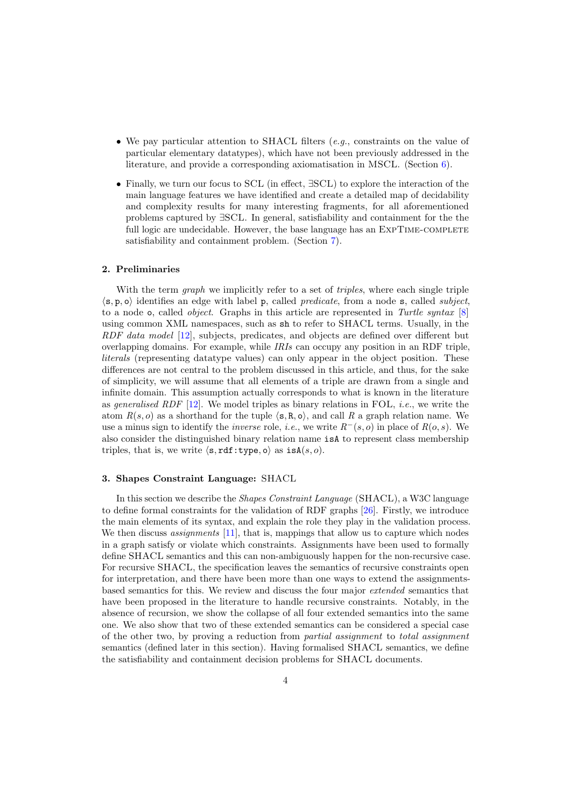- We pay particular attention to SHACL filters  $(e, q)$ , constraints on the value of particular elementary datatypes), which have not been previously addressed in the literature, and provide a corresponding axiomatisation in MSCL. (Section [6\)](#page-23-0).
- Finally, we turn our focus to SCL (in effect, ∃SCL) to explore the interaction of the main language features we have identified and create a detailed map of decidability and complexity results for many interesting fragments, for all aforementioned problems captured by ∃SCL. In general, satisfiability and containment for the the full logic are undecidable. However, the base language has an EXPTIME-COMPLETE satisfiability and containment problem. (Section [7\)](#page-31-0).

# 2. Preliminaries

With the term *graph* we implicitly refer to a set of *triples*, where each single triple  $\langle$ s, p, o) identifies an edge with label p, called *predicate*, from a node s, called *subject*, to a node  $\circ$ , called *object*. Graphs in this article are represented in Turtle syntax [\[8\]](#page-49-9) using common XML namespaces, such as sh to refer to SHACL terms. Usually, in the RDF data model [\[12\]](#page-49-1), subjects, predicates, and objects are defined over different but overlapping domains. For example, while IRIs can occupy any position in an RDF triple, literals (representing datatype values) can only appear in the object position. These differences are not central to the problem discussed in this article, and thus, for the sake of simplicity, we will assume that all elements of a triple are drawn from a single and infinite domain. This assumption actually corresponds to what is known in the literature as generalised RDF  $[12]$ . We model triples as binary relations in FOL, *i.e.*, we write the atom  $R(s, o)$  as a shorthand for the tuple  $\langle s, R, o \rangle$ , and call R a graph relation name. We use a minus sign to identify the *inverse* role, *i.e.*, we write  $R^{-}(s, o)$  in place of  $R(o, s)$ . We also consider the distinguished binary relation name isA to represent class membership triples, that is, we write  $\langle s, rdf:type, o \rangle$  as  $isA(s, o)$ .

### <span id="page-3-0"></span>3. Shapes Constraint Language: SHACL

In this section we describe the Shapes Constraint Language (SHACL), a W3C language to define formal constraints for the validation of RDF graphs [\[26\]](#page-49-0). Firstly, we introduce the main elements of its syntax, and explain the role they play in the validation process. We then discuss *assignments* [\[11\]](#page-49-7), that is, mappings that allow us to capture which nodes in a graph satisfy or violate which constraints. Assignments have been used to formally define SHACL semantics and this can non-ambiguously happen for the non-recursive case. For recursive SHACL, the specification leaves the semantics of recursive constraints open for interpretation, and there have been more than one ways to extend the assignmentsbased semantics for this. We review and discuss the four major extended semantics that have been proposed in the literature to handle recursive constraints. Notably, in the absence of recursion, we show the collapse of all four extended semantics into the same one. We also show that two of these extended semantics can be considered a special case of the other two, by proving a reduction from partial assignment to total assignment semantics (defined later in this section). Having formalised SHACL semantics, we define the satisfiability and containment decision problems for SHACL documents.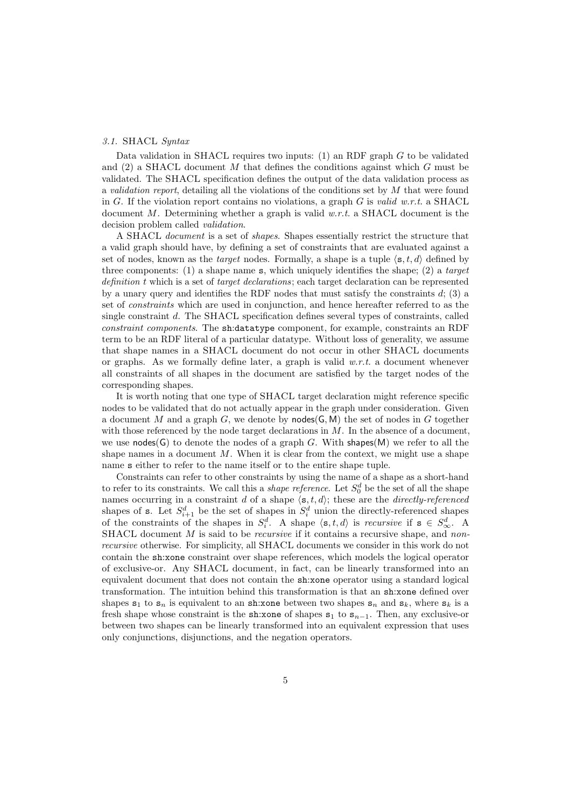# 3.1. SHACL Syntax

Data validation in SHACL requires two inputs: (1) an RDF graph  $G$  to be validated and  $(2)$  a SHACL document M that defines the conditions against which G must be validated. The SHACL specification defines the output of the data validation process as a validation report, detailing all the violations of the conditions set by M that were found in G. If the violation report contains no violations, a graph G is valid w.r.t. a SHACL document M. Determining whether a graph is valid  $w.r.t.$  a SHACL document is the decision problem called validation.

A SHACL document is a set of shapes. Shapes essentially restrict the structure that a valid graph should have, by defining a set of constraints that are evaluated against a set of nodes, known as the *target* nodes. Formally, a shape is a tuple  $\langle s, t, d \rangle$  defined by three components: (1) a shape name  $s$ , which uniquely identifies the shape; (2) a target definition t which is a set of target declarations; each target declaration can be represented by a unary query and identifies the RDF nodes that must satisfy the constraints  $d$ ; (3) a set of constraints which are used in conjunction, and hence hereafter referred to as the single constraint d. The SHACL specification defines several types of constraints, called constraint components. The sh:datatype component, for example, constraints an RDF term to be an RDF literal of a particular datatype. Without loss of generality, we assume that shape names in a SHACL document do not occur in other SHACL documents or graphs. As we formally define later, a graph is valid  $w.r.t.$  a document whenever all constraints of all shapes in the document are satisfied by the target nodes of the corresponding shapes.

It is worth noting that one type of SHACL target declaration might reference specific nodes to be validated that do not actually appear in the graph under consideration. Given a document M and a graph G, we denote by nodes( $\mathsf{G}, \mathsf{M}$ ) the set of nodes in G together with those referenced by the node target declarations in  $M$ . In the absence of a document, we use nodes(G) to denote the nodes of a graph G. With shapes(M) we refer to all the shape names in a document  $M$ . When it is clear from the context, we might use a shape name s either to refer to the name itself or to the entire shape tuple.

Constraints can refer to other constraints by using the name of a shape as a short-hand to refer to its constraints. We call this a *shape reference*. Let  $S_0^d$  be the set of all the shape names occurring in a constraint d of a shape  $\langle s, t, d \rangle$ ; these are the directly-referenced shapes of s. Let  $S_{i+1}^d$  be the set of shapes in  $S_i^d$  union the directly-referenced shapes of the constraints of the shapes in  $S_i^d$ . A shape  $\langle s, t, d \rangle$  is *recursive* if  $s \in S_{\infty}^d$ . A SHACL document  $M$  is said to be *recursive* if it contains a recursive shape, and nonrecursive otherwise. For simplicity, all SHACL documents we consider in this work do not contain the sh:xone constraint over shape references, which models the logical operator of exclusive-or. Any SHACL document, in fact, can be linearly transformed into an equivalent document that does not contain the sh:xone operator using a standard logical transformation. The intuition behind this transformation is that an sh:xone defined over shapes  $s_1$  to  $s_n$  is equivalent to an sh:xone between two shapes  $s_n$  and  $s_k$ , where  $s_k$  is a fresh shape whose constraint is the sh:xone of shapes  $s_1$  to  $s_{n-1}$ . Then, any exclusive-or between two shapes can be linearly transformed into an equivalent expression that uses only conjunctions, disjunctions, and the negation operators.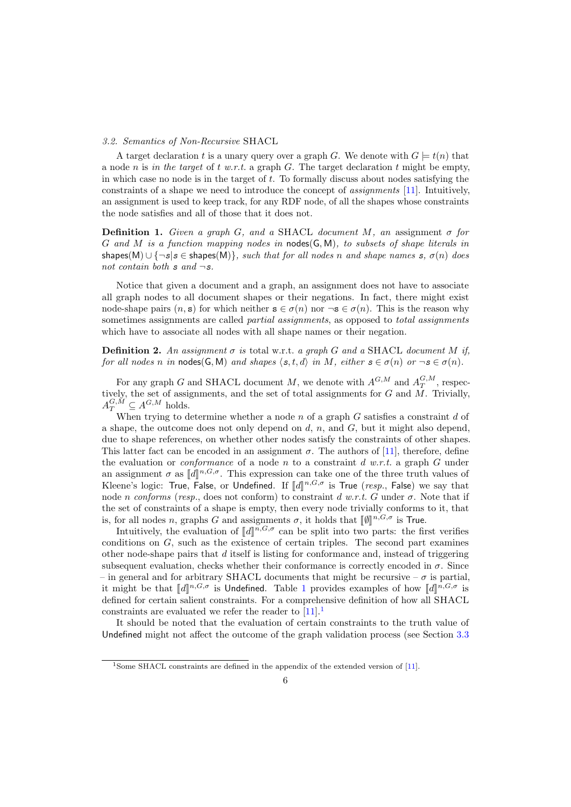#### 3.2. Semantics of Non-Recursive SHACL

A target declaration t is a unary query over a graph G. We denote with  $G \models t(n)$  that a node n is in the target of t w.r.t. a graph G. The target declaration t might be empty, in which case no node is in the target of  $t$ . To formally discuss about nodes satisfying the constraints of a shape we need to introduce the concept of assignments [\[11\]](#page-49-7). Intuitively, an assignment is used to keep track, for any RDF node, of all the shapes whose constraints the node satisfies and all of those that it does not.

**Definition 1.** Given a graph G, and a SHACL document M, an assignment  $\sigma$  for G and M is a function mapping nodes in nodes(G, M), to subsets of shape literals in shapes(M) ∪  $\{\neg s | s \in \text{shapes}(M)\}\$ , such that for all nodes n and shape names s,  $\sigma(n)$  does not contain both  $s$  and  $\neg s$ .

Notice that given a document and a graph, an assignment does not have to associate all graph nodes to all document shapes or their negations. In fact, there might exist node-shape pairs  $(n, s)$  for which neither  $s \in \sigma(n)$  nor  $\neg s \in \sigma(n)$ . This is the reason why sometimes assignments are called *partial assignments*, as opposed to *total assignments* which have to associate all nodes with all shape names or their negation.

**Definition 2.** An assignment  $\sigma$  is total w.r.t. a graph G and a SHACL document M if, for all nodes n in nodes(G, M) and shapes  $\langle s, t, d \rangle$  in M, either  $s \in \sigma(n)$  or  $\neg s \in \sigma(n)$ .

For any graph G and SHACL document M, we denote with  $A^{G,M}$  and  $A^{G,M}_T$ , respectively, the set of assignments, and the set of total assignments for  $G$  and  $\overline{M}$ . Trivially,  $A_T^{G,M} \subseteq A^{G,M}$  holds.

When trying to determine whether a node n of a graph  $G$  satisfies a constraint d of a shape, the outcome does not only depend on  $d, n$ , and  $G$ , but it might also depend, due to shape references, on whether other nodes satisfy the constraints of other shapes. This latter fact can be encoded in an assignment  $\sigma$ . The authors of [\[11\]](#page-49-7), therefore, define the evaluation or *conformance* of a node n to a constraint  $d w.r.t.$  a graph G under an assignment  $\sigma$  as  $[[d]]^{n,G,\sigma}$ . This expression can take one of the three truth values of Kloope's logic. True, Falso, we say that Kleene's logic: True, False, or Undefined. If  $[[d]]^{n,G,\sigma}$  is True (resp., False) we say that  $\text{node}_{n}$  conforme (gase, does not conform) to constraint  $d, w, r, t, C$  under  $\sigma$ . Note that if node n conforms (resp., does not conform) to constraint d w.r.t. G under  $\sigma$ . Note that if the set of constraints of a shape is empty, then every node trivially conforms to it, that is, for all nodes *n*, graphs G and assignments  $\sigma$ , it holds that  $[\![\emptyset]\!]^{n,G,\sigma}$  is True.<br>Intuitively, the evoluction of  $[\![d]\!]^{n,G,\sigma}$  can be split into two parts; the fit

Intuitively, the evaluation of  $[[d]]^{n,G,\sigma}$  can be split into two parts: the first verifies ditions on  $C$ , such as the evisions of certain triples. The second part examines conditions on G, such as the existence of certain triples. The second part examines other node-shape pairs that d itself is listing for conformance and, instead of triggering subsequent evaluation, checks whether their conformance is correctly encoded in  $\sigma$ . Since – in general and for arbitrary SHACL documents that might be recursive –  $\sigma$  is partial, it might be that  $[[d]]^{n,G,\sigma}$  is Undefined. Table [1](#page-6-0) provides examples of how  $[[d]]^{n,G,\sigma}$  is defined for certain column constraints. For a comprehensive definition of how all SHACI defined for certain salient constraints. For a comprehensive definition of how all SHACL constraints are evaluated we refer the reader to  $[11]$  $[11]$  $[11]$ .<sup>1</sup>

It should be noted that the evaluation of certain constraints to the truth value of Undefined might not affect the outcome of the graph validation process (see Section [3.3](#page-8-0)

<span id="page-5-0"></span><sup>&</sup>lt;sup>1</sup>Some SHACL constraints are defined in the appendix of the extended version of [\[11\]](#page-49-7).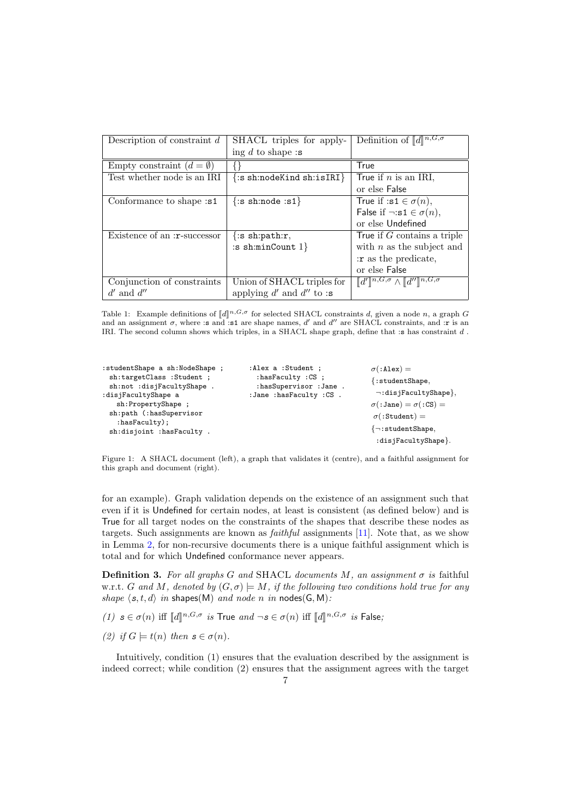<span id="page-6-0"></span>

| Description of constraint $d$      | SHACL triples for apply-      | Definition of $\llbracket d \rrbracket^{n,G,\sigma}$                               |
|------------------------------------|-------------------------------|------------------------------------------------------------------------------------|
|                                    | ing d to shape:s              |                                                                                    |
| Empty constraint $(d = \emptyset)$ |                               | True                                                                               |
| Test whether node is an IRI        | $\{:\s$ sh:nodeKind sh:isIRI} | True if $n$ is an IRI,                                                             |
|                                    |                               | or else False                                                                      |
| Conformance to shape: s1           | $\{:\s$ sh:node :s1 $\}$      | True if :s1 $\in \sigma(n)$ ,                                                      |
|                                    |                               | False if $\neg : s1 \in \sigma(n)$ ,                                               |
|                                    |                               | or else Undefined                                                                  |
| Existence of an :r-successor       | $\{:\s$ sh:path:r,            | True if $G$ contains a triple                                                      |
|                                    | :s sh:minCount $1$ }          | with $n$ as the subject and                                                        |
|                                    |                               | : r as the predicate,                                                              |
|                                    |                               | or else False                                                                      |
| Conjunction of constraints         | Union of SHACL triples for    | $\llbracket d'\rrbracket^{n,G,\sigma}\wedge \llbracket d''\rrbracket^{n,G,\sigma}$ |
| $d'$ and $d''$                     | applying $d'$ and $d''$ to :s |                                                                                    |

Table 1: Example definitions of  $[[d]]^{n,G,\sigma}$  for selected SHACL constraints d, given a node n, a graph G<br>and an assignment  $\sigma$ , where is and is a arc shape names d' and d' are SHACL constraints, and in is an and an assignment  $\sigma$ , where :s and :s1 are shape names, d' and d'' are SHACL constraints, and :r is an IRI. The second column shows which triples, in a SHACL shape graph, define that :s has constraint d .

<span id="page-6-1"></span>

| : studentShape a sh:NodeShape ;                  | : Alex a : Student ;       | $\sigma$ (:Alex) =                  |
|--------------------------------------------------|----------------------------|-------------------------------------|
| sh:targetClass: Student ;                        | : hasFaculty : CS ;        | $\{$ :studentShape,                 |
| sh:not :disjFacultyShape.                        | : hasSupervisor : Jane .   | $\neg: \text{disjFacultyShape}\},\$ |
| :disjFacultyShape a                              | : Jane : hasFaculty : CS . |                                     |
| sh:PropertyShape;                                |                            | $\sigma$ (:Jane) = $\sigma$ (:CS) = |
| sh:path (:hasSupervisor<br>$:$ has $Factority$ ; |                            | $\sigma$ (:Student) =               |
|                                                  |                            | $\{\neg : \text{studentShape},\}$   |
| sh:disjoint :hasFaculty.                         |                            |                                     |
|                                                  |                            | :disjFacultyShape}.                 |

Figure 1: A SHACL document (left), a graph that validates it (centre), and a faithful assignment for this graph and document (right).

for an example). Graph validation depends on the existence of an assignment such that even if it is Undefined for certain nodes, at least is consistent (as defined below) and is True for all target nodes on the constraints of the shapes that describe these nodes as targets. Such assignments are known as faithful assignments [\[11\]](#page-49-7). Note that, as we show in Lemma [2,](#page-7-0) for non-recursive documents there is a unique faithful assignment which is total and for which Undefined conformance never appears.

<span id="page-6-2"></span>**Definition 3.** For all graphs G and SHACL documents M, an assignment  $\sigma$  is faithful w.r.t. G and M, denoted by  $(G, \sigma) \models M$ , if the following two conditions hold true for any shape  $\langle s, t, d \rangle$  in shapes(M) and node n in nodes(G, M):

(1)  $s \in \sigma(n)$  iff  $[[d]]^{n,G,\sigma}$  is True and  $\neg s \in \sigma(n)$  iff  $[[d]]^{n,G,\sigma}$  is False;

(2) if  $G \models t(n)$  then  $s \in \sigma(n)$ .

Intuitively, condition (1) ensures that the evaluation described by the assignment is indeed correct; while condition (2) ensures that the assignment agrees with the target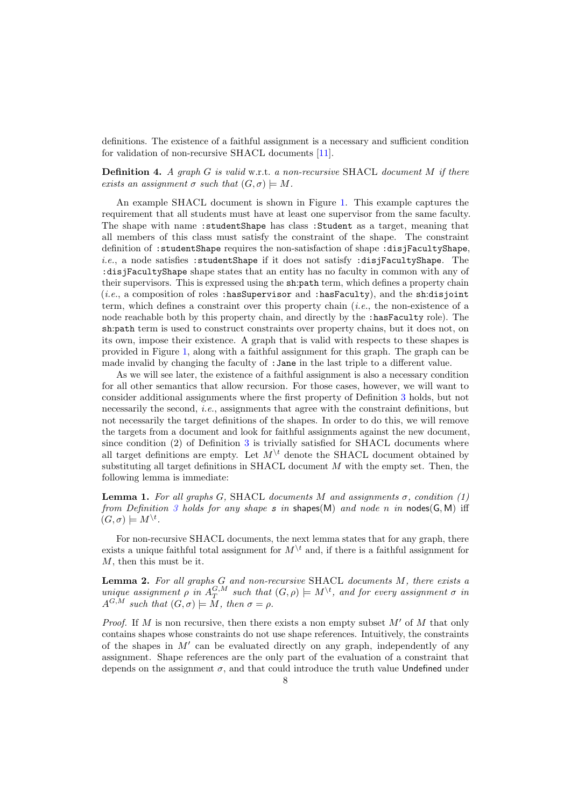definitions. The existence of a faithful assignment is a necessary and sufficient condition for validation of non-recursive SHACL documents [\[11\]](#page-49-7).

# <span id="page-7-1"></span>**Definition 4.** A graph  $G$  is valid w.r.t. a non-recursive SHACL document  $M$  if there exists an assignment  $\sigma$  such that  $(G, \sigma) \models M$ .

An example SHACL document is shown in Figure [1.](#page-6-1) This example captures the requirement that all students must have at least one supervisor from the same faculty. The shape with name :studentShape has class :Student as a target, meaning that all members of this class must satisfy the constraint of the shape. The constraint definition of :studentShape requires the non-satisfaction of shape :disjFacultyShape, i.e., a node satisfies :studentShape if it does not satisfy :disjFacultyShape. The :disjFacultyShape shape states that an entity has no faculty in common with any of their supervisors. This is expressed using the sh:path term, which defines a property chain  $(i.e., a composition of roles: has Supervisor and: hasFactory), and the sh:disjoint$ term, which defines a constraint over this property chain (i.e., the non-existence of a node reachable both by this property chain, and directly by the :hasFaculty role). The sh:path term is used to construct constraints over property chains, but it does not, on its own, impose their existence. A graph that is valid with respects to these shapes is provided in Figure [1,](#page-6-1) along with a faithful assignment for this graph. The graph can be made invalid by changing the faculty of :Jane in the last triple to a different value.

As we will see later, the existence of a faithful assignment is also a necessary condition for all other semantics that allow recursion. For those cases, however, we will want to consider additional assignments where the first property of Definition [3](#page-6-2) holds, but not necessarily the second, *i.e.*, assignments that agree with the constraint definitions, but not necessarily the target definitions of the shapes. In order to do this, we will remove the targets from a document and look for faithful assignments against the new document, since condition (2) of Definition [3](#page-6-2) is trivially satisfied for SHACL documents where all target definitions are empty. Let  $M^{\backslash t}$  denote the SHACL document obtained by substituting all target definitions in SHACL document  $M$  with the empty set. Then, the following lemma is immediate:

**Lemma 1.** For all graphs G, SHACL documents M and assignments  $\sigma$ , condition (1) from Definition [3](#page-6-2) holds for any shape s in shapes(M) and node n in nodes(G, M) iff  $(G, \sigma) \models M^{\setminus t}.$ 

For non-recursive SHACL documents, the next lemma states that for any graph, there exists a unique faithful total assignment for  $M^{\setminus t}$  and, if there is a faithful assignment for M, then this must be it.

<span id="page-7-0"></span>**Lemma 2.** For all graphs  $G$  and non-recursive SHACL documents  $M$ , there exists a unique assignment  $\rho$  in  $A_T^{G,M}$  such that  $(G,\rho) \models M^{\setminus t}$ , and for every assignment  $\sigma$  in  $A^{G,\overline{M}}$  such that  $(G,\sigma) \models M$ , then  $\sigma = \rho$ .

*Proof.* If M is non recursive, then there exists a non empty subset  $M'$  of M that only contains shapes whose constraints do not use shape references. Intuitively, the constraints of the shapes in  $M'$  can be evaluated directly on any graph, independently of any assignment. Shape references are the only part of the evaluation of a constraint that depends on the assignment  $\sigma$ , and that could introduce the truth value Undefined under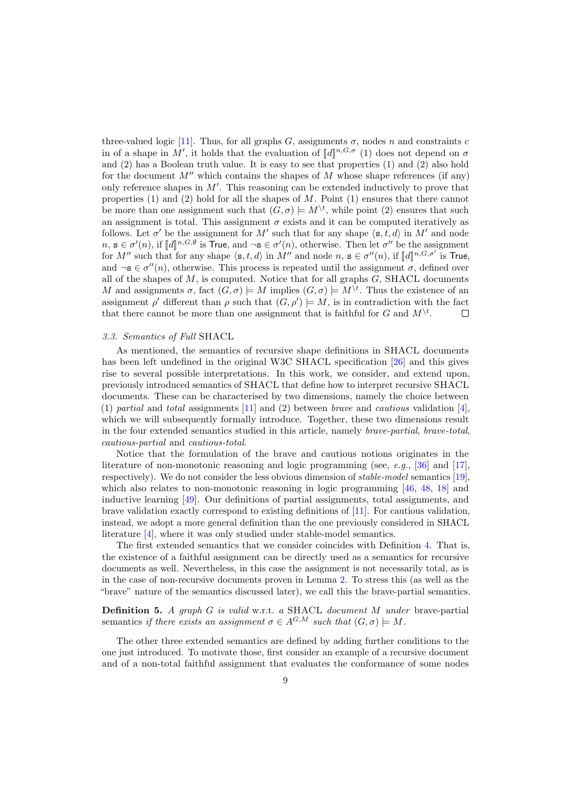three-valued logic [\[11\]](#page-49-7). Thus, for all graphs G, assignments  $\sigma$ , nodes n and constraints c in of a shape in M', it holds that the evaluation of  $[[d]]^{n,G,\sigma}$  (1) does not depend on  $\sigma$ <br>and (2) has a Boolean truth value. It is easy to see that proporties (1) and (2) also hold and (2) has a Boolean truth value. It is easy to see that properties (1) and (2) also hold for the document  $M''$  which contains the shapes of M whose shape references (if any) only reference shapes in  $M'$ . This reasoning can be extended inductively to prove that properties (1) and (2) hold for all the shapes of  $M$ . Point (1) ensures that there cannot be more than one assignment such that  $(G, \sigma) \models M^{\setminus t}$ , while point (2) ensures that such an assignment is total. This assignment  $\sigma$  exists and it can be computed iteratively as follows. Let  $\sigma'$  be the assignment for M' such that for any shape  $\langle s, t, d \rangle$  in M' and node  $n, \mathbf{s} \in \sigma'(n)$ , if  $\llbracket d \rrbracket^{n, G, \emptyset}$  is **True**, and  $\neg \mathbf{s} \in \sigma'(n)$ , otherwise. Then let  $\sigma''$  be the assignment<br>for  $M''$  such that for any shape  $\langle \sigma, t, d \rangle$  in  $M''$  and node  $n, \sigma \in \sigma''(n)$ , if  $\llbracket d \rrbracket^{n, G, \sigma'}$  for M'' such that for any shape  $\langle s, t, d \rangle$  in M'' and node n,  $s \in \sigma''(n)$ , if  $[[d]^{n, G, \sigma'}$  is **True**, and  $\neg$ **s**  $\in \sigma''(n)$ , otherwise. This process is repeated until the assignment  $\sigma$ , defined over all of the shapes of  $M$ , is computed. Notice that for all graphs  $G$ , SHACL documents M and assignments  $\sigma$ , fact  $(G, \sigma) \models M$  implies  $(G, \sigma) \models M^{\backslash t}$ . Thus the existence of an assignment  $\rho'$  different than  $\rho$  such that  $(G, \rho') \models M$ , is in contradiction with the fact that there cannot be more than one assignment that is faithful for G and  $M^{\backslash t}$ .  $\Box$ 

# <span id="page-8-0"></span>3.3. Semantics of Full SHACL

As mentioned, the semantics of recursive shape definitions in SHACL documents has been left undefined in the original W3C SHACL specification [\[26\]](#page-49-0) and this gives rise to several possible interpretations. In this work, we consider, and extend upon, previously introduced semantics of SHACL that define how to interpret recursive SHACL documents. These can be characterised by two dimensions, namely the choice between (1) partial and total assignments [\[11\]](#page-49-7) and (2) between brave and cautious validation [\[4\]](#page-49-8), which we will subsequently formally introduce. Together, these two dimensions result in the four extended semantics studied in this article, namely brave-partial, brave-total, cautious-partial and cautious-total.

Notice that the formulation of the brave and cautious notions originates in the literature of non-monotonic reasoning and logic programming (see, e.g., [\[36\]](#page-50-7) and [\[17\]](#page-49-10), respectively). We do not consider the less obvious dimension of stable-model semantics [\[19\]](#page-49-11), which also relates to non-monotonic reasoning in logic programming [\[46,](#page-50-8) [48,](#page-50-9) [18\]](#page-49-12) and inductive learning [\[49\]](#page-50-10). Our definitions of partial assignments, total assignments, and brave validation exactly correspond to existing definitions of [\[11\]](#page-49-7). For cautious validation, instead, we adopt a more general definition than the one previously considered in SHACL literature [\[4\]](#page-49-8), where it was only studied under stable-model semantics.

The first extended semantics that we consider coincides with Definition [4.](#page-7-1) That is, the existence of a faithful assignment can be directly used as a semantics for recursive documents as well. Nevertheless, in this case the assignment is not necessarily total, as is in the case of non-recursive documents proven in Lemma [2.](#page-7-0) To stress this (as well as the "brave" nature of the semantics discussed later), we call this the brave-partial semantics.

<span id="page-8-1"></span>Definition 5. A graph G is valid w.r.t. a SHACL document M under brave-partial semantics if there exists an assignment  $\sigma \in A^{G,M}$  such that  $(G, \sigma) \models M$ .

The other three extended semantics are defined by adding further conditions to the one just introduced. To motivate those, first consider an example of a recursive document and of a non-total faithful assignment that evaluates the conformance of some nodes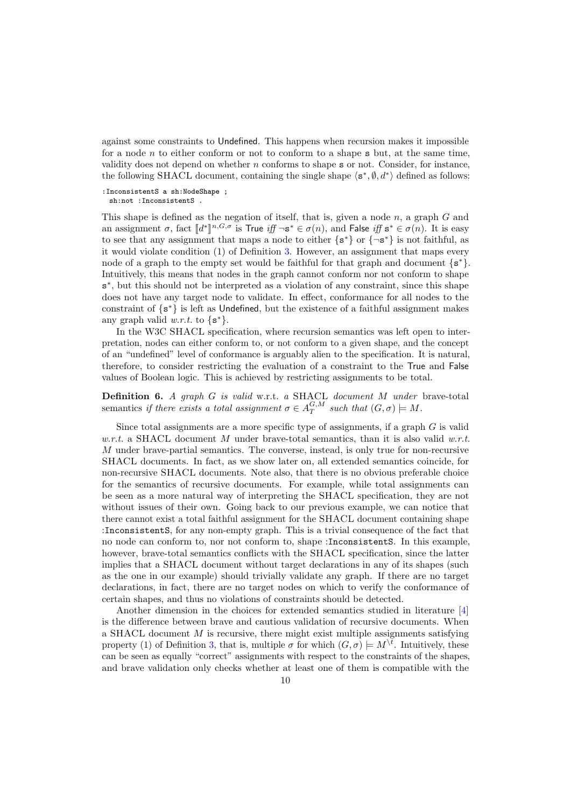against some constraints to Undefined. This happens when recursion makes it impossible for a node  $n$  to either conform or not to conform to a shape  $s$  but, at the same time, validity does not depend on whether n conforms to shape s or not. Consider, for instance, the following SHACL document, containing the single shape  $\langle s^*, \emptyset, d^* \rangle$  defined as follows:

:InconsistentS a sh:NodeShape ;

sh:not :InconsistentS .

This shape is defined as the negation of itself, that is, given a node  $n$ , a graph  $G$  and an assignment  $\sigma$ , fact  $[[d^*]]^{n,G,\sigma}$  is True iff  $\neg$ s<sup>\*</sup>  $\in \sigma(n)$ , and False iff  $s^* \in \sigma(n)$ . It is easy to see that any assignment that maps a node to either  $\{s^*\}$  or  $\{\neg s^*\}$  is not faithful, as it would violate condition (1) of Definition [3.](#page-6-2) However, an assignment that maps every node of a graph to the empty set would be faithful for that graph and document  $\{s^*\}.$ Intuitively, this means that nodes in the graph cannot conform nor not conform to shape s<sup>\*</sup>, but this should not be interpreted as a violation of any constraint, since this shape does not have any target node to validate. In effect, conformance for all nodes to the constraint of {s <sup>∗</sup>} is left as Undefined, but the existence of a faithful assignment makes any graph valid  $w.r.t.$  to  $\{s^*\}.$ 

In the W3C SHACL specification, where recursion semantics was left open to interpretation, nodes can either conform to, or not conform to a given shape, and the concept of an "undefined" level of conformance is arguably alien to the specification. It is natural, therefore, to consider restricting the evaluation of a constraint to the True and False values of Boolean logic. This is achieved by restricting assignments to be total.

<span id="page-9-0"></span>**Definition 6.** A graph  $G$  is valid w.r.t. a SHACL document  $M$  under brave-total semantics if there exists a total assignment  $\sigma \in A_T^{G,M}$  such that  $(G, \sigma) \models M$ .

Since total assignments are a more specific type of assignments, if a graph G is valid w.r.t. a SHACL document M under brave-total semantics, than it is also valid w.r.t. M under brave-partial semantics. The converse, instead, is only true for non-recursive SHACL documents. In fact, as we show later on, all extended semantics coincide, for non-recursive SHACL documents. Note also, that there is no obvious preferable choice for the semantics of recursive documents. For example, while total assignments can be seen as a more natural way of interpreting the SHACL specification, they are not without issues of their own. Going back to our previous example, we can notice that there cannot exist a total faithful assignment for the SHACL document containing shape :InconsistentS, for any non-empty graph. This is a trivial consequence of the fact that no node can conform to, nor not conform to, shape :InconsistentS. In this example, however, brave-total semantics conflicts with the SHACL specification, since the latter implies that a SHACL document without target declarations in any of its shapes (such as the one in our example) should trivially validate any graph. If there are no target declarations, in fact, there are no target nodes on which to verify the conformance of certain shapes, and thus no violations of constraints should be detected.

Another dimension in the choices for extended semantics studied in literature [\[4\]](#page-49-8) is the difference between brave and cautious validation of recursive documents. When a SHACL document  $M$  is recursive, there might exist multiple assignments satisfying property (1) of Definition [3,](#page-6-2) that is, multiple  $\sigma$  for which  $(G, \sigma) \models M^{\backslash t}$ . Intuitively, these can be seen as equally "correct" assignments with respect to the constraints of the shapes, and brave validation only checks whether at least one of them is compatible with the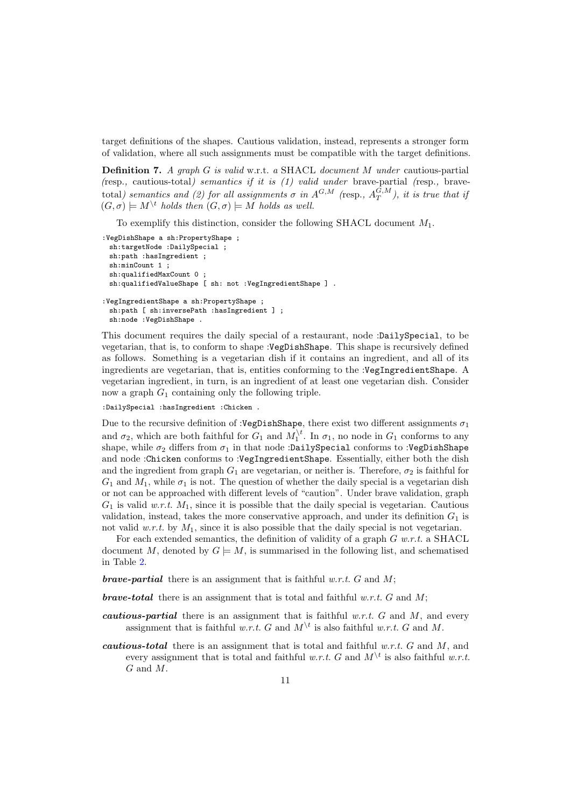target definitions of the shapes. Cautious validation, instead, represents a stronger form of validation, where all such assignments must be compatible with the target definitions.

<span id="page-10-0"></span>Definition 7. A graph G is valid w.r.t. a SHACL document M under cautious-partial (resp., cautious-total) semantics if it is (1) valid under brave-partial (resp., bravetotal) semantics and (2) for all assignments  $\sigma$  in  $A^{G,M}$  (resp.,  $A_T^{G,M}$ ), it is true that if  $(G, \sigma) \models M^{\backslash t}$  holds then  $(G, \sigma) \models M$  holds as well.

To exemplify this distinction, consider the following SHACL document  $M_1$ .

```
:VegDishShape a sh:PropertyShape ;
 sh:targetNode :DailySpecial
 sh:path :hasIngredient ;
 sh:minCount 1 ;
 sh:qualifiedMaxCount 0 ;
 sh:qualifiedValueShape [ sh: not :VegIngredientShape ] .
:VegIngredientShape a sh:PropertyShape ;
 sh:path [ sh:inversePath :hasIngredient ] ;
 sh:node :VegDishShape .
```
This document requires the daily special of a restaurant, node :DailySpecial, to be vegetarian, that is, to conform to shape :VegDishShape. This shape is recursively defined as follows. Something is a vegetarian dish if it contains an ingredient, and all of its ingredients are vegetarian, that is, entities conforming to the :VegIngredientShape. A vegetarian ingredient, in turn, is an ingredient of at least one vegetarian dish. Consider now a graph  $G_1$  containing only the following triple.

:DailySpecial :hasIngredient :Chicken .

Due to the recursive definition of :VegDishShape, there exist two different assignments  $\sigma_1$ and  $\sigma_2$ , which are both faithful for  $G_1$  and  $M_1^{\backslash t}$ . In  $\sigma_1$ , no node in  $G_1$  conforms to any shape, while  $\sigma_2$  differs from  $\sigma_1$  in that node :DailySpecial conforms to :VegDishShape and node :Chicken conforms to :VegIngredientShape. Essentially, either both the dish and the ingredient from graph  $G_1$  are vegetarian, or neither is. Therefore,  $\sigma_2$  is faithful for  $G_1$  and  $M_1$ , while  $\sigma_1$  is not. The question of whether the daily special is a vegetarian dish or not can be approached with different levels of "caution". Under brave validation, graph  $G_1$  is valid w.r.t.  $M_1$ , since it is possible that the daily special is vegetarian. Cautious validation, instead, takes the more conservative approach, and under its definition  $G_1$  is not valid  $w.r.t.$  by  $M_1$ , since it is also possible that the daily special is not vegetarian.

For each extended semantics, the definition of validity of a graph  $G$  w.r.t. a SHACL document M, denoted by  $G \models M$ , is summarised in the following list, and schematised in Table [2.](#page-11-1)

**brave-partial** there is an assignment that is faithful w.r.t. G and M;

**brave-total** there is an assignment that is total and faithful w.r.t. G and M;

- **cautious-partial** there is an assignment that is faithful w.r.t.  $G$  and  $M$ , and every assignment that is faithful w.r.t. G and  $M^{\setminus t}$  is also faithful w.r.t. G and M.
- cautious-total there is an assignment that is total and faithful w.r.t.  $G$  and  $M$ , and every assignment that is total and faithful w.r.t. G and  $M^{\setminus t}$  is also faithful w.r.t. G and M.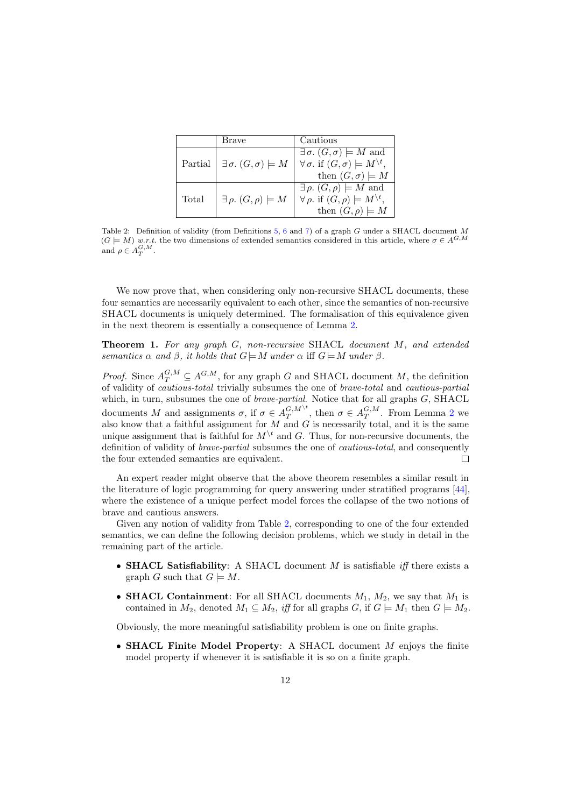<span id="page-11-1"></span>

|         | Brave                                     | Cautious                                                      |
|---------|-------------------------------------------|---------------------------------------------------------------|
|         |                                           | $\exists \sigma$ . $(G, \sigma) \models M$ and                |
| Partial | $\exists \sigma$ . $(G,\sigma) \models M$ | $\forall \sigma$ , if $(G, \sigma) \models M^{\setminus t}$ , |
|         |                                           | then $(G, \sigma) \models M$                                  |
|         |                                           | $\exists \rho$ . $(G, \rho) \models M$ and                    |
| Total   | $\exists \rho. (G, \rho) \models M$       | $\forall \rho$ , if $(G, \rho) \models M^{\setminus t}$ ,     |
|         |                                           | then $(G, \rho) \models M$                                    |

Table 2: Definition of validity (from Definitions [5,](#page-8-1) [6](#page-9-0) and [7\)](#page-10-0) of a graph G under a SHACL document M  $(G \models M)$  w.r.t. the two dimensions of extended semantics considered in this article, where  $\sigma \in A^{G,M}$ and  $\rho \in A_T^{G,M}$ .

We now prove that, when considering only non-recursive SHACL documents, these four semantics are necessarily equivalent to each other, since the semantics of non-recursive SHACL documents is uniquely determined. The formalisation of this equivalence given in the next theorem is essentially a consequence of Lemma [2.](#page-7-0)

<span id="page-11-0"></span>Theorem 1. For any graph G, non-recursive SHACL document M, and extended semantics  $\alpha$  and  $\beta$ , it holds that  $G \models M$  under  $\alpha$  iff  $G \models M$  under  $\beta$ .

*Proof.* Since  $A_T^{G,M} \subseteq A^{G,M}$ , for any graph G and SHACL document M, the definition of validity of cautious-total trivially subsumes the one of brave-total and cautious-partial which, in turn, subsumes the one of *brave-partial*. Notice that for all graphs  $G$ , SHACL documents M and assignments  $\sigma$ , if  $\sigma \in A_T^{G,M^{\setminus t}}$ , then  $\sigma \in A_T^{G,M}$ . From Lemma [2](#page-7-0) we also know that a faithful assignment for  $M$  and  $G$  is necessarily total, and it is the same unique assignment that is faithful for  $M^{\backslash t}$  and G. Thus, for non-recursive documents, the definition of validity of brave-partial subsumes the one of cautious-total, and consequently the four extended semantics are equivalent.  $\Box$ 

An expert reader might observe that the above theorem resembles a similar result in the literature of logic programming for query answering under stratified programs [\[44\]](#page-50-11), where the existence of a unique perfect model forces the collapse of the two notions of brave and cautious answers.

Given any notion of validity from Table [2,](#page-11-1) corresponding to one of the four extended semantics, we can define the following decision problems, which we study in detail in the remaining part of the article.

- **SHACL Satisfiability**: A SHACL document  $M$  is satisfiable *iff* there exists a graph G such that  $G \models M$ .
- **SHACL Containment**: For all SHACL documents  $M_1$ ,  $M_2$ , we say that  $M_1$  is contained in  $M_2$ , denoted  $M_1 \subseteq M_2$ , iff for all graphs G, if  $G \models M_1$  then  $G \models M_2$ .

Obviously, the more meaningful satisfiability problem is one on finite graphs.

• SHACL Finite Model Property: A SHACL document M enjoys the finite model property if whenever it is satisfiable it is so on a finite graph.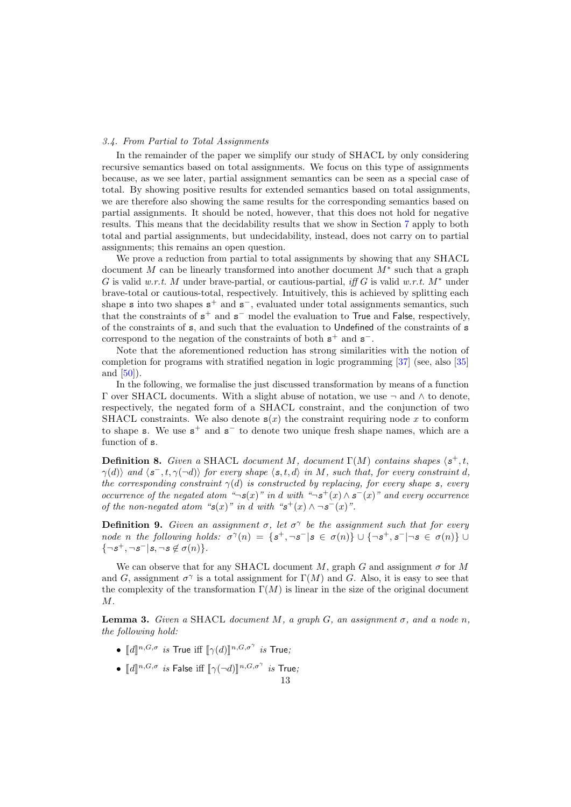### <span id="page-12-2"></span>3.4. From Partial to Total Assignments

In the remainder of the paper we simplify our study of SHACL by only considering recursive semantics based on total assignments. We focus on this type of assignments because, as we see later, partial assignment semantics can be seen as a special case of total. By showing positive results for extended semantics based on total assignments, we are therefore also showing the same results for the corresponding semantics based on partial assignments. It should be noted, however, that this does not hold for negative results. This means that the decidability results that we show in Section [7](#page-31-0) apply to both total and partial assignments, but undecidability, instead, does not carry on to partial assignments; this remains an open question.

We prove a reduction from partial to total assignments by showing that any SHACL document M can be linearly transformed into another document  $M^*$  such that a graph G is valid w.r.t. M under brave-partial, or cautious-partial, iff G is valid w.r.t.  $M^*$  under brave-total or cautious-total, respectively. Intuitively, this is achieved by splitting each shape **s** into two shapes  $s^+$  and  $s^-$ , evaluated under total assignments semantics, such that the constraints of  $s^+$  and  $s^-$  model the evaluation to True and False, respectively, of the constraints of s, and such that the evaluation to Undefined of the constraints of s correspond to the negation of the constraints of both  $s^+$  and  $s^-$ .

Note that the aforementioned reduction has strong similarities with the notion of completion for programs with stratified negation in logic programming [\[37\]](#page-50-12) (see, also [\[35\]](#page-50-13) and [\[50\]](#page-50-14)).

In the following, we formalise the just discussed transformation by means of a function  $Γ$  over SHACL documents. With a slight abuse of notation, we use  $¬$  and  $∧$  to denote, respectively, the negated form of a SHACL constraint, and the conjunction of two SHACL constraints. We also denote  $s(x)$  the constraint requiring node x to conform to shape s. We use  $s^+$  and  $s^-$  to denote two unique fresh shape names, which are a function of s.

<span id="page-12-0"></span>**Definition 8.** Given a SHACL document M, document  $\Gamma(M)$  contains shapes  $\langle s^+, t, \rangle$  $\gamma(d)$  and  $\langle s^-, t, \gamma(\neg d) \rangle$  for every shape  $\langle s, t, d \rangle$  in M, such that, for every constraint d, the corresponding constraint  $\gamma(d)$  is constructed by replacing, for every shape s, every occurrence of the negated atom "¬s(x)" in d with "¬s<sup>+</sup>(x)  $\wedge$  s<sup>-</sup>(x)" and every occurrence of the non-negated atom " $s(x)$ " in d with " $s^+(x) \wedge \neg s^-(x)$ ".

**Definition 9.** Given an assignment  $\sigma$ , let  $\sigma^{\gamma}$  be the assignment such that for every node n the following holds:  $\sigma^{\gamma}(n) = \{s^+, \neg s^- | s \in \sigma(n)\} \cup \{\neg s^+, s^- | \neg s \in \sigma(n)\}$  $\{\neg s^+, \neg s^- | s, \neg s \not\in \sigma(n)\}.$ 

We can observe that for any SHACL document M, graph G and assignment  $\sigma$  for M and G, assignment  $\sigma^{\gamma}$  is a total assignment for  $\Gamma(M)$  and G. Also, it is easy to see that the complexity of the transformation  $\Gamma(M)$  is linear in the size of the original document M.

<span id="page-12-1"></span>**Lemma 3.** Given a SHACL document M, a graph G, an assignment  $\sigma$ , and a node n, the following hold:

- $\llbracket d \rrbracket^{n,G,\sigma}$  is True iff  $\llbracket \gamma(d) \rrbracket^{n,G,\sigma^{\gamma}}$  is True;
- $[[d]]^{n,G,\sigma}$  is False iff  $[\![\gamma(\neg d)]\!]^{n,G,\sigma^{\gamma}}$  is True;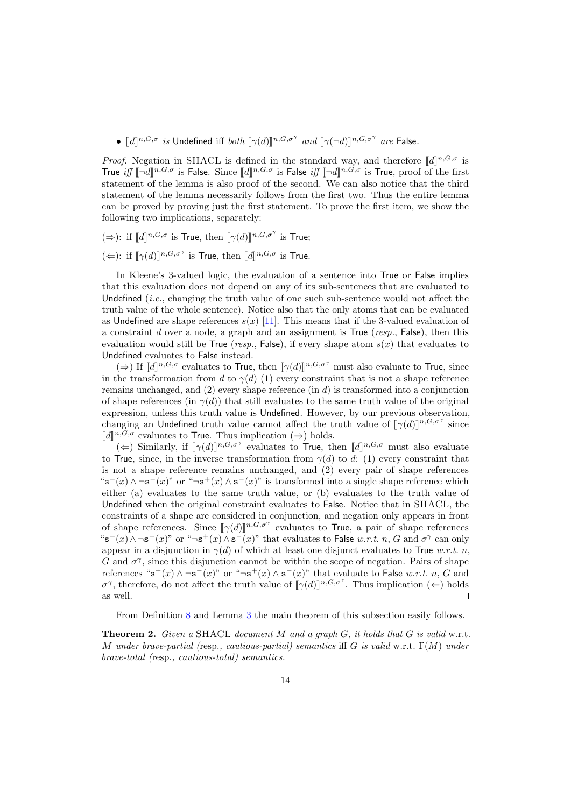•  $[[d]]^{n,G,\sigma}$  is Undefined iff both  $[\![\gamma(d)]\!]^{n,G,\sigma^{\gamma}}$  and  $[\![\gamma(\neg d)]\!]^{n,G,\sigma^{\gamma}}$  are False.

*Proof.* Negation in SHACL is defined in the standard way, and therefore  $[[d]]^{n,G,\sigma}$  is<br>True iff  $[[\mathcal{A}]^{n,G,\sigma}$  is Ealso Since  $[[d]]^{n,G,\sigma}$  is Ealso iff  $[[\mathcal{A}]^{n,G,\sigma}$  is True proof of the first True *iff*  $[\![\neg d]\!]^{n,G,\sigma}$  is False. Since  $[\![d]\!]^{n,G,\sigma}$  is False *iff*  $[\![\neg d]\!]^{n,G,\sigma}$  is True, proof of the first statement of the lemma is also proof of the second. We see also poties that the third statement of the lemma is also proof of the second. We can also notice that the third statement of the lemma necessarily follows from the first two. Thus the entire lemma can be proved by proving just the first statement. To prove the first item, we show the following two implications, separately:

- (⇒): if  $\llbracket d \rrbracket^{n,G,\sigma}$  is True, then  $\llbracket \gamma(d) \rrbracket^{n,G,\sigma^{\gamma}}$  is True;
- (←): if  $[\![\gamma(d)]\!]^{n,G,\sigma^{\gamma}}$  is True, then  $[\![d]\!]^{n,G,\sigma}$  is True.

In Kleene's 3-valued logic, the evaluation of a sentence into True or False implies that this evaluation does not depend on any of its sub-sentences that are evaluated to Undefined  $(i.e., changing the truth value of one such sub-sentence would not affect the$ truth value of the whole sentence). Notice also that the only atoms that can be evaluated as Undefined are shape references  $s(x)$  [\[11\]](#page-49-7). This means that if the 3-valued evaluation of a constraint d over a node, a graph and an assignment is True ( $resp.$ , False), then this evaluation would still be True (resp., False), if every shape atom  $s(x)$  that evaluates to Undefined evaluates to False instead.

(⇒) If  $\llbracket d \rrbracket^{n, G, \sigma}$  evaluates to True, then  $\llbracket \gamma(d) \rrbracket^{n, G, \sigma^{\gamma}}$  must also evaluate to True, since in the transformation from d to  $\gamma(d)$  (1) every constraint that is not a shape reference remains unchanged, and  $(2)$  every shape reference  $(in d)$  is transformed into a conjunction of shape references (in  $\gamma(d)$ ) that still evaluates to the same truth value of the original expression, unless this truth value is Undefined. However, by our previous observation, changing an Undefined truth value cannot affect the truth value of  $[\![\gamma(d)]\!]^{n,G,\sigma^{\gamma}}$  since  $[\![d]\!]^{n,G,\sigma}$  and water to  $\text{True}$ . Thus implication  $(\rightarrow)$  holds  $\llbracket d \rrbracket^{n,G,\sigma}$  evaluates to True. Thus implication  $(\Rightarrow)$  holds.<br> $(\Leftarrow)$  Similarly, if  $\llbracket \phi(d) \rrbracket^{n,G,\sigma^{\gamma}}$  evaluates to True, the

(←) Similarly, if  $[\gamma(d)]^{n,G,\sigma^{\gamma}}$  evaluates to True, then  $[[d]]^{n,G,\sigma}$  must also evaluate to True, since, in the inverse transformation from  $\gamma(d)$  to d: (1) every constraint that is not a shape reference remains unchanged, and (2) every pair of shape references "s<sup>+</sup>(x)  $\wedge \neg$ s<sup>-</sup>(x)" or " $\neg$ s<sup>+</sup>(x)  $\wedge$  s<sup>-</sup>(x)" is transformed into a single shape reference which either (a) evaluates to the same truth value, or (b) evaluates to the truth value of Undefined when the original constraint evaluates to False. Notice that in SHACL, the constraints of a shape are considered in conjunction, and negation only appears in front of shape references. Since  $[\![\gamma(d)]\!]^{n,G,\sigma^{\gamma}}$  evaluates to True, a pair of shape references "s<sup>+</sup>(x)∧¬s<sup>-</sup>(x)" or "¬s<sup>+</sup>(x)∧s<sup>-</sup>(x)" that evaluates to False w.r.t. n, G and  $\sigma^{\gamma}$  can only appear in a disjunction in  $\gamma(d)$  of which at least one disjunct evaluates to True w.r.t. n, G and  $\sigma^{\gamma}$ , since this disjunction cannot be within the scope of negation. Pairs of shape references " $s^+(x) \wedge \neg s^-(x)$ " or " $\neg s^+(x) \wedge s^-(x)$ " that evaluate to False w.r.t. n, G and  $\sigma^{\gamma}$ , therefore, do not affect the truth value of  $[\![\gamma(d)]\!]^{n,G,\sigma^{\gamma}}$ . Thus implication ( $\Leftarrow$ ) holds as well.  $\Box$ 

From Definition [8](#page-12-0) and Lemma [3](#page-12-1) the main theorem of this subsection easily follows.

<span id="page-13-0"></span>**Theorem 2.** Given a SHACL document M and a graph  $G$ , it holds that  $G$  is valid w.r.t. M under brave-partial (resp., cautious-partial) semantics iff G is valid w.r.t.  $\Gamma(M)$  under brave-total (resp., cautious-total) semantics.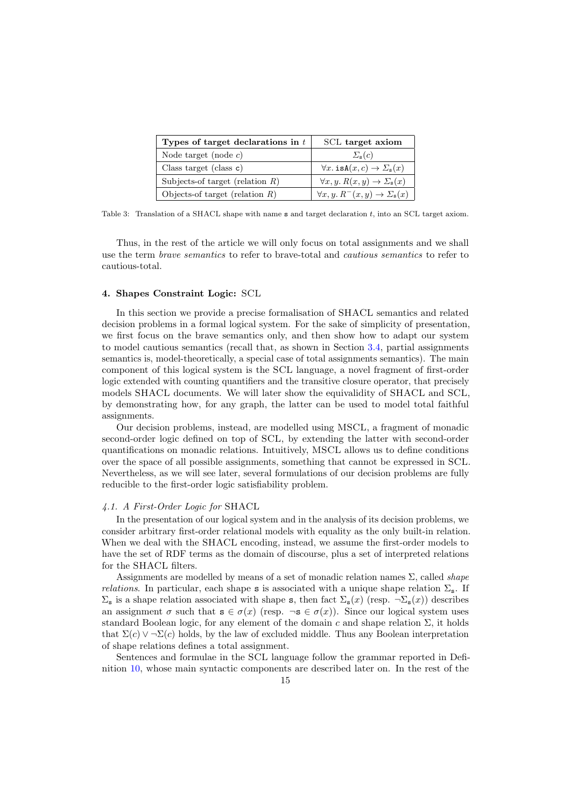<span id="page-14-1"></span>

| Types of target declarations in $t$ | SCL target axiom                                                |  |
|-------------------------------------|-----------------------------------------------------------------|--|
| Node target (node $c$ )             | $\Sigma_{\rm s}(c)$                                             |  |
| Class target (class $c$ )           | $\forall x.$ is $A(x, c) \rightarrow \Sigma$ <sub>s</sub> $(x)$ |  |
| Subjects-of target (relation $R$ )  | $\forall x, y. R(x, y) \rightarrow \Sigma_{s}(x)$               |  |
| Objects-of target (relation $R$ )   | $\forall x, y. R^{-}(x, y) \rightarrow \Sigma_{\mathbf{s}}(x)$  |  |

Table 3: Translation of a SHACL shape with name s and target declaration t, into an SCL target axiom.

Thus, in the rest of the article we will only focus on total assignments and we shall use the term brave semantics to refer to brave-total and cautious semantics to refer to cautious-total.

# <span id="page-14-0"></span>4. Shapes Constraint Logic: SCL

In this section we provide a precise formalisation of SHACL semantics and related decision problems in a formal logical system. For the sake of simplicity of presentation, we first focus on the brave semantics only, and then show how to adapt our system to model cautious semantics (recall that, as shown in Section [3.4,](#page-12-2) partial assignments semantics is, model-theoretically, a special case of total assignments semantics). The main component of this logical system is the SCL language, a novel fragment of first-order logic extended with counting quantifiers and the transitive closure operator, that precisely models SHACL documents. We will later show the equivalidity of SHACL and SCL, by demonstrating how, for any graph, the latter can be used to model total faithful assignments.

Our decision problems, instead, are modelled using MSCL, a fragment of monadic second-order logic defined on top of SCL, by extending the latter with second-order quantifications on monadic relations. Intuitively, MSCL allows us to define conditions over the space of all possible assignments, something that cannot be expressed in SCL. Nevertheless, as we will see later, several formulations of our decision problems are fully reducible to the first-order logic satisfiability problem.

# 4.1. A First-Order Logic for SHACL

In the presentation of our logical system and in the analysis of its decision problems, we consider arbitrary first-order relational models with equality as the only built-in relation. When we deal with the SHACL encoding, instead, we assume the first-order models to have the set of RDF terms as the domain of discourse, plus a set of interpreted relations for the SHACL filters.

Assignments are modelled by means of a set of monadic relation names  $\Sigma$ , called *shape relations.* In particular, each shape s is associated with a unique shape relation  $\Sigma_s$ . If  $\Sigma_{\mathbf{s}}$  is a shape relation associated with shape s, then fact  $\Sigma_{\mathbf{s}}(x)$  (resp.  $\neg \Sigma_{\mathbf{s}}(x)$ ) describes an assignment  $\sigma$  such that  $\mathbf{s} \in \sigma(x)$  (resp.  $\neg \mathbf{s} \in \sigma(x)$ ). Since our logical system uses standard Boolean logic, for any element of the domain c and shape relation  $\Sigma$ , it holds that  $\Sigma(c) \vee \neg \Sigma(c)$  holds, by the law of excluded middle. Thus any Boolean interpretation of shape relations defines a total assignment.

Sentences and formulae in the SCL language follow the grammar reported in Definition [10,](#page-15-0) whose main syntactic components are described later on. In the rest of the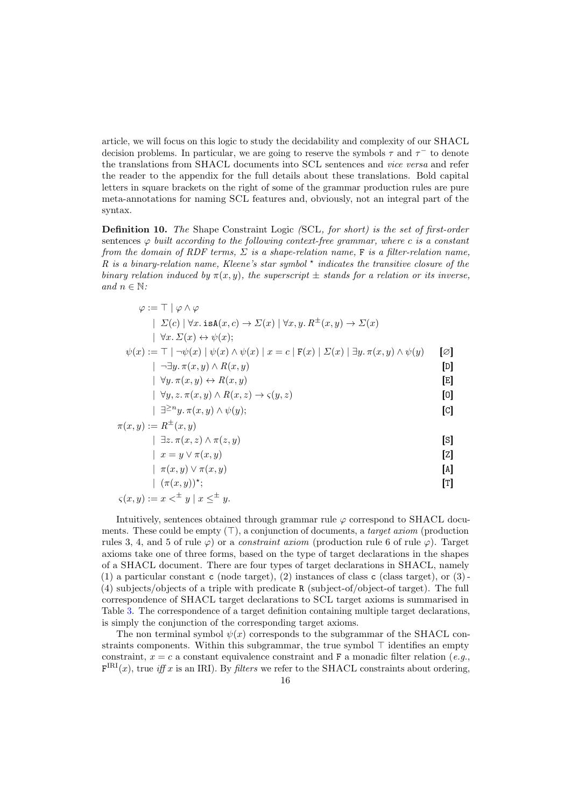article, we will focus on this logic to study the decidability and complexity of our SHACL decision problems. In particular, we are going to reserve the symbols  $\tau$  and  $\tau^-$  to denote the translations from SHACL documents into SCL sentences and vice versa and refer the reader to the appendix for the full details about these translations. Bold capital letters in square brackets on the right of some of the grammar production rules are pure meta-annotations for naming SCL features and, obviously, not an integral part of the syntax.

<span id="page-15-0"></span>Definition 10. The Shape Constraint Logic (SCL, for short) is the set of first-order sentences  $\varphi$  built according to the following context-free grammar, where c is a constant from the domain of RDF terms,  $\Sigma$  is a shape-relation name, F is a filter-relation name, R is a binary-relation name, Kleene's star symbol  $*$  indicates the transitive closure of the binary relation induced by  $\pi(x, y)$ , the superscript  $\pm$  stands for a relation or its inverse, and  $n \in \mathbb{N}$ :

$$
\varphi := \top | \varphi \wedge \varphi
$$
\n
$$
| \Sigma(c) | \forall x . \text{ isA}(x, c) \rightarrow \Sigma(x) | \forall x, y. R^{\pm}(x, y) \rightarrow \Sigma(x)
$$
\n
$$
| \forall x. \Sigma(x) \leftrightarrow \psi(x);
$$
\n
$$
\psi(x) := \top | \neg \psi(x) | \psi(x) \wedge \psi(x) | x = c | F(x) | \Sigma(x) | \exists y. \pi(x, y) \wedge \psi(y) \qquad [\varnothing]
$$
\n
$$
| \neg \exists y. \pi(x, y) \wedge R(x, y) \qquad [\varnothing]
$$
\n
$$
| \forall y. \pi(x, y) \leftrightarrow R(x, y) \qquad [\varnothing]
$$
\n
$$
| \forall y. x. \pi(x, y) \wedge R(x, z) \rightarrow \varsigma(y, z) \qquad [\varnothing]
$$
\n
$$
| \exists^{\geq n} y. \pi(x, y) \wedge \psi(y); \qquad [\varnothing]
$$
\n
$$
\pi(x, y) := R^{\pm}(x, y) \qquad [\exists z. \pi(x, z) \wedge \pi(z, y) \qquad [\varnothing]
$$
\n
$$
| x = y \vee \pi(x, y) \qquad [\varnothing]
$$
\n
$$
| \pi(x, y) \vee \pi(x, y) \qquad [\varnothing]
$$
\n
$$
| \pi(x, y) \vee \pi(x, y) \qquad [\varnothing]
$$
\n
$$
[ \varnothing ]
$$
\n
$$
| \pi(x, y) \vee \pi(x, y) \qquad [\varnothing]
$$

$$
\varsigma(x, y) := x <^{\pm} y \mid x \leq^{\pm} y.
$$

Intuitively, sentences obtained through grammar rule  $\varphi$  correspond to SHACL documents. These could be empty  $(\top)$ , a conjunction of documents, a *target axiom* (production rules 3, 4, and 5 of rule  $\varphi$ ) or a *constraint axiom* (production rule 6 of rule  $\varphi$ ). Target axioms take one of three forms, based on the type of target declarations in the shapes of a SHACL document. There are four types of target declarations in SHACL, namely (1) a particular constant c (node target), (2) instances of class c (class target), or  $(3)$ -(4) subjects/objects of a triple with predicate R (subject-of/object-of target). The full correspondence of SHACL target declarations to SCL target axioms is summarised in Table [3.](#page-14-1) The correspondence of a target definition containing multiple target declarations, is simply the conjunction of the corresponding target axioms.

The non terminal symbol  $\psi(x)$  corresponds to the subgrammar of the SHACL constraints components. Within this subgrammar, the true symbol  $\top$  identifies an empty constraint,  $x = c$  a constant equivalence constraint and F a monadic filter relation (e.g.,  $F^{IRI}(x)$ , true *iff* x is an IRI). By *filters* we refer to the SHACL constraints about ordering,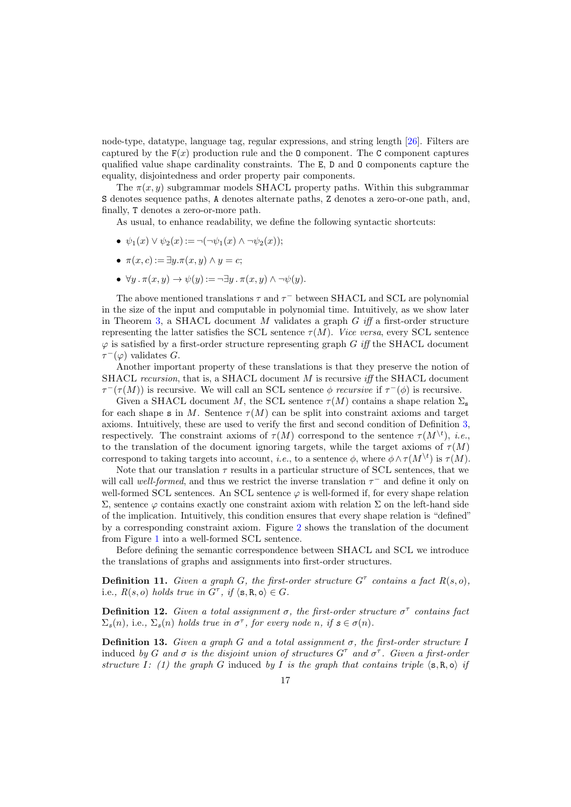node-type, datatype, language tag, regular expressions, and string length [\[26\]](#page-49-0). Filters are captured by the  $F(x)$  production rule and the 0 component. The C component captures qualified value shape cardinality constraints. The E, D and O components capture the equality, disjointedness and order property pair components.

The  $\pi(x, y)$  subgrammar models SHACL property paths. Within this subgrammar S denotes sequence paths, A denotes alternate paths, Z denotes a zero-or-one path, and, finally, T denotes a zero-or-more path.

As usual, to enhance readability, we define the following syntactic shortcuts:

- $\psi_1(x) \vee \psi_2(x) := \neg(\neg \psi_1(x) \wedge \neg \psi_2(x));$
- $\pi(x, c) := \exists y . \pi(x, y) \wedge y = c;$
- $\forall y \, . \, \pi(x, y) \rightarrow \psi(y) := \neg \exists y \, . \, \pi(x, y) \land \neg \psi(y).$

The above mentioned translations  $\tau$  and  $\tau^-$  between SHACL and SCL are polynomial in the size of the input and computable in polynomial time. Intuitively, as we show later in Theorem [3,](#page-17-0) a SHACL document M validates a graph  $G$  iff a first-order structure representing the latter satisfies the SCL sentence  $\tau(M)$ . Vice versa, every SCL sentence  $\varphi$  is satisfied by a first-order structure representing graph G iff the SHACL document  $\tau^-(\varphi)$  validates G.

Another important property of these translations is that they preserve the notion of SHACL recursion, that is, a SHACL document M is recursive iff the SHACL document  $\tau^-(\tau(M))$  is recursive. We will call an SCL sentence  $\phi$  recursive if  $\tau^-(\phi)$  is recursive.

Given a SHACL document M, the SCL sentence  $\tau(M)$  contains a shape relation  $\Sigma_{\rm s}$ for each shape s in M. Sentence  $\tau(M)$  can be split into constraint axioms and target axioms. Intuitively, these are used to verify the first and second condition of Definition [3,](#page-6-2) respectively. The constraint axioms of  $\tau(M)$  correspond to the sentence  $\tau(M^{\setminus t})$ , *i.e.*, to the translation of the document ignoring targets, while the target axioms of  $\tau(M)$ correspond to taking targets into account, *i.e.*, to a sentence  $\phi$ , where  $\phi \wedge \tau(M^{\backslash t})$  is  $\tau(M)$ .

Note that our translation  $\tau$  results in a particular structure of SCL sentences, that we will call well-formed, and thus we restrict the inverse translation  $\tau^-$  and define it only on well-formed SCL sentences. An SCL sentence  $\varphi$  is well-formed if, for every shape relation Σ, sentence ϕ contains exactly one constraint axiom with relation Σ on the left-hand side of the implication. Intuitively, this condition ensures that every shape relation is "defined" by a corresponding constraint axiom. Figure [2](#page-17-1) shows the translation of the document from Figure [1](#page-6-1) into a well-formed SCL sentence.

Before defining the semantic correspondence between SHACL and SCL we introduce the translations of graphs and assignments into first-order structures.

**Definition 11.** Given a graph G, the first-order structure  $G^{\tau}$  contains a fact  $R(s, o)$ , i.e.,  $R(s, o)$  holds true in  $G^{\tau}$ , if  $\langle s, R, o \rangle \in G$ .

**Definition 12.** Given a total assignment  $\sigma$ , the first-order structure  $\sigma^{\tau}$  contains fact  $\Sigma_{\mathcal{S}}(n)$ , i.e.,  $\Sigma_{\mathcal{S}}(n)$  holds true in  $\sigma^{\tau}$ , for every node n, if  $\mathcal{S} \in \sigma(n)$ .

**Definition 13.** Given a graph G and a total assignment  $\sigma$ , the first-order structure I induced by G and  $\sigma$  is the disjoint union of structures  $G^{\tau}$  and  $\sigma^{\tau}$ . Given a first-order structure I: (1) the graph G induced by I is the graph that contains triple  $\langle s, R, o \rangle$  if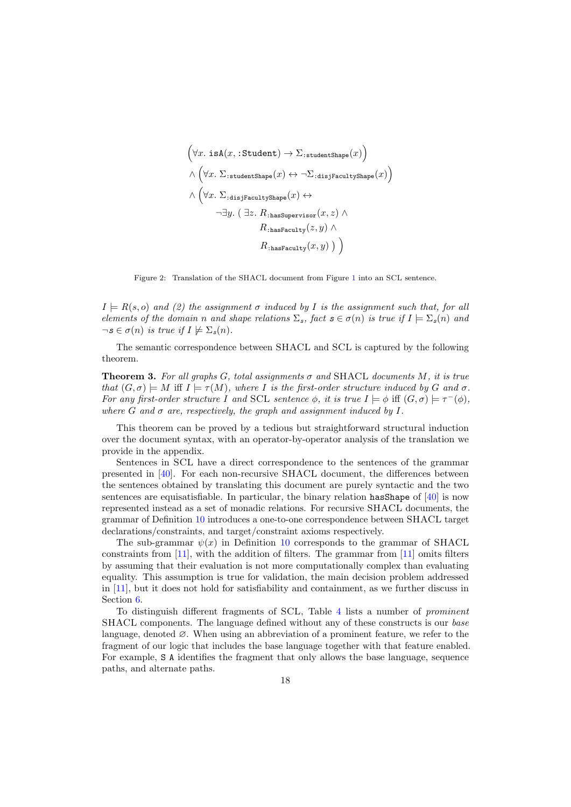<span id="page-17-1"></span>
$$
\left(\forall x. \text{ isA}(x, : \text{Student}) \rightarrow \Sigma_{:\text{studentShape}}(x)\right)
$$
\n
$$
\land \left(\forall x. \Sigma_{:\text{studentShape}}(x) \leftrightarrow \neg \Sigma_{:\text{disjFacultyshape}}(x)\right)
$$
\n
$$
\land \left(\forall x. \Sigma_{:\text{disjFacultyshape}}(x) \leftrightarrow \neg \exists y. (\exists z. R_{:\text{hasSupervisor}}(x, z) \land R_{:\text{hasFaculty}}(z, y) \land R_{:\text{hasFaculty}}(x, y) )\right)
$$

Figure 2: Translation of the SHACL document from Figure [1](#page-6-1) into an SCL sentence.

 $I \models R(s, o)$  and (2) the assignment  $\sigma$  induced by I is the assignment such that, for all elements of the domain n and shape relations  $\Sigma_s$ , fact  $s \in \sigma(n)$  is true if  $I \models \Sigma_s(n)$  and  $\neg s \in \sigma(n)$  is true if  $I \not\models \Sigma_s(n)$ .

The semantic correspondence between SHACL and SCL is captured by the following theorem.

<span id="page-17-0"></span>**Theorem 3.** For all graphs G, total assignments  $\sigma$  and SHACL documents M, it is true that  $(G, \sigma) \models M$  iff  $I \models \tau(M)$ , where I is the first-order structure induced by G and  $\sigma$ . For any first-order structure I and SCL sentence  $\phi$ , it is true  $I \models \phi$  iff  $(G, \sigma) \models \tau^-(\phi)$ , where G and  $\sigma$  are, respectively, the graph and assignment induced by I.

This theorem can be proved by a tedious but straightforward structural induction over the document syntax, with an operator-by-operator analysis of the translation we provide in the appendix.

Sentences in SCL have a direct correspondence to the sentences of the grammar presented in [\[40\]](#page-50-6). For each non-recursive SHACL document, the differences between the sentences obtained by translating this document are purely syntactic and the two sentences are equisatisfiable. In particular, the binary relation has Shape of  $[40]$  is now represented instead as a set of monadic relations. For recursive SHACL documents, the grammar of Definition [10](#page-15-0) introduces a one-to-one correspondence between SHACL target declarations/constraints, and target/constraint axioms respectively.

The sub-grammar  $\psi(x)$  in Definition [10](#page-15-0) corresponds to the grammar of SHACL constraints from [\[11\]](#page-49-7), with the addition of filters. The grammar from [\[11\]](#page-49-7) omits filters by assuming that their evaluation is not more computationally complex than evaluating equality. This assumption is true for validation, the main decision problem addressed in [\[11\]](#page-49-7), but it does not hold for satisfiability and containment, as we further discuss in Section [6.](#page-23-0)

To distinguish different fragments of SCL, Table [4](#page-18-0) lists a number of prominent SHACL components. The language defined without any of these constructs is our base language, denoted ∅. When using an abbreviation of a prominent feature, we refer to the fragment of our logic that includes the base language together with that feature enabled. For example, S A identifies the fragment that only allows the base language, sequence paths, and alternate paths.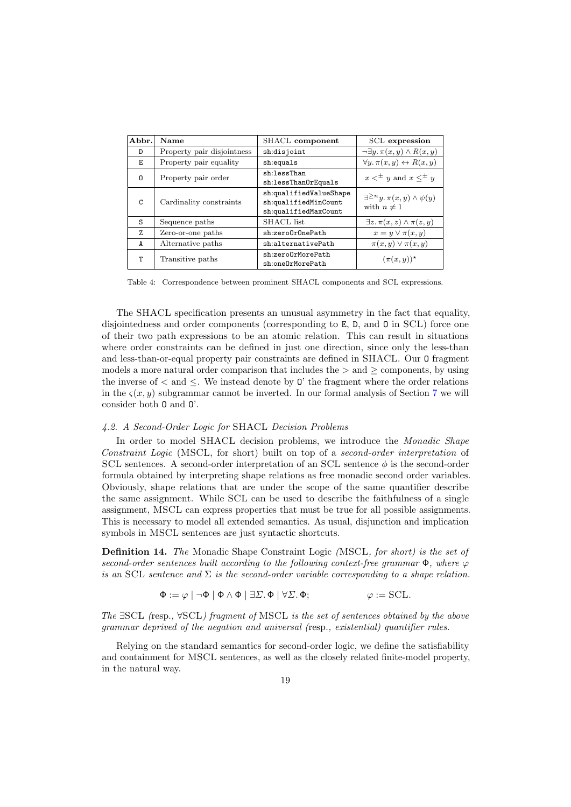<span id="page-18-0"></span>

| Abbr.    | Name                       | SHACL component                                                        | SCL expression                                                        |
|----------|----------------------------|------------------------------------------------------------------------|-----------------------------------------------------------------------|
| D        | Property pair disjointness | sh:disjoint                                                            | $\neg \exists y \ldotp \pi(x, y) \land R(x, y)$                       |
| Е        | Property pair equality     | sh:equals                                                              | $\forall y \ldotp \pi(x, y) \leftrightarrow R(x, y)$                  |
| $\Omega$ | Property pair order        | sh:lessThan<br>sh:lessThanOrEquals                                     | $x \leq^{\pm} y$ and $x \leq^{\pm} y$                                 |
| C        | Cardinality constraints    | sh:qualifiedValueShape<br>sh:qualifiedMinCount<br>sh:qualifiedMaxCount | $\exists^{\geq n}y \ldotp \pi(x,y) \wedge \psi(y)$<br>with $n \neq 1$ |
| S        | Sequence paths             | SHACL list                                                             | $\exists z \, \pi(x, z) \wedge \pi(z, y)$                             |
| 7.       | Zero-or-one paths          | sh:zeroOrOnePath                                                       | $x = y \vee \pi(x, y)$                                                |
| A        | Alternative paths          | sh:alternativePath                                                     | $\pi(x, y) \vee \pi(x, y)$                                            |
| т        | Transitive paths           | sh:zeroOrMorePath<br>sh:oneOrMorePath                                  | $(\pi(x,y))^*$                                                        |

Table 4: Correspondence between prominent SHACL components and SCL expressions.

The SHACL specification presents an unusual asymmetry in the fact that equality, disjointedness and order components (corresponding to E, D, and O in SCL) force one of their two path expressions to be an atomic relation. This can result in situations where order constraints can be defined in just one direction, since only the less-than and less-than-or-equal property pair constraints are defined in SHACL. Our O fragment models a more natural order comparison that includes the  $>$  and  $\geq$  components, by using the inverse of  $\lt$  and  $\lt$ . We instead denote by 0' the fragment where the order relations in the  $\varsigma(x, y)$  subgrammar cannot be inverted. In our formal analysis of Section [7](#page-31-0) we will consider both O and O'.

# 4.2. A Second-Order Logic for SHACL Decision Problems

In order to model SHACL decision problems, we introduce the *Monadic Shape* Constraint Logic (MSCL, for short) built on top of a second-order interpretation of SCL sentences. A second-order interpretation of an SCL sentence  $\phi$  is the second-order formula obtained by interpreting shape relations as free monadic second order variables. Obviously, shape relations that are under the scope of the same quantifier describe the same assignment. While SCL can be used to describe the faithfulness of a single assignment, MSCL can express properties that must be true for all possible assignments. This is necessary to model all extended semantics. As usual, disjunction and implication symbols in MSCL sentences are just syntactic shortcuts.

Definition 14. The Monadic Shape Constraint Logic (MSCL, for short) is the set of second-order sentences built according to the following context-free grammar  $\Phi$ , where  $\varphi$ is an SCL sentence and  $\Sigma$  is the second-order variable corresponding to a shape relation.

$$
\Phi := \varphi \mid \neg \Phi \mid \Phi \land \Phi \mid \exists \Sigma. \Phi \mid \forall \Sigma. \Phi;
$$
\n
$$
\varphi := \text{SCL}.
$$

The  $\exists$ SCL (resp.,  $\forall$ SCL) fragment of MSCL is the set of sentences obtained by the above grammar deprived of the negation and universal (resp., existential) quantifier rules.

Relying on the standard semantics for second-order logic, we define the satisfiability and containment for MSCL sentences, as well as the closely related finite-model property, in the natural way.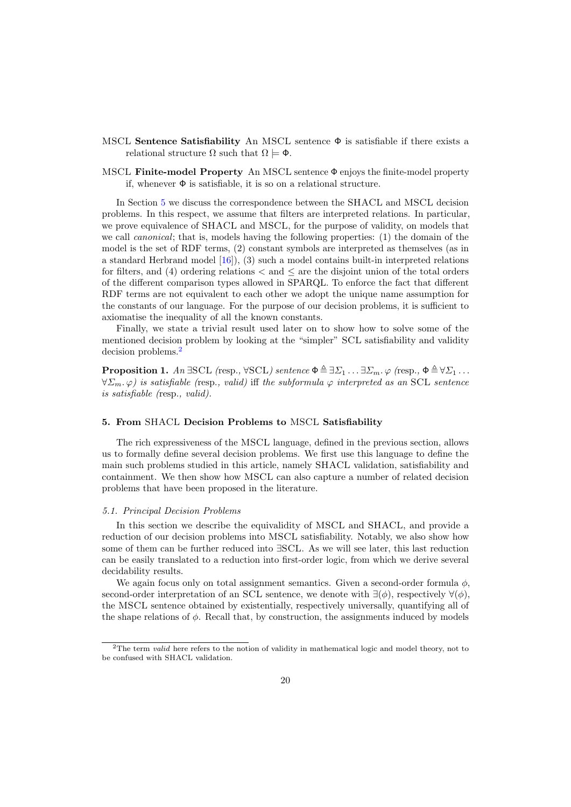- MSCL Sentence Satisfiability An MSCL sentence  $\Phi$  is satisfiable if there exists a relational structure  $\Omega$  such that  $\Omega \models \Phi$ .
- MSCL Finite-model Property An MSCL sentence Φ enjoys the finite-model property if, whenever  $\Phi$  is satisfiable, it is so on a relational structure.

In Section [5](#page-19-1) we discuss the correspondence between the SHACL and MSCL decision problems. In this respect, we assume that filters are interpreted relations. In particular, we prove equivalence of SHACL and MSCL, for the purpose of validity, on models that we call canonical; that is, models having the following properties: (1) the domain of the model is the set of RDF terms, (2) constant symbols are interpreted as themselves (as in a standard Herbrand model [\[16\]](#page-49-13)), (3) such a model contains built-in interpreted relations for filters, and (4) ordering relations  $\lt$  and  $\lt$  are the disjoint union of the total orders of the different comparison types allowed in SPARQL. To enforce the fact that different RDF terms are not equivalent to each other we adopt the unique name assumption for the constants of our language. For the purpose of our decision problems, it is sufficient to axiomatise the inequality of all the known constants.

Finally, we state a trivial result used later on to show how to solve some of the mentioned decision problem by looking at the "simpler" SCL satisfiability and validity decision problems.[2](#page-19-2)

<span id="page-19-0"></span>**Proposition 1.** An  $\exists$ SCL (resp.,  $\forall$ SCL) sentence  $\Phi \triangleq \exists \Sigma_1 \dots \exists \Sigma_m$ .  $\varphi$  (resp.,  $\Phi \triangleq \forall \Sigma_1 \dots \Sigma_m$  $\forall \Sigma_m$ .  $\varphi$ ) is satisfiable (resp., valid) iff the subformula  $\varphi$  interpreted as an SCL sentence is satisfiable (resp., valid).

# <span id="page-19-1"></span>5. From SHACL Decision Problems to MSCL Satisfiability

The rich expressiveness of the MSCL language, defined in the previous section, allows us to formally define several decision problems. We first use this language to define the main such problems studied in this article, namely SHACL validation, satisfiability and containment. We then show how MSCL can also capture a number of related decision problems that have been proposed in the literature.

### 5.1. Principal Decision Problems

In this section we describe the equivalidity of MSCL and SHACL, and provide a reduction of our decision problems into MSCL satisfiability. Notably, we also show how some of them can be further reduced into ∃SCL. As we will see later, this last reduction can be easily translated to a reduction into first-order logic, from which we derive several decidability results.

We again focus only on total assignment semantics. Given a second-order formula  $\phi$ , second-order interpretation of an SCL sentence, we denote with  $\exists(\phi)$ , respectively  $\forall(\phi)$ . the MSCL sentence obtained by existentially, respectively universally, quantifying all of the shape relations of  $\phi$ . Recall that, by construction, the assignments induced by models

<span id="page-19-2"></span><sup>&</sup>lt;sup>2</sup>The term *valid* here refers to the notion of validity in mathematical logic and model theory, not to be confused with SHACL validation.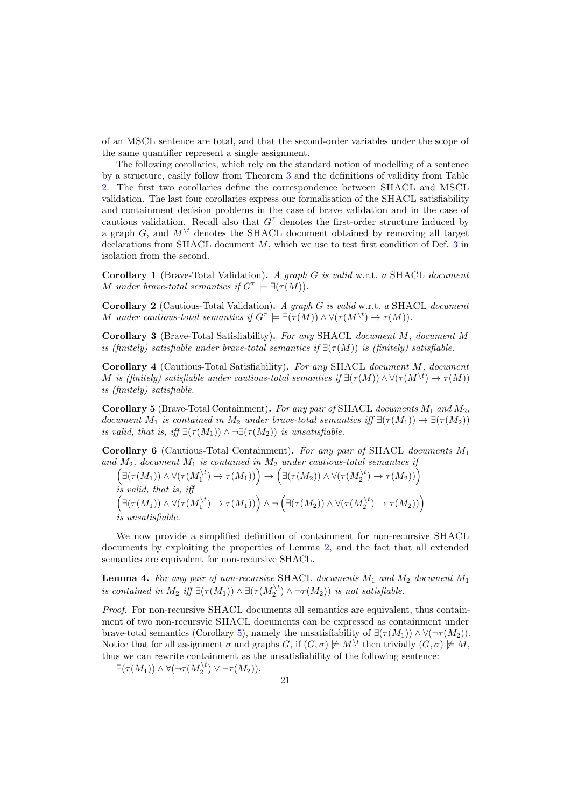of an MSCL sentence are total, and that the second-order variables under the scope of the same quantifier represent a single assignment.

The following corollaries, which rely on the standard notion of modelling of a sentence by a structure, easily follow from Theorem [3](#page-17-0) and the definitions of validity from Table [2.](#page-11-1) The first two corollaries define the correspondence between SHACL and MSCL validation. The last four corollaries express our formalisation of the SHACL satisfiability and containment decision problems in the case of brave validation and in the case of cautious validation. Recall also that  $G^{\tau}$  denotes the first-order structure induced by a graph G, and  $M^{\backslash t}$  denotes the SHACL document obtained by removing all target declarations from SHACL document M, which we use to test first condition of Def. [3](#page-6-2) in isolation from the second.

<span id="page-20-0"></span>Corollary 1 (Brave-Total Validation). A graph G is valid w.r.t. a SHACL document M under brave-total semantics if  $G^{\tau} \models \exists (\tau(M)).$ 

Corollary 2 (Cautious-Total Validation). A graph G is valid w.r.t. a SHACL document M under cautious-total semantics if  $G^{\tau} \models \exists (\tau(M)) \land \forall (\tau(M^{\setminus t}) \to \tau(M)).$ 

Corollary 3 (Brave-Total Satisfiability). For any SHACL document M, document M is (finitely) satisfiable under brave-total semantics if  $\exists(\tau(M))$  is (finitely) satisfiable.

Corollary 4 (Cautious-Total Satisfiability). For any SHACL document M, document M is (finitely) satisfiable under cautious-total semantics if  $\exists (\tau(M)) \wedge \forall (\tau(M^{\setminus t}) \to \tau(M))$ is (finitely) satisfiable.

<span id="page-20-3"></span>Corollary 5 (Brave-Total Containment). For any pair of SHACL documents  $M_1$  and  $M_2$ , document  $M_1$  is contained in  $M_2$  under brave-total semantics iff  $\exists(\tau(M_1)) \rightarrow \exists(\tau(M_2))$ is valid, that is, iff  $\exists(\tau(M_1)) \wedge \neg \exists(\tau(M_2))$  is unsatisfiable.

<span id="page-20-1"></span>Corollary 6 (Cautious-Total Containment). For any pair of SHACL documents  $M_1$ and  $M_2$ , document  $M_1$  is contained in  $M_2$  under cautious-total semantics if

$$
\left(\exists(\tau(M_1))\land\forall(\tau(M_1^{t})\to\tau(M_1))\right)\to\left(\exists(\tau(M_2))\land\forall(\tau(M_2^{t})\to\tau(M_2))\right)
$$
  
is valid, that is, iff  

$$
\left(\exists(\tau(M_1))\land\forall(\tau(M_1^{t})\to\tau(M_1))\right)\land\lnot\left(\exists(\tau(M_2))\land\forall(\tau(M_2^{t})\to\tau(M_2))\right)
$$
  
is unsatisfiable.

We now provide a simplified definition of containment for non-recursive SHACL documents by exploiting the properties of Lemma [2,](#page-7-0) and the fact that all extended semantics are equivalent for non-recursive SHACL.

<span id="page-20-2"></span>**Lemma 4.** For any pair of non-recursive SHACL documents  $M_1$  and  $M_2$  document  $M_1$ is contained in  $M_2$  iff  $\exists (\tau(M_1)) \wedge \exists (\tau(M_2^{\setminus t}) \wedge \neg \tau(M_2))$  is not satisfiable.

Proof. For non-recursive SHACL documents all semantics are equivalent, thus containment of two non-recursvie SHACL documents can be expressed as containment under brave-total semantics (Corollary [5\)](#page-20-3), namely the unsatisfiability of  $\exists (\tau(M_1)) \wedge \forall (\neg \tau(M_2)).$ Notice that for all assignment  $\sigma$  and graphs G, if  $(G, \sigma) \not\models M^{\setminus t}$  then trivially  $(G, \sigma) \not\models M$ , thus we can rewrite containment as the unsatisfiability of the following sentence:

 $\exists (\tau(M_1)) \wedge \forall (\neg \tau(M_2^{\setminus t}) \vee \neg \tau(M_2)),$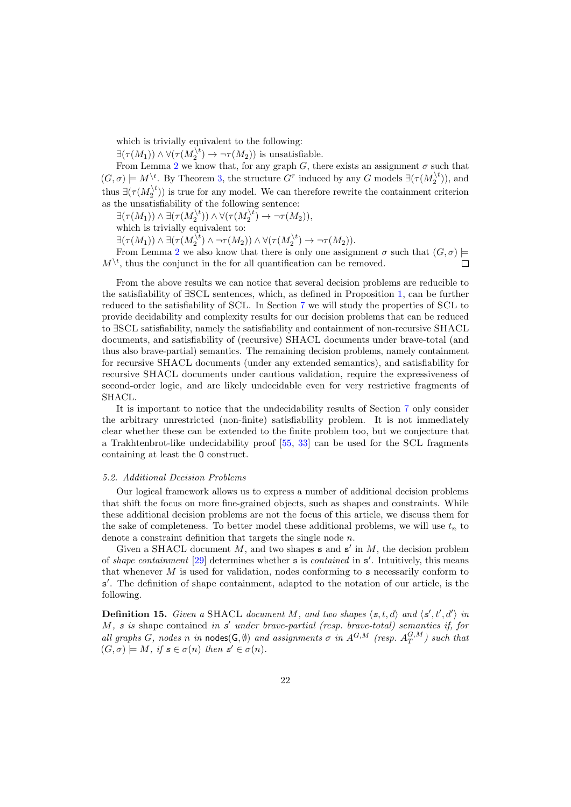which is trivially equivalent to the following:

 $\exists(\tau(M_1)) \wedge \forall(\tau(M_2^{\setminus t}) \rightarrow \neg \tau(M_2))$  is unsatisfiable.

From Lemma [2](#page-7-0) we know that, for any graph G, there exists an assignment  $\sigma$  such that  $(G, \sigma) \models M^{\setminus t}$ . By Theorem [3,](#page-17-0) the structure  $G^{\tau}$  induced by any G models  $\exists (\tau(M_2^{\setminus t}))$ , and thus  $\exists (\tau(M_2^{\setminus t}))$  is true for any model. We can therefore rewrite the containment criterion as the unsatisfiability of the following sentence:

 $\exists (\tau(M_1)) \wedge \exists (\tau(M_2^{\setminus t})) \wedge \forall (\tau(M_2^{\setminus t}) \rightarrow \neg \tau(M_2)),$ 

which is trivially equivalent to:

 $\exists (\tau(M_1)) \wedge \exists (\tau(M_2^{\setminus t}) \wedge \neg \tau(M_2)) \wedge \forall (\tau(M_2^{\setminus t}) \rightarrow \neg \tau(M_2)).$ 

From Lemma [2](#page-7-0) we also know that there is only one assignment  $\sigma$  such that  $(G, \sigma)$  $M^{\setminus t}$ , thus the conjunct in the for all quantification can be removed.  $\Box$ 

From the above results we can notice that several decision problems are reducible to the satisfiability of ∃SCL sentences, which, as defined in Proposition [1,](#page-19-0) can be further reduced to the satisfiability of SCL. In Section [7](#page-31-0) we will study the properties of SCL to provide decidability and complexity results for our decision problems that can be reduced to ∃SCL satisfiability, namely the satisfiability and containment of non-recursive SHACL documents, and satisfiability of (recursive) SHACL documents under brave-total (and thus also brave-partial) semantics. The remaining decision problems, namely containment for recursive SHACL documents (under any extended semantics), and satisfiability for recursive SHACL documents under cautious validation, require the expressiveness of second-order logic, and are likely undecidable even for very restrictive fragments of SHACL.

It is important to notice that the undecidability results of Section [7](#page-31-0) only consider the arbitrary unrestricted (non-finite) satisfiability problem. It is not immediately clear whether these can be extended to the finite problem too, but we conjecture that a Trakhtenbrot-like undecidability proof [\[55,](#page-50-15) [33\]](#page-50-16) can be used for the SCL fragments containing at least the O construct.

### <span id="page-21-0"></span>5.2. Additional Decision Problems

Our logical framework allows us to express a number of additional decision problems that shift the focus on more fine-grained objects, such as shapes and constraints. While these additional decision problems are not the focus of this article, we discuss them for the sake of completeness. To better model these additional problems, we will use  $t_n$  to denote a constraint definition that targets the single node n.

Given a SHACL document  $M$ , and two shapes  $s$  and  $s'$  in  $M$ , the decision problem of shape containment  $[29]$  determines whether **s** is contained in  $s'$ . Intuitively, this means that whenever  $M$  is used for validation, nodes conforming to  $s$  necessarily conform to s'. The definition of shape containment, adapted to the notation of our article, is the following.

**Definition 15.** Given a SHACL document M, and two shapes  $\langle s, t, d \rangle$  and  $\langle s', t', d' \rangle$  in  $M$ , s is shape contained in  $s'$  under brave-partial (resp. brave-total) semantics if, for all graphs G, nodes n in nodes( $\mathsf{G}, \emptyset$ ) and assignments  $\sigma$  in  $A^{G,M}$  (resp.  $A^{G,M}_T$ ) such that  $(G, \sigma) \models M$ , if  $s \in \sigma(n)$  then  $s' \in \sigma(n)$ .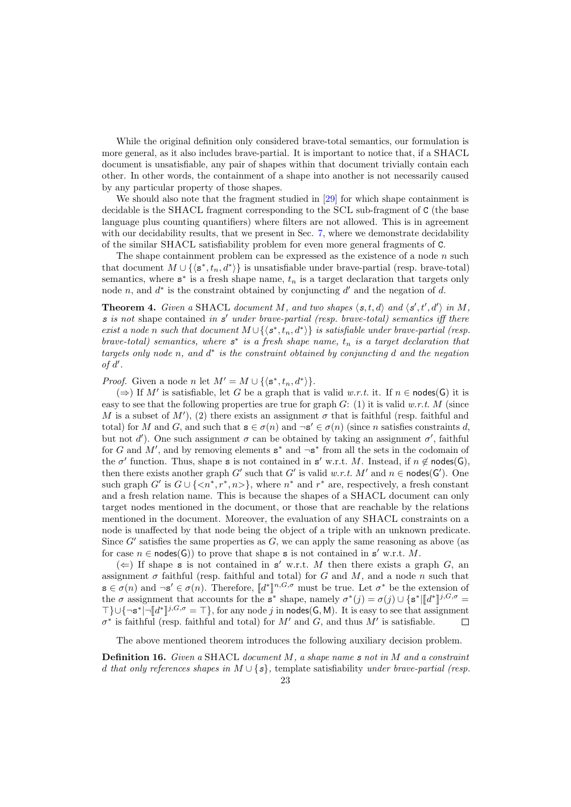While the original definition only considered brave-total semantics, our formulation is more general, as it also includes brave-partial. It is important to notice that, if a SHACL document is unsatisfiable, any pair of shapes within that document trivially contain each other. In other words, the containment of a shape into another is not necessarily caused by any particular property of those shapes.

We should also note that the fragment studied in [\[29\]](#page-49-6) for which shape containment is decidable is the SHACL fragment corresponding to the SCL sub-fragment of C (the base language plus counting quantifiers) where filters are not allowed. This is in agreement with our decidability results, that we present in Sec. [7,](#page-31-0) where we demonstrate decidability of the similar SHACL satisfiability problem for even more general fragments of C.

The shape containment problem can be expressed as the existence of a node  $n$  such that document  $M \cup \{\langle s^*, t_n, d^*\rangle\}$  is unsatisfiable under brave-partial (resp. brave-total) semantics, where  $s^*$  is a fresh shape name,  $t_n$  is a target declaration that targets only node n, and  $d^*$  is the constraint obtained by conjuncting  $d'$  and the negation of d.

**Theorem 4.** Given a SHACL document M, and two shapes  $\langle s, t, d \rangle$  and  $\langle s', t', d' \rangle$  in M,  $s$  is not shape contained in  $s'$  under brave-partial (resp. brave-total) semantics iff there exist a node n such that document  $M \cup \{\langle s^*, t_n, d^* \rangle\}$  is satisfiable under brave-partial (resp. brave-total) semantics, where  $s^*$  is a fresh shape name,  $t_n$  is a target declaration that targets only node n, and  $d^*$  is the constraint obtained by conjuncting  $d$  and the negation of  $d'$ .

*Proof.* Given a node n let  $M' = M \cup \{\langle s^*, t_n, d^* \rangle\}.$ 

(⇒) If M' is satisfiable, let G be a graph that is valid w.r.t. it. If  $n \in \text{nodes}(G)$  it is easy to see that the following properties are true for graph  $G: (1)$  it is valid w.r.t. M (since M is a subset of M'), (2) there exists an assignment  $\sigma$  that is faithful (resp. faithful and total) for M and G, and such that  $\mathbf{s} \in \sigma(n)$  and  $\neg \mathbf{s}' \in \sigma(n)$  (since n satisfies constraints d, but not d'). One such assignment  $\sigma$  can be obtained by taking an assignment  $\sigma'$ , faithful for G and M', and by removing elements  $s^*$  and  $\neg s^*$  from all the sets in the codomain of the  $\sigma'$  function. Thus, shape s is not contained in s' w.r.t. M. Instead, if  $n \notin \text{nodes}(G)$ , then there exists another graph G' such that G' is valid w.r.t. M' and  $n \in \text{nodes}(G')$ . One such graph G' is  $G \cup \{ \langle n^*, r^*, n \rangle \}$ , where  $n^*$  and  $r^*$  are, respectively, a fresh constant and a fresh relation name. This is because the shapes of a SHACL document can only target nodes mentioned in the document, or those that are reachable by the relations mentioned in the document. Moreover, the evaluation of any SHACL constraints on a node is unaffected by that node being the object of a triple with an unknown predicate. Since  $G'$  satisfies the same properties as  $G$ , we can apply the same reasoning as above (as for case  $n \in \text{nodes}(G)$  to prove that shape s is not contained in s' w.r.t. M.

 $(\Leftarrow)$  If shape s is not contained in s' w.r.t. M then there exists a graph G, an assignment  $\sigma$  faithful (resp. faithful and total) for G and M, and a node n such that  $\mathbf{s} \in \sigma(n)$  and  $\neg \mathbf{s}' \in \sigma(n)$ . Therefore,  $\llbracket d^* \rrbracket^{n,G,\sigma}$  must be true. Let  $\sigma^*$  be the extension of<br>the  $\sigma$  segignment that accounts for the  $\sigma^*$  shape, namely  $\sigma^*(d) = \sigma(d) \cup \{\sigma^* \mid \llbracket d^* \rrbracket^{n}, G, \sigma =$  $\mathcal{L} \subset \{k\}$ ,  $\mathcal{L} \subset \{k\}$ ,  $\mathcal{L} \subset \{k\}$ ,  $\mathcal{L} \subset \{k\}$ ,  $\mathcal{L} \subset \{k\}$ ,  $\mathcal{L} \subset \{k\}$ ,  $\mathcal{L} \subset \{k\}$ ,  $\mathcal{L} \subset \{k\}$ ,  $\mathcal{L} \subset \{k\}$ ,  $\mathcal{L} \subset \{k\}$ ,  $\mathcal{L} \subset \{k\}$ ,  $\mathcal{L} \subset \{k\}$ ,  $\mathcal{L} \subset \{k\}$  $\begin{bmatrix} \mathcal{F} & \mathcal{F} \end{bmatrix} \cup \{\neg s^* \mid \neg [\![d^*]\!]^{j, G, \sigma} = \top\},$  for any node j in nodes(G, M). It is easy to see that assignment  $\sigma^*$  is faithful (resp. faithful and total) for M' and G, and thus M' is satisfiable.  $\Box$ 

The above mentioned theorem introduces the following auxiliary decision problem.

<span id="page-22-0"></span>**Definition 16.** Given a SHACL document  $M$ , a shape name  $s$  not in  $M$  and a constraint d that only references shapes in  $M \cup \{s\}$ , template satisfiability under brave-partial (resp.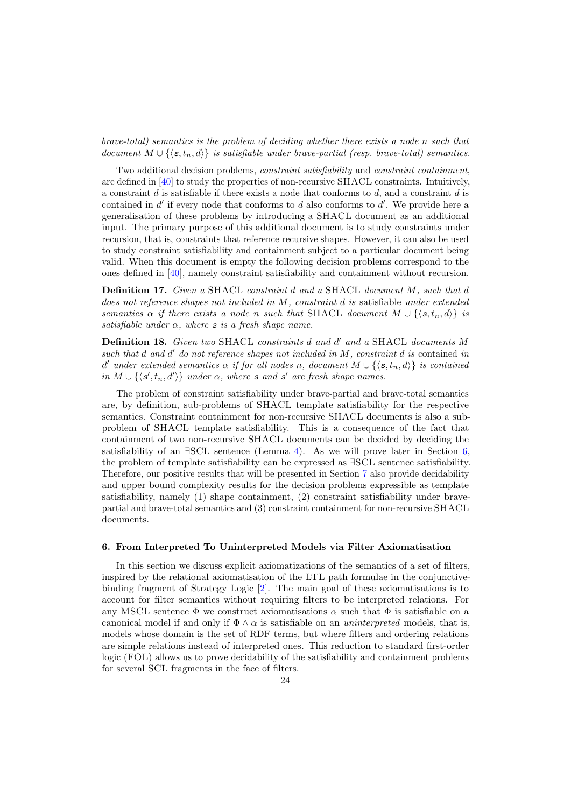brave-total) semantics is the problem of deciding whether there exists a node n such that document  $M \cup \{\langle s, t_n, d \rangle\}$  is satisfiable under brave-partial (resp. brave-total) semantics.

Two additional decision problems, constraint satisfiability and constraint containment, are defined in [\[40\]](#page-50-6) to study the properties of non-recursive SHACL constraints. Intuitively, a constraint  $d$  is satisfiable if there exists a node that conforms to  $d$ , and a constraint  $d$  is contained in  $d'$  if every node that conforms to  $d$  also conforms to  $d'$ . We provide here a generalisation of these problems by introducing a SHACL document as an additional input. The primary purpose of this additional document is to study constraints under recursion, that is, constraints that reference recursive shapes. However, it can also be used to study constraint satisfiability and containment subject to a particular document being valid. When this document is empty the following decision problems correspond to the ones defined in [\[40\]](#page-50-6), namely constraint satisfiability and containment without recursion.

Definition 17. Given a SHACL constraint d and a SHACL document M, such that d does not reference shapes not included in M, constraint d is satisfiable under extended semantics  $\alpha$  if there exists a node n such that SHACL document  $M \cup \{ \langle s, t_n, d \rangle \}$  is satisfiable under  $\alpha$ , where s is a fresh shape name.

Definition 18. Given two SHACL constraints d and d' and a SHACL documents M such that  $d$  and  $d'$  do not reference shapes not included in  $M$ , constraint  $d$  is contained in d' under extended semantics  $\alpha$  if for all nodes n, document  $M \cup \{ \langle s, t_n, d \rangle \}$  is contained in  $M \cup \{\langle s', t_n, d'\rangle\}$  under  $\alpha$ , where s and s' are fresh shape names.

The problem of constraint satisfiability under brave-partial and brave-total semantics are, by definition, sub-problems of SHACL template satisfiability for the respective semantics. Constraint containment for non-recursive SHACL documents is also a subproblem of SHACL template satisfiability. This is a consequence of the fact that containment of two non-recursive SHACL documents can be decided by deciding the satisfiability of an  $\exists$ SCL sentence (Lemma [4\)](#page-20-2). As we will prove later in Section [6,](#page-23-0) the problem of template satisfiability can be expressed as ∃SCL sentence satisfiability. Therefore, our positive results that will be presented in Section [7](#page-31-0) also provide decidability and upper bound complexity results for the decision problems expressible as template satisfiability, namely (1) shape containment, (2) constraint satisfiability under bravepartial and brave-total semantics and (3) constraint containment for non-recursive SHACL documents.

#### <span id="page-23-0"></span>6. From Interpreted To Uninterpreted Models via Filter Axiomatisation

In this section we discuss explicit axiomatizations of the semantics of a set of filters, inspired by the relational axiomatisation of the LTL path formulae in the conjunctivebinding fragment of Strategy Logic [\[2\]](#page-49-14). The main goal of these axiomatisations is to account for filter semantics without requiring filters to be interpreted relations. For any MSCL sentence  $\Phi$  we construct axiomatisations  $\alpha$  such that  $\Phi$  is satisfiable on a canonical model if and only if  $\Phi \wedge \alpha$  is satisfiable on an *uninterpreted* models, that is, models whose domain is the set of RDF terms, but where filters and ordering relations are simple relations instead of interpreted ones. This reduction to standard first-order logic (FOL) allows us to prove decidability of the satisfiability and containment problems for several SCL fragments in the face of filters.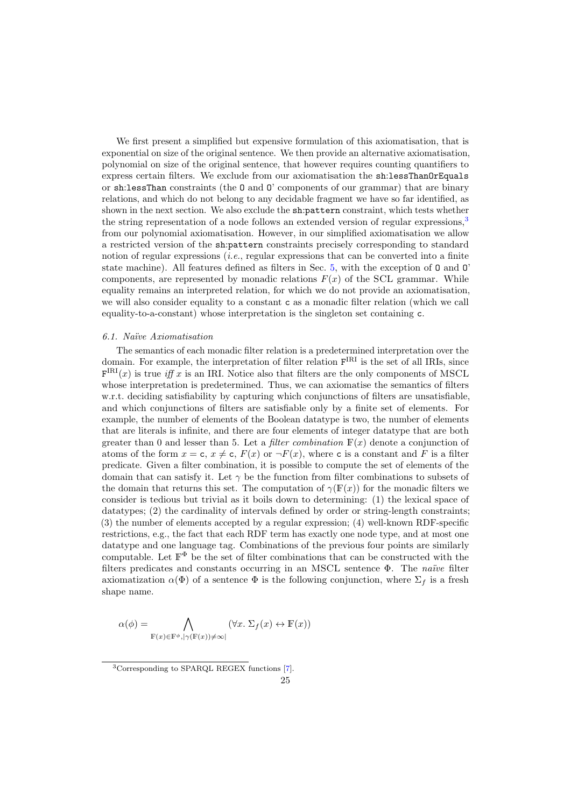We first present a simplified but expensive formulation of this axiomatisation, that is exponential on size of the original sentence. We then provide an alternative axiomatisation, polynomial on size of the original sentence, that however requires counting quantifiers to express certain filters. We exclude from our axiomatisation the sh:lessThanOrEquals or sh:lessThan constraints (the O and O' components of our grammar) that are binary relations, and which do not belong to any decidable fragment we have so far identified, as shown in the next section. We also exclude the sh:pattern constraint, which tests whether the string representation of a node follows an extended version of regular expressions,  $3$ from our polynomial axiomatisation. However, in our simplified axiomatisation we allow a restricted version of the sh:pattern constraints precisely corresponding to standard notion of regular expressions (i.e., regular expressions that can be converted into a finite state machine). All features defined as filters in Sec. [5,](#page-19-1) with the exception of O and O' components, are represented by monadic relations  $F(x)$  of the SCL grammar. While equality remains an interpreted relation, for which we do not provide an axiomatisation, we will also consider equality to a constant c as a monadic filter relation (which we call equality-to-a-constant) whose interpretation is the singleton set containing c.

#### 6.1. Na¨ıve Axiomatisation

The semantics of each monadic filter relation is a predetermined interpretation over the domain. For example, the interpretation of filter relation  $F^{IRI}$  is the set of all IRIs, since  $F^{IRI}(x)$  is true iff x is an IRI. Notice also that filters are the only components of MSCL whose interpretation is predetermined. Thus, we can axiomatise the semantics of filters w.r.t. deciding satisfiability by capturing which conjunctions of filters are unsatisfiable, and which conjunctions of filters are satisfiable only by a finite set of elements. For example, the number of elements of the Boolean datatype is two, the number of elements that are literals is infinite, and there are four elements of integer datatype that are both greater than 0 and lesser than 5. Let a *filter combination*  $F(x)$  denote a conjunction of atoms of the form  $x = c$ ,  $x \neq c$ ,  $F(x)$  or  $\neg F(x)$ , where c is a constant and F is a filter predicate. Given a filter combination, it is possible to compute the set of elements of the domain that can satisfy it. Let  $\gamma$  be the function from filter combinations to subsets of the domain that returns this set. The computation of  $\gamma(F(x))$  for the monadic filters we consider is tedious but trivial as it boils down to determining: (1) the lexical space of datatypes; (2) the cardinality of intervals defined by order or string-length constraints; (3) the number of elements accepted by a regular expression; (4) well-known RDF-specific restrictions, e.g., the fact that each RDF term has exactly one node type, and at most one datatype and one language tag. Combinations of the previous four points are similarly computable. Let  $\mathbb{F}^{\Phi}$  be the set of filter combinations that can be constructed with the filters predicates and constants occurring in an MSCL sentence  $\Phi$ . The *naïve* filter axiomatization  $\alpha(\Phi)$  of a sentence  $\Phi$  is the following conjunction, where  $\Sigma_f$  is a fresh shape name.

$$
\alpha(\phi) = \bigwedge_{\mathbb{F}(x) \in \mathbb{F}^{\phi}, |\gamma(\mathbb{F}(x)) \neq \infty]} (\forall x. \ \Sigma_f(x) \leftrightarrow \mathbb{F}(x))
$$

<span id="page-24-0"></span><sup>3</sup>Corresponding to SPARQL REGEX functions [\[7\]](#page-49-15).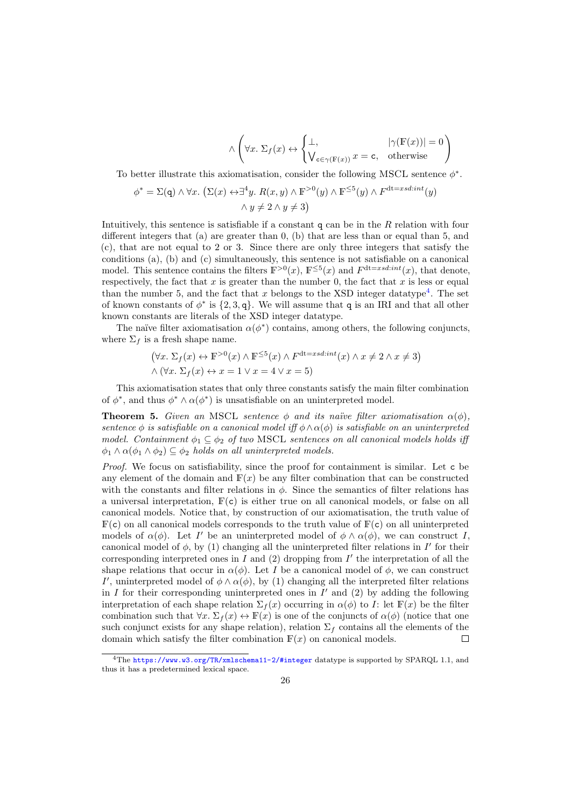$$
\wedge \left( \forall x. \ \Sigma_f(x) \leftrightarrow \begin{cases} \bot, & |\gamma(\mathbb{F}(x))| = 0 \\ \mathsf{V}_{\mathsf{c} \in \gamma(\mathbb{F}(x))} x = \mathsf{c}, & \text{otherwise} \end{cases} \right)
$$

To better illustrate this axiomatisation, consider the following MSCL sentence  $\phi^*$ .

$$
\phi^* = \Sigma(\mathbf{q}) \land \forall x. \ (\Sigma(x) \leftrightarrow \exists^4 y. \ R(x, y) \land \mathbb{F}^{>0}(y) \land \mathbb{F}^{\leq 5}(y) \land F^{\mathrm{dt}=xsd-int}(y) \land y \neq 2 \land y \neq 3)
$$

Intuitively, this sentence is satisfiable if a constant  $q$  can be in the  $R$  relation with four different integers that (a) are greater than 0, (b) that are less than or equal than 5, and (c), that are not equal to 2 or 3. Since there are only three integers that satisfy the conditions (a), (b) and (c) simultaneously, this sentence is not satisfiable on a canonical model. This sentence contains the filters  $\mathbb{F}^{>0}(x)$ ,  $\mathbb{F}^{\leq 5}(x)$  and  $F^{\text{dt}=xsd-int}(x)$ , that denote, respectively, the fact that  $x$  is greater than the number 0, the fact that  $x$  is less or equal than the number 5, and the fact that x belongs to the XSD integer datatype<sup>[4](#page-25-0)</sup>. The set of known constants of  $\phi^*$  is  $\{2, 3, q\}$ . We will assume that q is an IRI and that all other known constants are literals of the XSD integer datatype.

The naïve filter axiomatisation  $\alpha(\phi^*)$  contains, among others, the following conjuncts, where  $\Sigma_f$  is a fresh shape name.

$$
(\forall x. \ \Sigma_f(x) \leftrightarrow \mathbb{F}^{>0}(x) \land \mathbb{F}^{\leq 5}(x) \land F^{\text{dt}=xsd:int}(x) \land x \neq 2 \land x \neq 3)
$$

$$
\land (\forall x. \ \Sigma_f(x) \leftrightarrow x = 1 \lor x = 4 \lor x = 5)
$$

This axiomatisation states that only three constants satisfy the main filter combination of  $\phi^*$ , and thus  $\phi^* \wedge \alpha(\phi^*)$  is unsatisfiable on an uninterpreted model.

**Theorem 5.** Given an MSCL sentence  $\phi$  and its naïve filter axiomatisation  $\alpha(\phi)$ , sentence  $\phi$  is satisfiable on a canonical model iff  $\phi \wedge \alpha(\phi)$  is satisfiable on an uninterpreted model. Containment  $\phi_1 \subseteq \phi_2$  of two MSCL sentences on all canonical models holds iff  $\phi_1 \wedge \alpha(\phi_1 \wedge \phi_2) \subseteq \phi_2$  holds on all uninterpreted models.

Proof. We focus on satisfiability, since the proof for containment is similar. Let c be any element of the domain and  $F(x)$  be any filter combination that can be constructed with the constants and filter relations in  $\phi$ . Since the semantics of filter relations has a universal interpretation,  $F(c)$  is either true on all canonical models, or false on all canonical models. Notice that, by construction of our axiomatisation, the truth value of  $F(c)$  on all canonical models corresponds to the truth value of  $F(c)$  on all uninterpreted models of  $\alpha(\phi)$ . Let I' be an uninterpreted model of  $\phi \wedge \alpha(\phi)$ , we can construct I, canonical model of  $\phi$ , by (1) changing all the uninterpreted filter relations in  $I'$  for their corresponding interpreted ones in  $I$  and  $(2)$  dropping from  $I'$  the interpretation of all the shape relations that occur in  $\alpha(\phi)$ . Let I be a canonical model of  $\phi$ , we can construct I', uninterpreted model of  $\phi \wedge \alpha(\phi)$ , by (1) changing all the interpreted filter relations in  $I$  for their corresponding uninterpreted ones in  $I'$  and  $(2)$  by adding the following interpretation of each shape relation  $\Sigma_f(x)$  occurring in  $\alpha(\phi)$  to I: let  $\mathbb{F}(x)$  be the filter combination such that  $\forall x \, \Sigma_f(x) \leftrightarrow \mathbb{F}(x)$  is one of the conjuncts of  $\alpha(\phi)$  (notice that one such conjunct exists for any shape relation), relation  $\Sigma_f$  contains all the elements of the domain which satisfy the filter combination  $F(x)$  on canonical models.  $\Box$ 

<span id="page-25-0"></span><sup>4</sup>The <https://www.w3.org/TR/xmlschema11-2/#integer> datatype is supported by SPARQL 1.1, and thus it has a predetermined lexical space.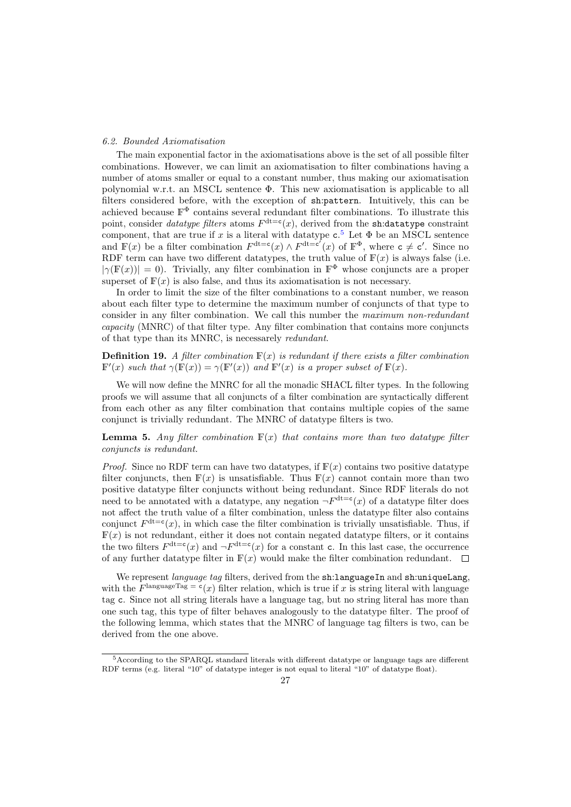### 6.2. Bounded Axiomatisation

The main exponential factor in the axiomatisations above is the set of all possible filter combinations. However, we can limit an axiomatisation to filter combinations having a number of atoms smaller or equal to a constant number, thus making our axiomatisation polynomial w.r.t. an MSCL sentence Φ. This new axiomatisation is applicable to all filters considered before, with the exception of sh:pattern. Intuitively, this can be achieved because  $\mathbb{F}^{\Phi}$  contains several redundant filter combinations. To illustrate this point, consider *datatype filters* atoms  $F^{\text{dt}=c}(x)$ , derived from the sh:datatype constraint component, that are true if x is a literal with datatype  $c^5$  $c^5$ . Let  $\Phi$  be an MSCL sentence and  $\mathbb{F}(x)$  be a filter combination  $F^{\text{dt}=c}(x) \wedge F^{\text{dt}=c'}(x)$  of  $\mathbb{F}^{\Phi}$ , where  $c \neq c'$ . Since no RDF term can have two different datatypes, the truth value of  $F(x)$  is always false (i.e.  $|\gamma(\mathbb{F}(x))| = 0$ . Trivially, any filter combination in  $\mathbb{F}^{\Phi}$  whose conjuncts are a proper superset of  $F(x)$  is also false, and thus its axiomatisation is not necessary.

In order to limit the size of the filter combinations to a constant number, we reason about each filter type to determine the maximum number of conjuncts of that type to consider in any filter combination. We call this number the maximum non-redundant capacity (MNRC) of that filter type. Any filter combination that contains more conjuncts of that type than its MNRC, is necessarely redundant.

**Definition 19.** A filter combination  $\mathbb{F}(x)$  is redundant if there exists a filter combination  $\mathbb{F}'(x)$  such that  $\gamma(\mathbb{F}(x)) = \gamma(\mathbb{F}'(x))$  and  $\mathbb{F}'(x)$  is a proper subset of  $\mathbb{F}(x)$ .

We will now define the MNRC for all the monadic SHACL filter types. In the following proofs we will assume that all conjuncts of a filter combination are syntactically different from each other as any filter combination that contains multiple copies of the same conjunct is trivially redundant. The MNRC of datatype filters is two.

<span id="page-26-1"></span>**Lemma 5.** Any filter combination  $F(x)$  that contains more than two datatype filter conjuncts is redundant.

*Proof.* Since no RDF term can have two datatypes, if  $F(x)$  contains two positive datatype filter conjuncts, then  $F(x)$  is unsatisfiable. Thus  $F(x)$  cannot contain more than two positive datatype filter conjuncts without being redundant. Since RDF literals do not need to be annotated with a datatype, any negation  $\neg F^{\text{dt}=c}(x)$  of a datatype filter does not affect the truth value of a filter combination, unless the datatype filter also contains conjunct  $F^{\text{dt}=c}(x)$ , in which case the filter combination is trivially unsatisfiable. Thus, if  $F(x)$  is not redundant, either it does not contain negated datatype filters, or it contains the two filters  $F^{\text{dt}=c}(x)$  and  $\neg F^{\text{dt}=c}(x)$  for a constant c. In this last case, the occurrence of any further datatype filter in  $F(x)$  would make the filter combination redundant.  $\Box$ 

We represent *language tag* filters, derived from the sh:languageIn and sh:uniqueLang, with the  $F^{\text{languageTag}} = c(x)$  filter relation, which is true if x is string literal with language tag c. Since not all string literals have a language tag, but no string literal has more than one such tag, this type of filter behaves analogously to the datatype filter. The proof of the following lemma, which states that the MNRC of language tag filters is two, can be derived from the one above.

<span id="page-26-0"></span><sup>5</sup>According to the SPARQL standard literals with different datatype or language tags are different RDF terms (e.g. literal "10" of datatype integer is not equal to literal "10" of datatype float).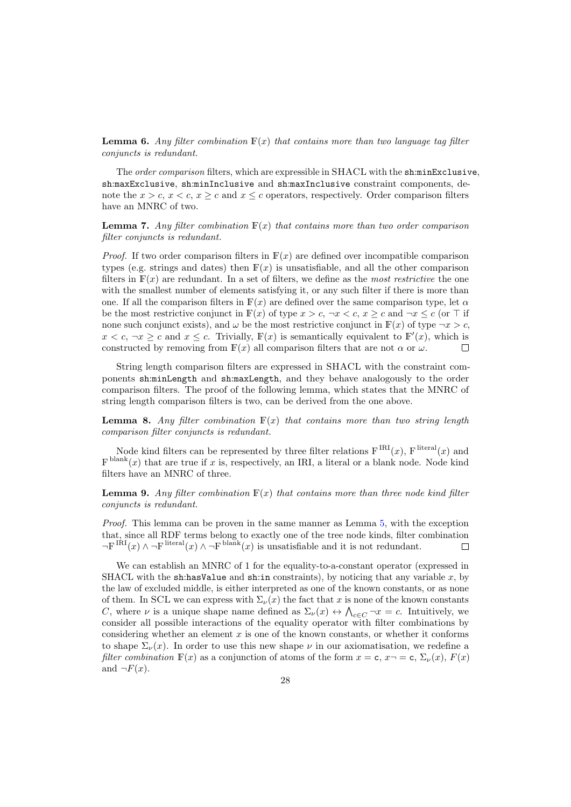**Lemma 6.** Any filter combination  $\mathbb{F}(x)$  that contains more than two language tag filter conjuncts is redundant.

The order comparison filters, which are expressible in SHACL with the sh:minExclusive, sh:maxExclusive, sh:minInclusive and sh:maxInclusive constraint components, denote the  $x > c$ ,  $x < c$ ,  $x \ge c$  and  $x \le c$  operators, respectively. Order comparison filters have an MNRC of two.

**Lemma 7.** Any filter combination  $\mathbb{F}(x)$  that contains more than two order comparison filter conjuncts is redundant.

*Proof.* If two order comparison filters in  $F(x)$  are defined over incompatible comparison types (e.g. strings and dates) then  $F(x)$  is unsatisfiable, and all the other comparison filters in  $F(x)$  are redundant. In a set of filters, we define as the most restrictive the one with the smallest number of elements satisfying it, or any such filter if there is more than one. If all the comparison filters in  $\mathbb{F}(x)$  are defined over the same comparison type, let  $\alpha$ be the most restrictive conjunct in  $\mathbb{F}(x)$  of type  $x > c, \, \neg x < c, \, x \geq c$  and  $\neg x \leq c$  (or  $\top$  if none such conjunct exists), and  $\omega$  be the most restrictive conjunct in  $\mathbb{F}(x)$  of type  $\neg x > c$ ,  $x < c, \, \neg x \geq c$  and  $x \leq c$ . Trivially,  $\mathbb{F}(x)$  is semantically equivalent to  $\mathbb{F}'(x)$ , which is constructed by removing from  $F(x)$  all comparison filters that are not  $\alpha$  or  $\omega$ .  $\Box$ 

String length comparison filters are expressed in SHACL with the constraint components sh:minLength and sh:maxLength, and they behave analogously to the order comparison filters. The proof of the following lemma, which states that the MNRC of string length comparison filters is two, can be derived from the one above.

**Lemma 8.** Any filter combination  $F(x)$  that contains more than two string length comparison filter conjuncts is redundant.

Node kind filters can be represented by three filter relations  $F^{IRI}(x)$ ,  $F^{literal}(x)$  and  $F<sup>blank</sup>(x)$  that are true if x is, respectively, an IRI, a literal or a blank node. Node kind filters have an MNRC of three.

**Lemma 9.** Any filter combination  $F(x)$  that contains more than three node kind filter conjuncts is redundant.

Proof. This lemma can be proven in the same manner as Lemma [5,](#page-26-1) with the exception that, since all RDF terms belong to exactly one of the tree node kinds, filter combination  $\neg F^{IRI}(x) \wedge \neg F^{literal}(x) \wedge \neg F^{blank}(x)$  is unsatisfiable and it is not redundant.

<span id="page-27-0"></span>We can establish an MNRC of 1 for the equality-to-a-constant operator (expressed in SHACL with the sh:hasValue and sh:in constraints), by noticing that any variable  $x$ , by the law of excluded middle, is either interpreted as one of the known constants, or as none of them. In SCL we can express with  $\Sigma_{\nu}(x)$  the fact that x is none of the known constants C, where  $\nu$  is a unique shape name defined as  $\Sigma_{\nu}(x) \leftrightarrow \bigwedge_{c \in C} \neg x = c$ . Intuitively, we consider all possible interactions of the equality operator with filter combinations by considering whether an element  $x$  is one of the known constants, or whether it conforms to shape  $\Sigma_{\nu}(x)$ . In order to use this new shape  $\nu$  in our axiomatisation, we redefine a filter combination  $F(x)$  as a conjunction of atoms of the form  $x = c, x \rightarrow c, \Sigma_{\nu}(x), F(x)$ and  $\neg F(x)$ .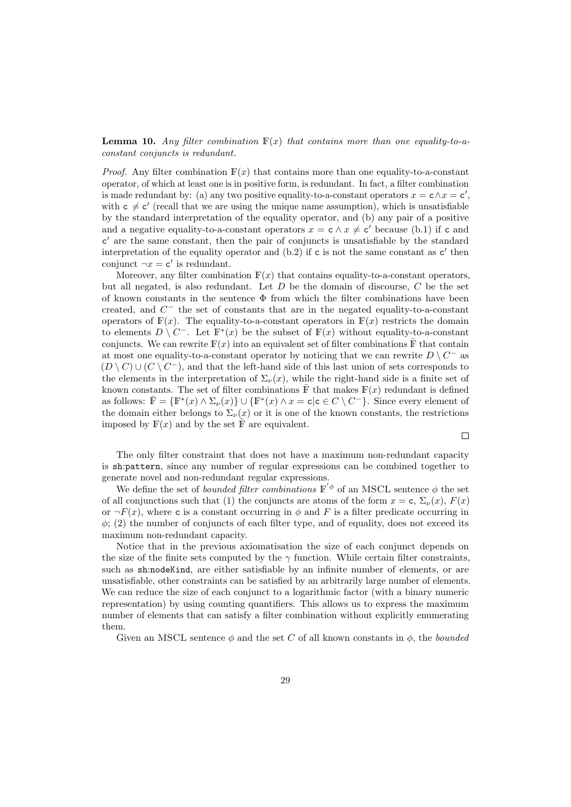**Lemma 10.** Any filter combination  $F(x)$  that contains more than one equality-to-aconstant conjuncts is redundant.

*Proof.* Any filter combination  $F(x)$  that contains more than one equality-to-a-constant operator, of which at least one is in positive form, is redundant. In fact, a filter combination is made redundant by: (a) any two positive equality-to-a-constant operators  $x = c \wedge x = c'$ , with  $c \neq c'$  (recall that we are using the unique name assumption), which is unsatisfiable by the standard interpretation of the equality operator, and (b) any pair of a positive and a negative equality-to-a-constant operators  $x = \mathsf{c} \wedge x \neq \mathsf{c}'$  because (b.1) if c and c' are the same constant, then the pair of conjuncts is unsatisfiable by the standard interpretation of the equality operator and  $(b.2)$  if c is not the same constant as  $c'$  then conjunct  $\neg x = \mathbf{c}'$  is redundant.

Moreover, any filter combination  $F(x)$  that contains equality-to-a-constant operators, but all negated, is also redundant. Let  $D$  be the domain of discourse,  $C$  be the set of known constants in the sentence  $\Phi$  from which the filter combinations have been created, and  $C^-$  the set of constants that are in the negated equality-to-a-constant operators of  $F(x)$ . The equality-to-a-constant operators in  $F(x)$  restricts the domain to elements  $D \setminus C^-$ . Let  $\mathbb{F}^*(x)$  be the subset of  $\mathbb{F}(x)$  without equality-to-a-constant conjuncts. We can rewrite  $F(x)$  into an equivalent set of filter combinations  $\overline{F}$  that contain at most one equality-to-a-constant operator by noticing that we can rewrite  $D \setminus C^-$  as  $(D \setminus C) \cup (C \setminus C^{-})$ , and that the left-hand side of this last union of sets corresponds to the elements in the interpretation of  $\Sigma_{\nu}(x)$ , while the right-hand side is a finite set of known constants. The set of filter combinations  $\overline{\mathbb{F}}$  that makes  $\mathbb{F}(x)$  redundant is defined as follows:  $\bar{\mathbb{F}} = {\mathbb{F}^*(x) \land \Sigma_{\nu}(x)} \cup {\mathbb{F}^*(x) \land x = \mathsf{c} | \mathsf{c} \in C \setminus C^{-}}$ . Since every element of the domain either belongs to  $\Sigma_{\nu}(x)$  or it is one of the known constants, the restrictions imposed by  $\mathbb{F}(x)$  and by the set  $\overline{\mathbb{F}}$  are equivalent.

The only filter constraint that does not have a maximum non-redundant capacity is sh:pattern, since any number of regular expressions can be combined together to generate novel and non-redundant regular expressions.

 $\Box$ 

We define the set of *bounded filter combinations*  $\mathbb{F}'^{\phi}$  of an MSCL sentence  $\phi$  the set of all conjunctions such that (1) the conjuncts are atoms of the form  $x = c$ ,  $\Sigma_{\nu}(x)$ ,  $F(x)$ or  $\neg F(x)$ , where c is a constant occurring in  $\phi$  and F is a filter predicate occurring in  $\phi$ ; (2) the number of conjuncts of each filter type, and of equality, does not exceed its maximum non-redundant capacity.

Notice that in the previous axiomatisation the size of each conjunct depends on the size of the finite sets computed by the  $\gamma$  function. While certain filter constraints, such as sh:nodeKind, are either satisfiable by an infinite number of elements, or are unsatisfiable, other constraints can be satisfied by an arbitrarily large number of elements. We can reduce the size of each conjunct to a logarithmic factor (with a binary numeric representation) by using counting quantifiers. This allows us to express the maximum number of elements that can satisfy a filter combination without explicitly enumerating them.

Given an MSCL sentence  $\phi$  and the set C of all known constants in  $\phi$ , the *bounded*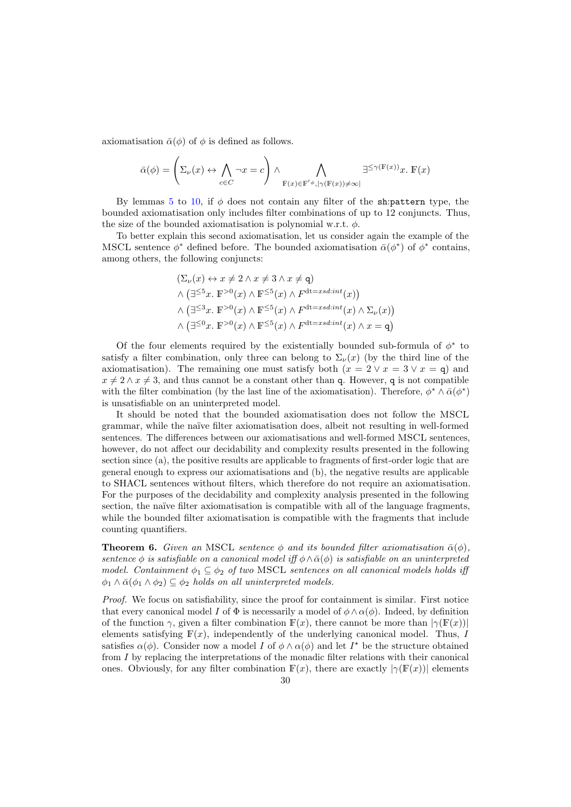axiomatisation  $\bar{\alpha}(\phi)$  of  $\phi$  is defined as follows.

$$
\bar{\alpha}(\phi) = \left(\Sigma_{\nu}(x) \leftrightarrow \bigwedge_{c \in C} \neg x = c\right) \land \bigwedge_{\mathbb{F}(x) \in \mathbb{F}'^{\phi}, |\gamma(\mathbb{F}(x)) \neq \infty)} \exists^{\leq \gamma(\mathbb{F}(x))} x. \mathbb{F}(x)
$$

By lemmas [5](#page-26-1) to [10,](#page-27-0) if  $\phi$  does not contain any filter of the sh:pattern type, the bounded axiomatisation only includes filter combinations of up to 12 conjuncts. Thus, the size of the bounded axiomatisation is polynomial w.r.t.  $\phi$ .

To better explain this second axiomatisation, let us consider again the example of the MSCL sentence  $\phi^*$  defined before. The bounded axiomatisation  $\bar{\alpha}(\phi^*)$  of  $\phi^*$  contains, among others, the following conjuncts:

$$
(\Sigma_{\nu}(x) \leftrightarrow x \neq 2 \land x \neq 3 \land x \neq q)
$$
  
\$\land (\exists^{\leq 5}x. \mathbb{F}^{>0}(x) \land \mathbb{F}^{\leq 5}(x) \land F^{dt=xsd;int}(x))\$  
\$\land (\exists^{\leq 3}x. \mathbb{F}^{>0}(x) \land \mathbb{F}^{\leq 5}(x) \land F^{dt=xsd;int}(x) \land \Sigma\_{\nu}(x))\$  
\$\land (\exists^{\leq 0}x. \mathbb{F}^{>0}(x) \land \mathbb{F}^{\leq 5}(x) \land F^{dt=xsd;int}(x) \land x = q)\$

Of the four elements required by the existentially bounded sub-formula of  $\phi^*$  to satisfy a filter combination, only three can belong to  $\Sigma_{\nu}(x)$  (by the third line of the axiomatisation). The remaining one must satisfy both  $(x = 2 \vee x = 3 \vee x = q)$  and  $x \neq 2 \wedge x \neq 3$ , and thus cannot be a constant other than q. However, q is not compatible with the filter combination (by the last line of the axiomatisation). Therefore,  $\phi^* \wedge \bar{\alpha}(\phi^*)$ is unsatisfiable on an uninterpreted model.

It should be noted that the bounded axiomatisation does not follow the MSCL grammar, while the na¨ıve filter axiomatisation does, albeit not resulting in well-formed sentences. The differences between our axiomatisations and well-formed MSCL sentences, however, do not affect our decidability and complexity results presented in the following section since (a), the positive results are applicable to fragments of first-order logic that are general enough to express our axiomatisations and (b), the negative results are applicable to SHACL sentences without filters, which therefore do not require an axiomatisation. For the purposes of the decidability and complexity analysis presented in the following section, the naïve filter axiomatisation is compatible with all of the language fragments, while the bounded filter axiomatisation is compatible with the fragments that include counting quantifiers.

<span id="page-29-0"></span>**Theorem 6.** Given an MSCL sentence  $\phi$  and its bounded filter axiomatisation  $\bar{\alpha}(\phi)$ , sentence  $\phi$  is satisfiable on a canonical model iff  $\phi \wedge \bar{\alpha}(\phi)$  is satisfiable on an uninterpreted model. Containment  $\phi_1 \subseteq \phi_2$  of two MSCL sentences on all canonical models holds iff  $\phi_1 \wedge \bar{\alpha}(\phi_1 \wedge \phi_2) \subseteq \phi_2$  holds on all uninterpreted models.

Proof. We focus on satisfiability, since the proof for containment is similar. First notice that every canonical model I of  $\Phi$  is necessarily a model of  $\phi \wedge \alpha(\phi)$ . Indeed, by definition of the function  $\gamma$ , given a filter combination  $F(x)$ , there cannot be more than  $|\gamma(F(x))|$ elements satisfying  $F(x)$ , independently of the underlying canonical model. Thus, I satisfies  $\alpha(\phi)$ . Consider now a model I of  $\phi \wedge \alpha(\phi)$  and let I<sup>\*</sup> be the structure obtained from I by replacing the interpretations of the monadic filter relations with their canonical ones. Obviously, for any filter combination  $F(x)$ , there are exactly  $|\gamma(F(x))|$  elements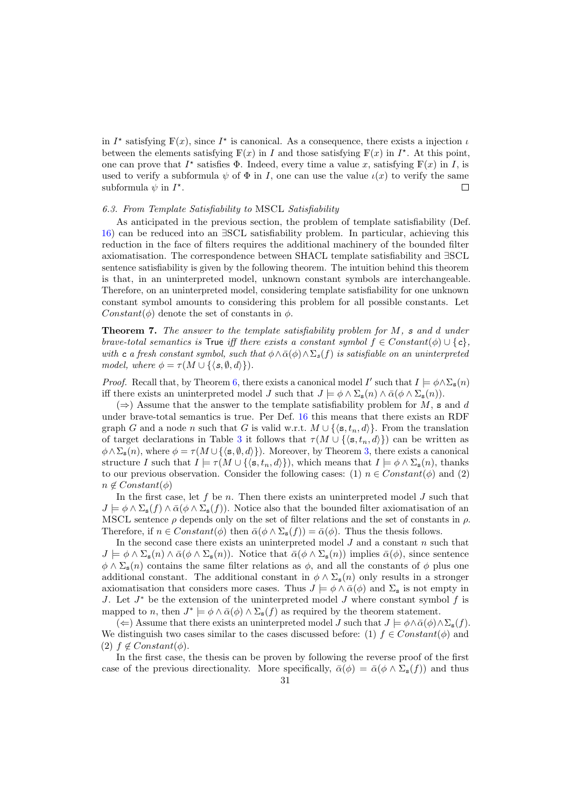in  $I^*$  satisfying  $\mathbb{F}(x)$ , since  $I^*$  is canonical. As a consequence, there exists a injection  $\iota$ between the elements satisfying  $\mathbb{F}(x)$  in I and those satisfying  $\mathbb{F}(x)$  in  $I^*$ . At this point, one can prove that  $I^*$  satisfies  $\Phi$ . Indeed, every time a value x, satisfying  $\mathbb{F}(x)$  in I, is used to verify a subformula  $\psi$  of  $\Phi$  in I, one can use the value  $\iota(x)$  to verify the same subformula  $\psi$  in  $I^*$ .  $\Box$ 

#### 6.3. From Template Satisfiability to MSCL Satisfiability

As anticipated in the previous section, the problem of template satisfiability (Def. [16\)](#page-22-0) can be reduced into an ∃SCL satisfiability problem. In particular, achieving this reduction in the face of filters requires the additional machinery of the bounded filter axiomatisation. The correspondence between SHACL template satisfiability and ∃SCL sentence satisfiability is given by the following theorem. The intuition behind this theorem is that, in an uninterpreted model, unknown constant symbols are interchangeable. Therefore, on an uninterpreted model, considering template satisfiability for one unknown constant symbol amounts to considering this problem for all possible constants. Let Constant( $\phi$ ) denote the set of constants in  $\phi$ .

**Theorem 7.** The answer to the template satisfiability problem for  $M$ , s and d under brave-total semantics is True iff there exists a constant symbol  $f \in Constant(\phi) \cup \{c\}$ . with c a fresh constant symbol, such that  $\phi \wedge \bar{\alpha}(\phi) \wedge \Sigma_s(f)$  is satisfiable on an uninterpreted model, where  $\phi = \tau(M \cup \{\langle s, \emptyset, d \rangle\}).$ 

*Proof.* Recall that, by Theorem [6,](#page-29-0) there exists a canonical model I' such that  $I \models \phi \land \Sigma_{s}(n)$ iff there exists an uninterpreted model J such that  $J \models \phi \land \Sigma_{\mathbf{s}}(n) \land \bar{\alpha}(\phi \land \Sigma_{\mathbf{s}}(n)).$ 

 $(\Rightarrow)$  Assume that the answer to the template satisfiability problem for M, s and d under brave-total semantics is true. Per Def. [16](#page-22-0) this means that there exists an RDF graph G and a node n such that G is valid w.r.t.  $M \cup \{\langle s, t_n, d \rangle\}$ . From the translation of target declarations in Table [3](#page-14-1) it follows that  $\tau(M \cup \{\langle s, t_n, d \rangle\})$  can be written as  $\phi \wedge \Sigma_{s}(n)$ , where  $\phi = \tau(M \cup \{\langle s, \emptyset, d \rangle\})$ . Moreover, by Theorem [3,](#page-17-0) there exists a canonical structure I such that  $I \models \tau(M \cup \{ \langle s, t_n, d \rangle \})$ , which means that  $I \models \phi \land \Sigma_s(n)$ , thanks to our previous observation. Consider the following cases: (1)  $n \in Constant(\phi)$  and (2)  $n \notin Constant(\phi)$ 

In the first case, let f be n. Then there exists an uninterpreted model  $J$  such that  $J \models \phi \wedge \Sigma_{\mathbf{s}}(f) \wedge \bar{\alpha}(\phi \wedge \Sigma_{\mathbf{s}}(f)).$  Notice also that the bounded filter axiomatisation of an MSCL sentence  $\rho$  depends only on the set of filter relations and the set of constants in  $\rho$ . Therefore, if  $n \in Constant(\phi)$  then  $\bar{\alpha}(\phi \wedge \Sigma_{s}(f)) = \bar{\alpha}(\phi)$ . Thus the thesis follows.

In the second case there exists an uninterpreted model  $J$  and a constant  $n$  such that  $J \models \phi \wedge \Sigma_{\mathbf{s}}(n) \wedge \bar{\alpha}(\phi \wedge \Sigma_{\mathbf{s}}(n)).$  Notice that  $\bar{\alpha}(\phi \wedge \Sigma_{\mathbf{s}}(n))$  implies  $\bar{\alpha}(\phi)$ , since sentence  $\phi \wedge \Sigma_{s}(n)$  contains the same filter relations as  $\phi$ , and all the constants of  $\phi$  plus one additional constant. The additional constant in  $\phi \wedge \Sigma_{s}(n)$  only results in a stronger axiomatisation that considers more cases. Thus  $J \models \phi \land \bar{\alpha}(\phi)$  and  $\Sigma_s$  is not empty in J. Let  $J^*$  be the extension of the uninterpreted model J where constant symbol f is mapped to n, then  $J^* \models \phi \land \bar{\alpha}(\phi) \land \Sigma_s(f)$  as required by the theorem statement.

(←) Assume that there exists an uninterpreted model J such that  $J \models \phi \land \bar{\alpha}(\phi) \land \Sigma_{s}(f)$ . We distinguish two cases similar to the cases discussed before: (1)  $f \in Constant(\phi)$  and (2)  $f \notin Constant(\phi)$ .

In the first case, the thesis can be proven by following the reverse proof of the first case of the previous directionality. More specifically,  $\bar{\alpha}(\phi) = \bar{\alpha}(\phi \wedge \Sigma_{s}(f))$  and thus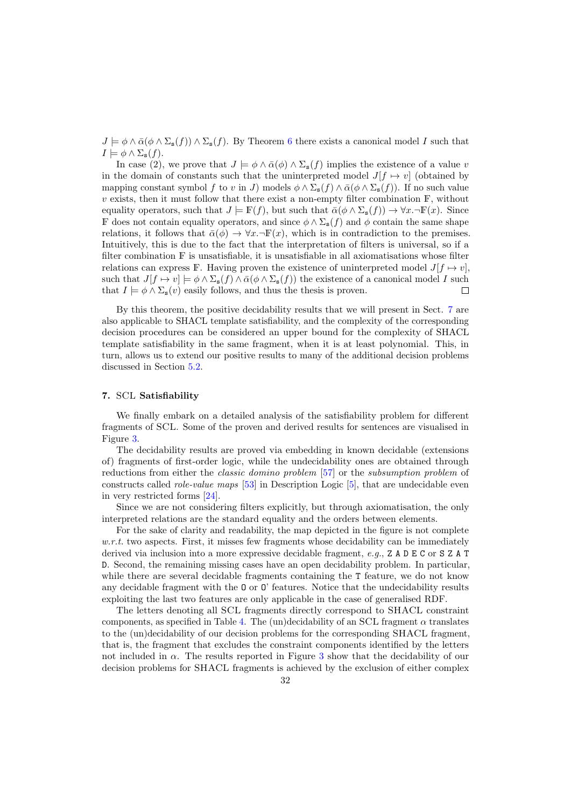$J \models \phi \land \bar{\alpha}(\phi \land \Sigma_{\mathbf{s}}(f)) \land \Sigma_{\mathbf{s}}(f)$ . By Theorem [6](#page-29-0) there exists a canonical model I such that  $I \models \phi \wedge \Sigma_{\mathbf{s}}(f).$ 

In case (2), we prove that  $J \models \phi \land \bar{\alpha}(\phi) \land \Sigma_{s}(f)$  implies the existence of a value v in the domain of constants such that the uninterpreted model  $J[f \mapsto v]$  (obtained by mapping constant symbol f to v in J) models  $\phi \wedge \Sigma_{\mathbf{s}}(f) \wedge \bar{\alpha}(\phi \wedge \Sigma_{\mathbf{s}}(f))$ . If no such value  $v$  exists, then it must follow that there exist a non-empty filter combination  $\mathbb{F}$ , without equality operators, such that  $J \models \mathbb{F}(f)$ , but such that  $\bar{\alpha}(\phi \wedge \Sigma_s(f)) \to \forall x. \neg \mathbb{F}(x)$ . Since F does not contain equality operators, and since  $\phi \wedge \Sigma_{\mathbf{s}}(f)$  and  $\phi$  contain the same shape relations, it follows that  $\bar{\alpha}(\phi) \rightarrow \forall x. \neg \mathbb{F}(x)$ , which is in contradiction to the premises. Intuitively, this is due to the fact that the interpretation of filters is universal, so if a filter combination  $\mathbb F$  is unsatisfiable, it is unsatisfiable in all axiomatisations whose filter relations can express F. Having proven the existence of uninterpreted model  $J[f \mapsto v]$ , such that  $J[f \mapsto v] \models \phi \wedge \Sigma_{s}(f) \wedge \bar{\alpha}(\phi \wedge \Sigma_{s}(f))$  the existence of a canonical model I such that  $I \models \phi \land \Sigma_s(v)$  easily follows, and thus the thesis is proven.  $\Box$ 

By this theorem, the positive decidability results that we will present in Sect. [7](#page-31-0) are also applicable to SHACL template satisfiability, and the complexity of the corresponding decision procedures can be considered an upper bound for the complexity of SHACL template satisfiability in the same fragment, when it is at least polynomial. This, in turn, allows us to extend our positive results to many of the additional decision problems discussed in Section [5.2.](#page-21-0)

# <span id="page-31-0"></span>7. SCL Satisfiability

We finally embark on a detailed analysis of the satisfiability problem for different fragments of SCL. Some of the proven and derived results for sentences are visualised in Figure [3.](#page-32-0)

The decidability results are proved via embedding in known decidable (extensions of) fragments of first-order logic, while the undecidability ones are obtained through reductions from either the classic domino problem [\[57\]](#page-50-17) or the subsumption problem of constructs called role-value maps [\[53\]](#page-50-18) in Description Logic [\[5\]](#page-49-16), that are undecidable even in very restricted forms [\[24\]](#page-49-17).

Since we are not considering filters explicitly, but through axiomatisation, the only interpreted relations are the standard equality and the orders between elements.

For the sake of clarity and readability, the map depicted in the figure is not complete  $w.r.t.$  two aspects. First, it misses few fragments whose decidability can be immediately derived via inclusion into a more expressive decidable fragment, e.g., Z A D E C or S Z A T D. Second, the remaining missing cases have an open decidability problem. In particular, while there are several decidable fragments containing the T feature, we do not know any decidable fragment with the O or O' features. Notice that the undecidability results exploiting the last two features are only applicable in the case of generalised RDF.

The letters denoting all SCL fragments directly correspond to SHACL constraint components, as specified in Table [4.](#page-18-0) The (un)decidability of an SCL fragment  $\alpha$  translates to the (un)decidability of our decision problems for the corresponding SHACL fragment, that is, the fragment that excludes the constraint components identified by the letters not included in  $\alpha$ . The results reported in Figure [3](#page-32-0) show that the decidability of our decision problems for SHACL fragments is achieved by the exclusion of either complex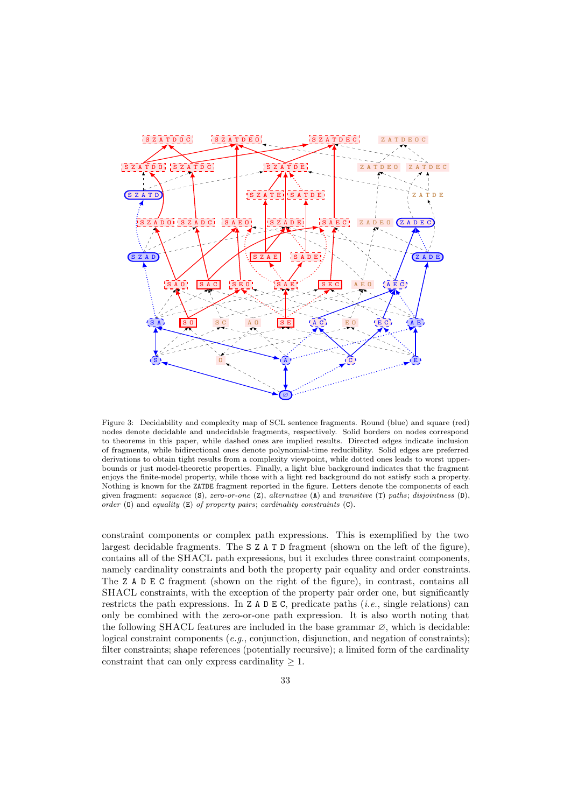<span id="page-32-0"></span>

Figure 3: Decidability and complexity map of SCL sentence fragments. Round (blue) and square (red) nodes denote decidable and undecidable fragments, respectively. Solid borders on nodes correspond to theorems in this paper, while dashed ones are implied results. Directed edges indicate inclusion of fragments, while bidirectional ones denote polynomial-time reducibility. Solid edges are preferred derivations to obtain tight results from a complexity viewpoint, while dotted ones leads to worst upperbounds or just model-theoretic properties. Finally, a light blue background indicates that the fragment enjoys the finite-model property, while those with a light red background do not satisfy such a property. Nothing is known for the ZATDE fragment reported in the figure. Letters denote the components of each given fragment: sequence  $(S)$ , zero-or-one  $(Z)$ , alternative  $(A)$  and transitive  $(T)$  paths; disjointness  $(D)$ , order  $(0)$  and equality  $(E)$  of property pairs; cardinality constraints  $(C)$ .

constraint components or complex path expressions. This is exemplified by the two largest decidable fragments. The S Z A T D fragment (shown on the left of the figure), contains all of the SHACL path expressions, but it excludes three constraint components, namely cardinality constraints and both the property pair equality and order constraints. The Z A D E C fragment (shown on the right of the figure), in contrast, contains all SHACL constraints, with the exception of the property pair order one, but significantly restricts the path expressions. In  $Z A D E C$ , predicate paths (*i.e.*, single relations) can only be combined with the zero-or-one path expression. It is also worth noting that the following SHACL features are included in the base grammar  $\varnothing$ , which is decidable: logical constraint components (*e.g.*, conjunction, disjunction, and negation of constraints); filter constraints; shape references (potentially recursive); a limited form of the cardinality constraint that can only express cardinality  $\geq 1$ .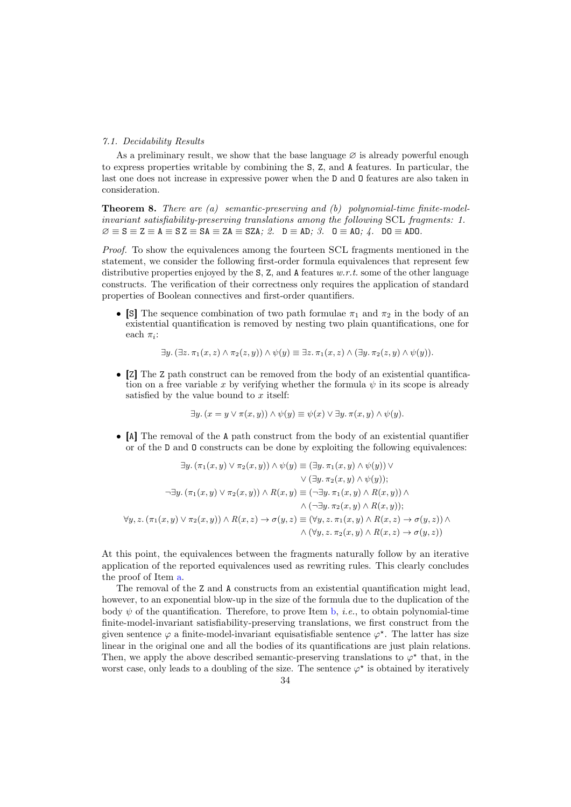### 7.1. Decidability Results

As a preliminary result, we show that the base language  $\varnothing$  is already powerful enough to express properties writable by combining the S, Z, and A features. In particular, the last one does not increase in expressive power when the D and O features are also taken in consideration.

<span id="page-33-3"></span><span id="page-33-0"></span>**Theorem 8.** There are (a) semantic-preserving and (b) polynomial-time finite-modelinvariant satisfiability-preserving translations among the following SCL fragments: 1.  $\varnothing \equiv S \equiv Z \equiv A \equiv S Z \equiv SA \equiv ZA \equiv SZA; \varnothing. \quad D \equiv AD; \varnothing. \quad 0 \equiv AO; \varnothing. \quad D0 \equiv AD0.$ 

Proof. To show the equivalences among the fourteen SCL fragments mentioned in the statement, we consider the following first-order formula equivalences that represent few distributive properties enjoyed by the  $S$ ,  $Z$ , and  $A$  features  $w.r.t.$  some of the other language constructs. The verification of their correctness only requires the application of standard properties of Boolean connectives and first-order quantifiers.

• [S] The sequence combination of two path formulae  $\pi_1$  and  $\pi_2$  in the body of an existential quantification is removed by nesting two plain quantifications, one for each  $\pi_i$ :

<span id="page-33-2"></span><span id="page-33-1"></span>
$$
\exists y. (\exists z. \pi_1(x, z) \land \pi_2(z, y)) \land \psi(y) \equiv \exists z. \pi_1(x, z) \land (\exists y. \pi_2(z, y) \land \psi(y)).
$$

• [Z] The Z path construct can be removed from the body of an existential quantification on a free variable x by verifying whether the formula  $\psi$  in its scope is already satisfied by the value bound to  $x$  itself:

$$
\exists y. (x = y \lor \pi(x, y)) \land \psi(y) \equiv \psi(x) \lor \exists y. \pi(x, y) \land \psi(y).
$$

• [A] The removal of the A path construct from the body of an existential quantifier or of the D and O constructs can be done by exploiting the following equivalences:

$$
\exists y. (\pi_1(x, y) \lor \pi_2(x, y)) \land \psi(y) \equiv (\exists y. \pi_1(x, y) \land \psi(y)) \lor \lor (\exists y. \pi_2(x, y) \land \psi(y)); \n\neg \exists y. (\pi_1(x, y) \lor \pi_2(x, y)) \land R(x, y) \equiv (\neg \exists y. \pi_1(x, y) \land R(x, y)) \land \n\land (\neg \exists y. \pi_2(x, y) \land R(x, y)); \n\forall y, z. (\pi_1(x, y) \lor \pi_2(x, y)) \land R(x, z) \rightarrow \sigma(y, z) \equiv (\forall y, z. \pi_1(x, y) \land R(x, z) \rightarrow \sigma(y, z)) \land \n\land (\forall y, z. \pi_2(x, y) \land R(x, z) \rightarrow \sigma(y, z))
$$

At this point, the equivalences between the fragments naturally follow by an iterative application of the reported equivalences used as rewriting rules. This clearly concludes the proof of Item [a.](#page-33-0)

The removal of the Z and A constructs from an existential quantification might lead, however, to an exponential blow-up in the size of the formula due to the duplication of the body  $\psi$  of the quantification. Therefore, to prove Item [b,](#page-33-1) *i.e.*, to obtain polynomial-time finite-model-invariant satisfiability-preserving translations, we first construct from the given sentence  $\varphi$  a finite-model-invariant equisatisfiable sentence  $\varphi^*$ . The latter has size linear in the original one and all the bodies of its quantifications are just plain relations. Then, we apply the above described semantic-preserving translations to  $\varphi^*$  that, in the worst case, only leads to a doubling of the size. The sentence  $\varphi^*$  is obtained by iteratively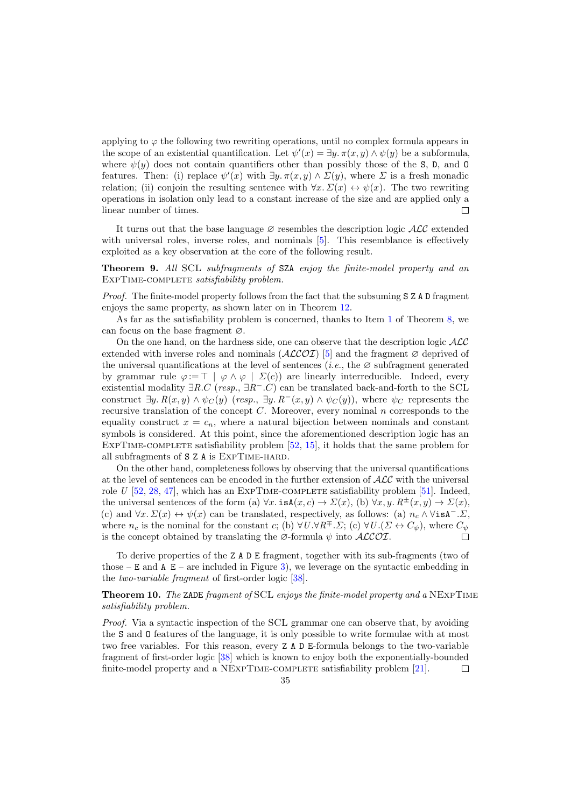applying to  $\varphi$  the following two rewriting operations, until no complex formula appears in the scope of an existential quantification. Let  $\psi'(x) = \exists y \cdot \pi(x, y) \wedge \psi(y)$  be a subformula, where  $\psi(y)$  does not contain quantifiers other than possibly those of the S, D, and O features. Then: (i) replace  $\psi'(x)$  with  $\exists y.\pi(x,y) \wedge \Sigma(y)$ , where  $\Sigma$  is a fresh monadic relation; (ii) conjoin the resulting sentence with  $\forall x \cdot \Sigma(x) \leftrightarrow \psi(x)$ . The two rewriting operations in isolation only lead to a constant increase of the size and are applied only a linear number of times.  $\Box$ 

It turns out that the base language  $\varnothing$  resembles the description logic  $\mathcal{ALC}$  extended with universal roles, inverse roles, and nominals [\[5\]](#page-49-16). This resemblance is effectively exploited as a key observation at the core of the following result.

<span id="page-34-1"></span>Theorem 9. All SCL subfragments of SZA enjoy the finite-model property and an EXPTIME-COMPLETE satisfiability problem.

Proof. The finite-model property follows from the fact that the subsuming S Z A D fragment enjoys the same property, as shown later on in Theorem [12.](#page-36-0)

As far as the satisfiability problem is concerned, thanks to Item [1](#page-33-2) of Theorem [8,](#page-33-3) we can focus on the base fragment ∅.

On the one hand, on the hardness side, one can observe that the description logic  $\mathcal{ALC}$ extended with inverse roles and nominals  $(\text{ALCOI})$  [\[5\]](#page-49-16) and the fragment  $\varnothing$  deprived of the universal quantifications at the level of sentences (*i.e.*, the  $\varnothing$  subfragment generated by grammar rule  $\varphi := \top \varphi \wedge \varphi \vdash \Sigma(c)$  are linearly interreducible. Indeed, every existential modality  $\exists R.C$  (resp.,  $\exists R^-.C$ ) can be translated back-and-forth to the SCL construct  $\exists y. R(x, y) \wedge \psi_C(y)$  (resp.,  $\exists y. R^-(x, y) \wedge \psi_C(y)$ ), where  $\psi_C$  represents the recursive translation of the concept  $C$ . Moreover, every nominal  $n$  corresponds to the equality construct  $x = c_n$ , where a natural bijection between nominals and constant symbols is considered. At this point, since the aforementioned description logic has an EXPTIME-COMPLETE satisfiability problem  $[52, 15]$  $[52, 15]$ , it holds that the same problem for all subfragments of S Z A is ExpTime-hard.

On the other hand, completeness follows by observing that the universal quantifications at the level of sentences can be encoded in the further extension of ALC with the universal role U  $[52, 28, 47]$  $[52, 28, 47]$  $[52, 28, 47]$  $[52, 28, 47]$  $[52, 28, 47]$ , which has an EXPTIME-COMPLETE satisfiability problem [\[51\]](#page-50-21). Indeed, the universal sentences of the form (a)  $\forall x.$  is $A(x, c) \rightarrow \Sigma(x)$ , (b)  $\forall x, y.$   $R^{\pm}(x, y) \rightarrow \Sigma(x)$ , (c) and  $\forall x \cdot \Sigma(x) \leftrightarrow \psi(x)$  can be translated, respectively, as follows: (a)  $n_c \wedge \forall i \in \mathbb{R}^{-}$ .  $\Sigma$ , where  $n_c$  is the nominal for the constant c; (b)  $\forall U.\forall R^{\mp}.\Sigma$ ; (c)  $\forall U.(\Sigma \leftrightarrow C_{\psi})$ , where  $C_{\psi}$ is the concept obtained by translating the  $\varnothing$ -formula  $\psi$  into  $\mathcal{ALCOI}$ .  $\Box$ 

To derive properties of the Z A D E fragment, together with its sub-fragments (two of those – E and A  $E$  – are included in Figure [3\)](#page-32-0), we leverage on the syntactic embedding in the two-variable fragment of first-order logic [\[38\]](#page-50-22).

# <span id="page-34-0"></span>Theorem 10. The ZADE fragment of SCL enjoys the finite-model property and a NEXPTIME satisfiability problem.

Proof. Via a syntactic inspection of the SCL grammar one can observe that, by avoiding the S and O features of the language, it is only possible to write formulae with at most two free variables. For this reason, every Z A D E-formula belongs to the two-variable fragment of first-order logic [\[38\]](#page-50-22) which is known to enjoy both the exponentially-bounded finite-model property and a NEXPTIME-COMPLETE satisfiability problem [\[21\]](#page-49-20).  $\Box$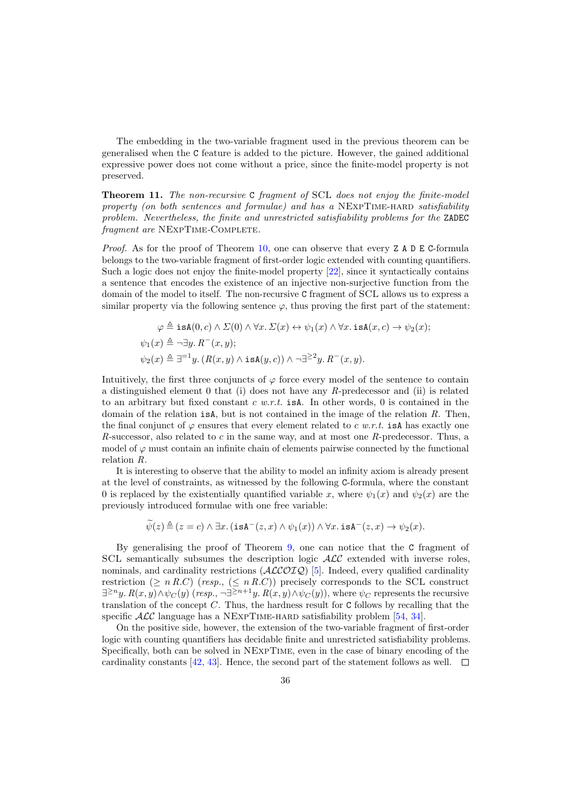The embedding in the two-variable fragment used in the previous theorem can be generalised when the C feature is added to the picture. However, the gained additional expressive power does not come without a price, since the finite-model property is not preserved.

**Theorem 11.** The non-recursive C fragment of SCL does not enjoy the finite-model property (on both sentences and formulae) and has a NEXPTIME-HARD satisfiability problem. Nevertheless, the finite and unrestricted satisfiability problems for the ZADEC fragment are NEXPTIME-COMPLETE.

*Proof.* As for the proof of Theorem [10,](#page-34-0) one can observe that every  $Z A D E C$ -formula belongs to the two-variable fragment of first-order logic extended with counting quantifiers. Such a logic does not enjoy the finite-model property [\[22\]](#page-49-21), since it syntactically contains a sentence that encodes the existence of an injective non-surjective function from the domain of the model to itself. The non-recursive C fragment of SCL allows us to express a similar property via the following sentence  $\varphi$ , thus proving the first part of the statement:

$$
\varphi \triangleq \text{isA}(0, c) \land \Sigma(0) \land \forall x. \ \Sigma(x) \leftrightarrow \psi_1(x) \land \forall x. \ \text{isA}(x, c) \rightarrow \psi_2(x);
$$
  

$$
\psi_1(x) \triangleq \neg \exists y. \ R^-(x, y);
$$
  

$$
\psi_2(x) \triangleq \exists^{=1}y. \ (R(x, y) \land \text{isA}(y, c)) \land \neg \exists^{\geq 2}y. \ R^-(x, y).
$$

Intuitively, the first three conjuncts of  $\varphi$  force every model of the sentence to contain a distinguished element 0 that (i) does not have any R-predecessor and (ii) is related to an arbitrary but fixed constant  $c \, w.r.t.$  is A. In other words, 0 is contained in the domain of the relation  $isA$ , but is not contained in the image of the relation R. Then, the final conjunct of  $\varphi$  ensures that every element related to c w.r.t. is A has exactly one R-successor, also related to c in the same way, and at most one R-predecessor. Thus, a model of  $\varphi$  must contain an infinite chain of elements pairwise connected by the functional relation R.

It is interesting to observe that the ability to model an infinity axiom is already present at the level of constraints, as witnessed by the following C-formula, where the constant 0 is replaced by the existentially quantified variable x, where  $\psi_1(x)$  and  $\psi_2(x)$  are the previously introduced formulae with one free variable:

$$
\widetilde{\psi}(z) \triangleq (z = c) \land \exists x. (\texttt{isA}^{-}(z,x) \land \psi_1(x)) \land \forall x. \texttt{isA}^{-}(z,x) \rightarrow \psi_2(x).
$$

By generalising the proof of Theorem [9,](#page-34-1) one can notice that the C fragment of SCL semantically subsumes the description logic  $\mathcal{ALC}$  extended with inverse roles, nominals, and cardinality restrictions  $(ALCOIQ)$  [\[5\]](#page-49-16). Indeed, every qualified cardinality restriction ( $\geq n R.C$ ) (resp., ( $\leq n R.C$ )) precisely corresponds to the SCL construct  $\exists^{\geq n}y$ .  $R(x,y) \wedge \psi_C(y)$  (resp.,  $\neg \exists^{\geq n+1}y$ .  $R(x,y) \wedge \psi_C(y)$ ), where  $\psi_C$  represents the recursive translation of the concept  $C$ . Thus, the hardness result for C follows by recalling that the specific  $\mathcal{ALC}$  language has a NEXPTIME-HARD satisfiability problem [\[54,](#page-50-23) [34\]](#page-50-24).

On the positive side, however, the extension of the two-variable fragment of first-order logic with counting quantifiers has decidable finite and unrestricted satisfiability problems. Specifically, both can be solved in NExpTime, even in the case of binary encoding of the cardinality constants [\[42,](#page-50-25) [43\]](#page-50-26). Hence, the second part of the statement follows as well.  $\Box$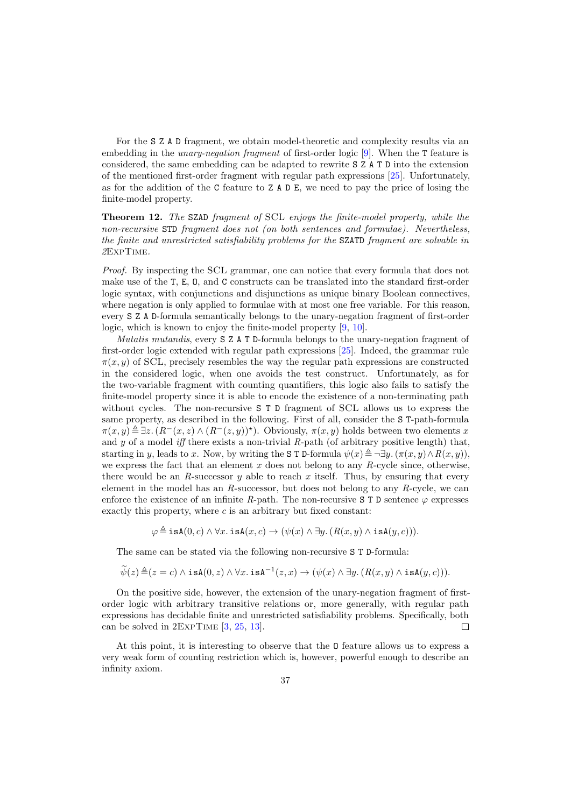For the S Z A D fragment, we obtain model-theoretic and complexity results via an embedding in the *unary-negation fragment* of first-order logic [\[9\]](#page-49-22). When the T feature is considered, the same embedding can be adapted to rewrite S Z A T D into the extension of the mentioned first-order fragment with regular path expressions [\[25\]](#page-49-23). Unfortunately, as for the addition of the C feature to Z A D E, we need to pay the price of losing the finite-model property.

<span id="page-36-0"></span>Theorem 12. The SZAD fragment of SCL enjoys the finite-model property, while the non-recursive STD fragment does not (on both sentences and formulae). Nevertheless, the finite and unrestricted satisfiability problems for the SZATD fragment are solvable in 2ExpTime.

Proof. By inspecting the SCL grammar, one can notice that every formula that does not make use of the T, E, O, and C constructs can be translated into the standard first-order logic syntax, with conjunctions and disjunctions as unique binary Boolean connectives, where negation is only applied to formulae with at most one free variable. For this reason, every S Z A D-formula semantically belongs to the unary-negation fragment of first-order logic, which is known to enjoy the finite-model property [\[9,](#page-49-22) [10\]](#page-49-24).

Mutatis mutandis, every S Z A T D-formula belongs to the unary-negation fragment of first-order logic extended with regular path expressions [\[25\]](#page-49-23). Indeed, the grammar rule  $\pi(x, y)$  of SCL, precisely resembles the way the regular path expressions are constructed in the considered logic, when one avoids the test construct. Unfortunately, as for the two-variable fragment with counting quantifiers, this logic also fails to satisfy the finite-model property since it is able to encode the existence of a non-terminating path without cycles. The non-recursive S T D fragment of SCL allows us to express the same property, as described in the following. First of all, consider the S T-path-formula  $\pi(x,y) \triangleq \exists z \ (R^-(x,z) \wedge (R^-(z,y))^*)$ . Obviously,  $\pi(x,y)$  holds between two elements x and y of a model iff there exists a non-trivial  $R$ -path (of arbitrary positive length) that, starting in y, leads to x. Now, by writing the S T D-formula  $\psi(x) \triangleq \neg \exists y \cdot (\pi(x, y) \wedge R(x, y)),$ we express the fact that an element  $x$  does not belong to any  $R$ -cycle since, otherwise, there would be an  $R$ -successor  $y$  able to reach  $x$  itself. Thus, by ensuring that every element in the model has an R-successor, but does not belong to any R-cycle, we can enforce the existence of an infinite R-path. The non-recursive S T D sentence  $\varphi$  expresses exactly this property, where  $c$  is an arbitrary but fixed constant:

 $\varphi \triangleq \text{isA}(0, c) \wedge \forall x. \text{isA}(x, c) \rightarrow (\psi(x) \wedge \exists y. (R(x, y) \wedge \text{isA}(y, c))).$ 

The same can be stated via the following non-recursive S T D-formula:

$$
\widetilde{\psi}(z) \triangleq (z = c) \land \mathtt{isA}(0, z) \land \forall x. \mathtt{isA}^{-1}(z, x) \rightarrow (\psi(x) \land \exists y. (R(x, y) \land \mathtt{isA}(y, c))).
$$

On the positive side, however, the extension of the unary-negation fragment of firstorder logic with arbitrary transitive relations or, more generally, with regular path expressions has decidable finite and unrestricted satisfiability problems. Specifically, both can be solved in 2ExpTime [\[3,](#page-49-25) [25,](#page-49-23) [13\]](#page-49-26).  $\Box$ 

At this point, it is interesting to observe that the O feature allows us to express a very weak form of counting restriction which is, however, powerful enough to describe an infinity axiom.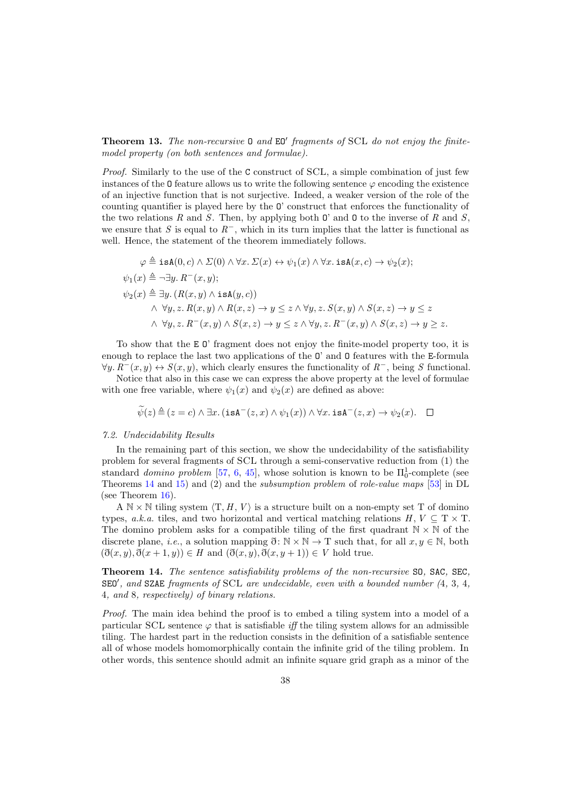**Theorem 13.** The non-recursive  $0$  and  $EO'$  fragments of SCL do not enjoy the finitemodel property (on both sentences and formulae).

Proof. Similarly to the use of the C construct of SCL, a simple combination of just few instances of the  $\mathbf 0$  feature allows us to write the following sentence  $\varphi$  encoding the existence of an injective function that is not surjective. Indeed, a weaker version of the role of the counting quantifier is played here by the O' construct that enforces the functionality of the two relations R and S. Then, by applying both  $\mathbf{0}'$  and  $\mathbf{0}$  to the inverse of R and S, we ensure that S is equal to  $R^-$ , which in its turn implies that the latter is functional as well. Hence, the statement of the theorem immediately follows.

$$
\varphi \triangleq \text{isA}(0, c) \land \Sigma(0) \land \forall x. \ \Sigma(x) \leftrightarrow \psi_1(x) \land \forall x. \ \text{isA}(x, c) \rightarrow \psi_2(x);
$$
  
\n
$$
\psi_1(x) \triangleq \neg \exists y. \ R^-(x, y);
$$
  
\n
$$
\psi_2(x) \triangleq \exists y. \ (R(x, y) \land \text{isA}(y, c))
$$
  
\n
$$
\land \ \forall y, z. \ R(x, y) \land R(x, z) \rightarrow y \leq z \land \forall y, z. \ S(x, y) \land S(x, z) \rightarrow y \leq z
$$
  
\n
$$
\land \ \forall y, z. \ R^-(x, y) \land S(x, z) \rightarrow y \leq z \land \forall y, z. \ R^-(x, y) \land S(x, z) \rightarrow y \geq z.
$$

To show that the E O' fragment does not enjoy the finite-model property too, it is enough to replace the last two applications of the O' and O features with the E-formula  $\forall y, R^{-}(x, y) \leftrightarrow S(x, y)$ , which clearly ensures the functionality of  $R^{-}$ , being S functional.

Notice that also in this case we can express the above property at the level of formulae with one free variable, where  $\psi_1(x)$  and  $\psi_2(x)$  are defined as above:

$$
\widetilde{\psi}(z) \triangleq (z = c) \land \exists x. (\text{isA}^{-}(z,x) \land \psi_1(x)) \land \forall x. \text{isA}^{-}(z,x) \rightarrow \psi_2(x). \quad \Box
$$

#### 7.2. Undecidability Results

In the remaining part of this section, we show the undecidability of the satisfiability problem for several fragments of SCL through a semi-conservative reduction from (1) the standard *domino problem* [\[57,](#page-50-17) [6,](#page-49-27) [45\]](#page-50-27), whose solution is known to be  $\Pi_0^1$ -complete (see Theorems [14](#page-37-0) and [15\)](#page-40-0) and (2) and the subsumption problem of role-value maps [\[53\]](#page-50-18) in DL (see Theorem  $16$ ).

A  $\mathbb{N} \times \mathbb{N}$  tiling system  $\langle \mathbf{T}, H, V \rangle$  is a structure built on a non-empty set T of domino types, a.k.a. tiles, and two horizontal and vertical matching relations  $H, V \subseteq T \times T$ . The domino problem asks for a compatible tiling of the first quadrant  $\mathbb{N} \times \mathbb{N}$  of the discrete plane, *i.e.*, a solution mapping  $\eth: \mathbb{N} \times \mathbb{N} \to \mathbb{T}$  such that, for all  $x, y \in \mathbb{N}$ , both  $(\eth(x, y), \eth(x+1, y)) \in H$  and  $(\eth(x, y), \eth(x, y+1)) \in V$  hold true.

<span id="page-37-0"></span>Theorem 14. The sentence satisfiability problems of the non-recursive SO, SAC, SEC,  $\texttt{SED}'$ , and  $\texttt{SZAE}$  fragments of  $\texttt{SCL}$  are undecidable, even with a bounded number (4, 3, 4, 4, and 8, respectively) of binary relations.

Proof. The main idea behind the proof is to embed a tiling system into a model of a particular SCL sentence  $\varphi$  that is satisfiable *iff* the tiling system allows for an admissible tiling. The hardest part in the reduction consists in the definition of a satisfiable sentence all of whose models homomorphically contain the infinite grid of the tiling problem. In other words, this sentence should admit an infinite square grid graph as a minor of the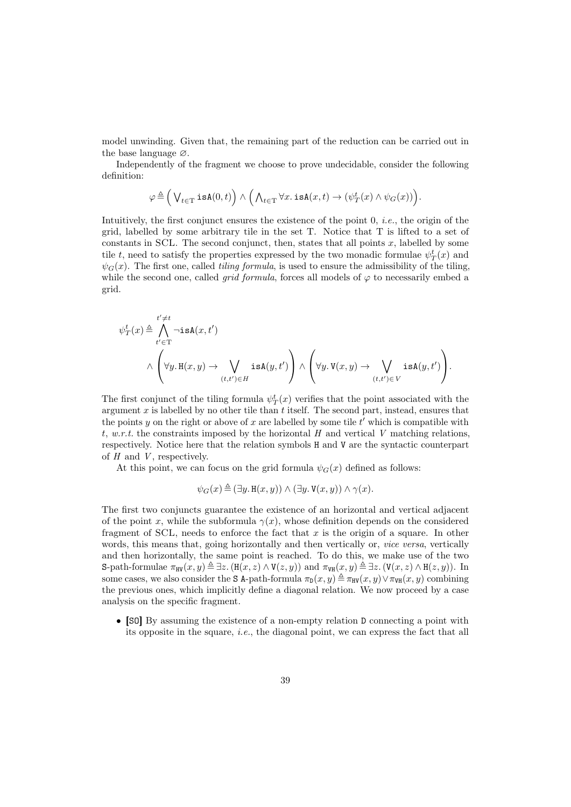model unwinding. Given that, the remaining part of the reduction can be carried out in the base language ∅.

Independently of the fragment we choose to prove undecidable, consider the following definition:

$$
\varphi \triangleq \Big(\bigvee_{t\in \mathrm{T}}\mathtt{isA}(0,t)\Big) \wedge \Big(\bigwedge_{t\in \mathrm{T}}\forall x. \mathtt{isA}(x,t) \rightarrow (\psi^{t}_{T}(x) \wedge \psi_{G}(x))\Big).
$$

Intuitively, the first conjunct ensures the existence of the point 0, i.e., the origin of the grid, labelled by some arbitrary tile in the set T. Notice that T is lifted to a set of constants in SCL. The second conjunct, then, states that all points  $x$ , labelled by some tile t, need to satisfy the properties expressed by the two monadic formulae  $\psi_T^t(x)$  and  $\psi_G(x)$ . The first one, called *tiling formula*, is used to ensure the admissibility of the tiling, while the second one, called *grid formula*, forces all models of  $\varphi$  to necessarily embed a grid.

ψ t T (x) , t 0^ 6=t t <sup>0</sup>∈T ¬isA(x, t<sup>0</sup> ) ∧ ∀y. <sup>H</sup>(x, y) <sup>→</sup> \_ (t,t0)∈H isA(y, t<sup>0</sup> ) <sup>∧</sup> ∀y. <sup>V</sup>(x, y) <sup>→</sup> \_ (t,t0)∈V isA(y, t<sup>0</sup> ) .

The first conjunct of the tiling formula  $\psi_T^t(x)$  verifies that the point associated with the argument  $x$  is labelled by no other tile than  $t$  itself. The second part, instead, ensures that the points y on the right or above of x are labelled by some tile  $t'$  which is compatible with t, w.r.t. the constraints imposed by the horizontal H and vertical V matching relations, respectively. Notice here that the relation symbols H and V are the syntactic counterpart of  $H$  and  $V$ , respectively.

At this point, we can focus on the grid formula  $\psi_G(x)$  defined as follows:

$$
\psi_G(x) \triangleq (\exists y. \, \mathbf{H}(x, y)) \land (\exists y. \, \mathbf{V}(x, y)) \land \gamma(x).
$$

The first two conjuncts guarantee the existence of an horizontal and vertical adjacent of the point x, while the subformula  $\gamma(x)$ , whose definition depends on the considered fragment of SCL, needs to enforce the fact that  $x$  is the origin of a square. In other words, this means that, going horizontally and then vertically or, *vice versa*, vertically and then horizontally, the same point is reached. To do this, we make use of the two S-path-formulae  $\pi_{\text{HV}}(x, y) \triangleq \exists z$ .  $(\text{H}(x, z) \wedge \text{V}(z, y))$  and  $\pi_{\text{VH}}(x, y) \triangleq \exists z$ .  $(\text{V}(x, z) \wedge \text{H}(z, y))$ . In some cases, we also consider the S A-path-formula  $\pi_D(x, y) \triangleq \pi_{HV}(x, y) \vee \pi_{VH}(x, y)$  combining the previous ones, which implicitly define a diagonal relation. We now proceed by a case analysis on the specific fragment.

• [SO] By assuming the existence of a non-empty relation D connecting a point with its opposite in the square, i.e., the diagonal point, we can express the fact that all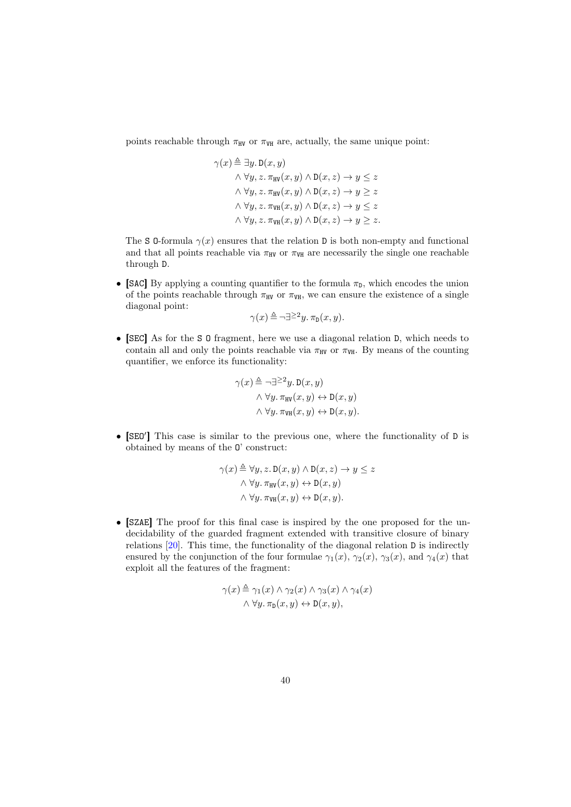points reachable through  $\pi_{HV}$  or  $\pi_{VHH}$  are, actually, the same unique point:

$$
\gamma(x) \triangleq \exists y. \mathbf{D}(x, y)
$$
  
\n
$$
\wedge \forall y, z. \pi_{\text{HV}}(x, y) \wedge \mathbf{D}(x, z) \rightarrow y \leq z
$$
  
\n
$$
\wedge \forall y, z. \pi_{\text{HV}}(x, y) \wedge \mathbf{D}(x, z) \rightarrow y \geq z
$$
  
\n
$$
\wedge \forall y, z. \pi_{\text{VH}}(x, y) \wedge \mathbf{D}(x, z) \rightarrow y \leq z
$$
  
\n
$$
\wedge \forall y, z. \pi_{\text{VH}}(x, y) \wedge \mathbf{D}(x, z) \rightarrow y \geq z.
$$

The S 0-formula  $\gamma(x)$  ensures that the relation D is both non-empty and functional and that all points reachable via  $\pi_{HV}$  or  $\pi_{VH}$  are necessarily the single one reachable through D.

• [SAC] By applying a counting quantifier to the formula  $\pi_{\text{D}}$ , which encodes the union of the points reachable through  $\pi_{HV}$  or  $\pi_{VH}$ , we can ensure the existence of a single diagonal point:

$$
\gamma(x) \triangleq \neg \exists^{\geq 2} y. \, \pi_{\mathsf{D}}(x, y).
$$

• [SEC] As for the S O fragment, here we use a diagonal relation D, which needs to contain all and only the points reachable via  $\pi_{HV}$  or  $\pi_{VH}$ . By means of the counting quantifier, we enforce its functionality:

$$
\gamma(x) \triangleq \neg \exists^{\geq 2} y. \mathsf{D}(x, y)
$$

$$
\land \forall y. \pi_{\text{HV}}(x, y) \leftrightarrow \mathsf{D}(x, y)
$$

$$
\land \forall y. \pi_{\text{VHV}}(x, y) \leftrightarrow \mathsf{D}(x, y).
$$

• [SEO'] This case is similar to the previous one, where the functionality of D is obtained by means of the O' construct:

$$
\gamma(x) \triangleq \forall y, z. \mathbf{D}(x, y) \land \mathbf{D}(x, z) \rightarrow y \leq z
$$

$$
\land \forall y. \pi_{\text{HV}}(x, y) \leftrightarrow \mathbf{D}(x, y)
$$

$$
\land \forall y. \pi_{\text{VHV}}(x, y) \leftrightarrow \mathbf{D}(x, y).
$$

• [SZAE] The proof for this final case is inspired by the one proposed for the undecidability of the guarded fragment extended with transitive closure of binary relations [\[20\]](#page-49-28). This time, the functionality of the diagonal relation D is indirectly ensured by the conjunction of the four formulae  $\gamma_1(x)$ ,  $\gamma_2(x)$ ,  $\gamma_3(x)$ , and  $\gamma_4(x)$  that exploit all the features of the fragment:

$$
\gamma(x) \triangleq \gamma_1(x) \land \gamma_2(x) \land \gamma_3(x) \land \gamma_4(x)
$$

$$
\land \forall y. \pi_{\mathcal{D}}(x, y) \leftrightarrow \mathcal{D}(x, y),
$$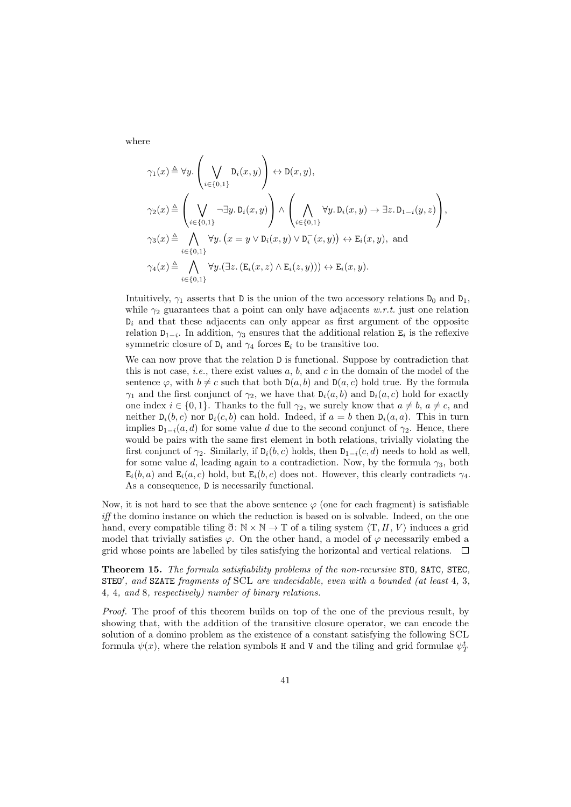where

$$
\gamma_1(x) \triangleq \forall y. \left(\bigvee_{i \in \{0,1\}} D_i(x, y)\right) \leftrightarrow D(x, y),
$$
  
\n
$$
\gamma_2(x) \triangleq \left(\bigvee_{i \in \{0,1\}} \neg \exists y. D_i(x, y)\right) \land \left(\bigwedge_{i \in \{0,1\}} \forall y. D_i(x, y) \rightarrow \exists z. D_{1-i}(y, z)\right),
$$
  
\n
$$
\gamma_3(x) \triangleq \bigwedge_{i \in \{0,1\}} \forall y. (x = y \lor D_i(x, y) \lor D_i^-(x, y)) \leftrightarrow E_i(x, y), \text{ and}
$$
  
\n
$$
\gamma_4(x) \triangleq \bigwedge_{i \in \{0,1\}} \forall y. (\exists z. (E_i(x, z) \land E_i(z, y))) \leftrightarrow E_i(x, y).
$$

Intuitively,  $\gamma_1$  asserts that D is the union of the two accessory relations  $D_0$  and  $D_1$ , while  $\gamma_2$  guarantees that a point can only have adjacents w.r.t. just one relation  $D_i$  and that these adjacents can only appear as first argument of the opposite relation  $D_{1-i}$ . In addition,  $\gamma_3$  ensures that the additional relation  $E_i$  is the reflexive symmetric closure of  $D_i$  and  $\gamma_4$  forces  $E_i$  to be transitive too.

We can now prove that the relation  $D$  is functional. Suppose by contradiction that this is not case, *i.e.*, there exist values  $a, b$ , and  $c$  in the domain of the model of the sentence  $\varphi$ , with  $b \neq c$  such that both  $D(a, b)$  and  $D(a, c)$  hold true. By the formula  $\gamma_1$  and the first conjunct of  $\gamma_2$ , we have that  $D_i(a, b)$  and  $D_i(a, c)$  hold for exactly one index  $i \in \{0, 1\}$ . Thanks to the full  $\gamma_2$ , we surely know that  $a \neq b$ ,  $a \neq c$ , and neither  $D_i(b, c)$  nor  $D_i(c, b)$  can hold. Indeed, if  $a = b$  then  $D_i(a, a)$ . This in turn implies  $D_{1-i}(a, d)$  for some value d due to the second conjunct of  $\gamma_2$ . Hence, there would be pairs with the same first element in both relations, trivially violating the first conjunct of  $\gamma_2$ . Similarly, if  $D_i(b, c)$  holds, then  $D_{1-i}(c, d)$  needs to hold as well, for some value d, leading again to a contradiction. Now, by the formula  $\gamma_3$ , both  $E_i(b, a)$  and  $E_i(a, c)$  hold, but  $E_i(b, c)$  does not. However, this clearly contradicts  $\gamma_4$ . As a consequence, D is necessarily functional.

Now, it is not hard to see that the above sentence  $\varphi$  (one for each fragment) is satisfiable iff the domino instance on which the reduction is based on is solvable. Indeed, on the one hand, every compatible tiling  $\eth \colon \mathbb{N} \times \mathbb{N} \to \mathbb{T}$  of a tiling system  $\langle \mathbb{T}, H, V \rangle$  induces a grid model that trivially satisfies  $\varphi$ . On the other hand, a model of  $\varphi$  necessarily embed a grid whose points are labelled by tiles satisfying the horizontal and vertical relations.  $\Box$ 

<span id="page-40-0"></span>Theorem 15. The formula satisfiability problems of the non-recursive STO, SATC, STEC,  $STEO'$ , and  $SZATE$  fragments of  $SCL$  are undecidable, even with a bounded (at least 4, 3, 4, 4, and 8, respectively) number of binary relations.

Proof. The proof of this theorem builds on top of the one of the previous result, by showing that, with the addition of the transitive closure operator, we can encode the solution of a domino problem as the existence of a constant satisfying the following SCL formula  $\psi(x)$ , where the relation symbols H and V and the tiling and grid formulae  $\psi^t_T$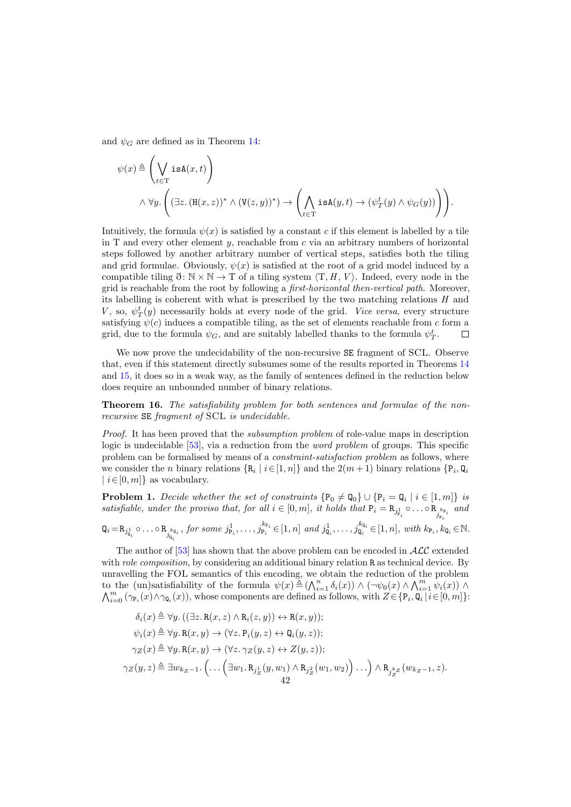and  $\psi_G$  are defined as in Theorem [14:](#page-37-0)

$$
\psi(x) \triangleq \left(\bigvee_{t \in \mathcal{T}} \mathbf{isA}(x,t)\right)
$$
  

$$
\wedge \forall y. \left( (\exists z. (\mathbf{H}(x,z))^* \wedge (\mathbf{V}(z,y))^*) \rightarrow \left(\bigwedge_{t \in \mathcal{T}} \mathbf{isA}(y,t) \rightarrow (\psi_T^t(y) \wedge \psi_G(y))\right) \right).
$$

Intuitively, the formula  $\psi(x)$  is satisfied by a constant c if this element is labelled by a tile in T and every other element  $y$ , reachable from  $c$  via an arbitrary numbers of horizontal steps followed by another arbitrary number of vertical steps, satisfies both the tiling and grid formulae. Obviously,  $\psi(x)$  is satisfied at the root of a grid model induced by a compatible tiling  $\mathfrak{F}: \mathbb{N} \times \mathbb{N} \to \mathbb{T}$  of a tiling system  $\langle \mathbb{T}, H, V \rangle$ . Indeed, every node in the grid is reachable from the root by following a first-horizontal then-vertical path. Moreover, its labelling is coherent with what is prescribed by the two matching relations  $H$  and  $V$ , so,  $\psi_T^t(y)$  necessarily holds at every node of the grid. Vice versa, every structure satisfying  $\psi(c)$  induces a compatible tiling, as the set of elements reachable from c form a grid, due to the formula  $\psi_G$ , and are suitably labelled thanks to the formula  $\psi_T^t$ .  $\Box$ 

We now prove the undecidability of the non-recursive SE fragment of SCL. Observe that, even if this statement directly subsumes some of the results reported in Theorems [14](#page-37-0) and [15,](#page-40-0) it does so in a weak way, as the family of sentences defined in the reduction below does require an unbounded number of binary relations.

<span id="page-41-0"></span>Theorem 16. The satisfiability problem for both sentences and formulae of the nonrecursive SE fragment of SCL is undecidable.

Proof. It has been proved that the subsumption problem of role-value maps in description logic is undecidable [\[53\]](#page-50-18), via a reduction from the word problem of groups. This specific problem can be formalised by means of a constraint-satisfaction problem as follows, where we consider the *n* binary relations  $\{R_i \mid i \in [1, n]\}$  and the  $2(m+1)$  binary relations  $\{P_i, Q_i\}$  $|i \in [0, m]\}$  as vocabulary.

**Problem 1.** Decide whether the set of constraints  $\{P_0 \neq Q_0\} \cup \{P_i = Q_i \mid i \in [1, m]\}$  is satisfiable, under the proviso that, for all  $i \in [0, m]$ , it holds that  $P_i = R_{j_{P_i}^1} \circ \dots \circ R_{j_{P_i}^{k_{P_i}}}$  and

$$
\mathbf{Q}_i = \mathbf{R}_{j_{\mathbf{Q}_i}^1} \circ \dots \circ \mathbf{R}_{j_{\mathbf{Q}_i}^{k_{\mathbf{Q}_i}}}, \text{ for some } j_{\mathbf{P}_i}^1, \dots, j_{\mathbf{P}_i}^{k_{\mathbf{P}_i}} \in [1, n] \text{ and } j_{\mathbf{Q}_i}^1, \dots, j_{\mathbf{Q}_i}^{k_{\mathbf{Q}_i}} \in [1, n], \text{ with } k_{\mathbf{P}_i}, k_{\mathbf{Q}_i} \in \mathbb{N}.
$$

The author of [\[53\]](#page-50-18) has shown that the above problem can be encoded in  $\mathcal{ALC}$  extended with *role composition*, by considering an additional binary relation R as technical device. By unravelling the FOL semantics of this encoding, we obtain the reduction of the problem to the (un)satisfiability of the formula  $\psi(x) \triangleq (\bigwedge_{i=1}^{n} \delta_i(x)) \wedge (\neg \psi_0(x) \wedge \bigwedge_{i=1}^{m} \psi_i(x)) \wedge$  $\bigwedge_{i=0}^m (\gamma_{P_i}(x) \wedge \gamma_{Q_i}(x))$ , whose components are defined as follows, with  $Z \in \{P_i, Q_i | i \in [0, m]\}$ :

$$
\delta_i(x) \triangleq \forall y. ((\exists z. \mathbf{R}(x, z) \land \mathbf{R}_i(z, y)) \leftrightarrow \mathbf{R}(x, y));
$$
  
\n
$$
\psi_i(x) \triangleq \forall y. \mathbf{R}(x, y) \rightarrow (\forall z. \mathbf{P}_i(y, z) \leftrightarrow \mathbf{Q}_i(y, z));
$$
  
\n
$$
\gamma_Z(x) \triangleq \forall y. \mathbf{R}(x, y) \rightarrow (\forall z. \gamma_Z(y, z) \leftrightarrow Z(y, z));
$$
  
\n
$$
\gamma_Z(y, z) \triangleq \exists w_{k_Z - 1}. \left( \dots \left( \exists w_1. \mathbf{R}_{j_Z^1}(y, w_1) \land \mathbf{R}_{j_Z^2}(w_1, w_2) \right) \dots \right) \land \mathbf{R}_{j_Z^{k_Z}}(w_{k_Z - 1}, z).
$$
  
\n42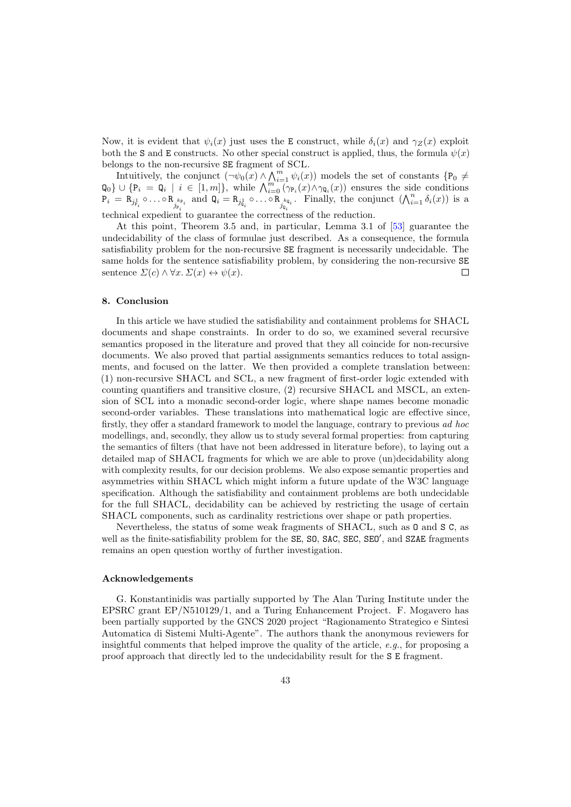Now, it is evident that  $\psi_i(x)$  just uses the E construct, while  $\delta_i(x)$  and  $\gamma_z(x)$  exploit both the S and E constructs. No other special construct is applied, thus, the formula  $\psi(x)$ belongs to the non-recursive SE fragment of SCL.

Intuitively, the conjunct  $(\neg \psi_0(x) \land \bigwedge_{i=1}^m \psi_i(x))$  models the set of constants  $\{P_0 \neq$  $\mathsf{Q}_0$   $\cup$  {P<sub>i</sub> =  $\mathsf{Q}_i$  | i  $\in$  [1, m]}, while  $\bigwedge_{i=0}^{m} (\gamma_{P_i}(x) \wedge \gamma_{Q_i}(x))$  ensures the side conditions  $P_i = R_{j_{\mathcal{P}_i}} \circ \ldots \circ R_{j_{\mathcal{P}_i}} \text{ and } \mathsf{Q}_i = R_{j_{\mathcal{Q}_i}} \circ \ldots \circ R_{j_{\mathcal{Q}_i}} \text{ and } \text{ and } \mathsf{Q}_i = R_{j_{\mathcal{Q}_i}} \circ \ldots \circ R_{j_{\mathcal{Q}_i}} \text{ and } \text{ and } \mathsf{Q}_i = R_{j_{\mathcal{Q}_i}} \circ \ldots \circ R_{j_{\mathcal{Q}_i}} \text{ and } \text{ and } \mathsf{Q}_i = R_{j_{\mathcal{Q}_i}} \circ \ldots \circ R_{j_{\mathcal$ technical expedient to guarantee the correctness of the reduction.

At this point, Theorem 3.5 and, in particular, Lemma 3.1 of [\[53\]](#page-50-18) guarantee the undecidability of the class of formulae just described. As a consequence, the formula satisfiability problem for the non-recursive SE fragment is necessarily undecidable. The same holds for the sentence satisfiability problem, by considering the non-recursive SE sentence  $\Sigma(c) \wedge \forall x \ldotp \Sigma(x) \leftrightarrow \psi(x)$ .  $\Box$ 

# 8. Conclusion

In this article we have studied the satisfiability and containment problems for SHACL documents and shape constraints. In order to do so, we examined several recursive semantics proposed in the literature and proved that they all coincide for non-recursive documents. We also proved that partial assignments semantics reduces to total assignments, and focused on the latter. We then provided a complete translation between: (1) non-recursive SHACL and SCL, a new fragment of first-order logic extended with counting quantifiers and transitive closure, (2) recursive SHACL and MSCL, an extension of SCL into a monadic second-order logic, where shape names become monadic second-order variables. These translations into mathematical logic are effective since, firstly, they offer a standard framework to model the language, contrary to previous ad hoc modellings, and, secondly, they allow us to study several formal properties: from capturing the semantics of filters (that have not been addressed in literature before), to laying out a detailed map of SHACL fragments for which we are able to prove (un)decidability along with complexity results, for our decision problems. We also expose semantic properties and asymmetries within SHACL which might inform a future update of the W3C language specification. Although the satisfiability and containment problems are both undecidable for the full SHACL, decidability can be achieved by restricting the usage of certain SHACL components, such as cardinality restrictions over shape or path properties.

Nevertheless, the status of some weak fragments of SHACL, such as O and S C, as well as the finite-satisfiability problem for the SE, SO, SAC, SEC, SEO', and SZAE fragments remains an open question worthy of further investigation.

#### Acknowledgements

G. Konstantinidis was partially supported by The Alan Turing Institute under the EPSRC grant EP/N510129/1, and a Turing Enhancement Project. F. Mogavero has been partially supported by the GNCS 2020 project "Ragionamento Strategico e Sintesi Automatica di Sistemi Multi-Agente". The authors thank the anonymous reviewers for insightful comments that helped improve the quality of the article, e.g., for proposing a proof approach that directly led to the undecidability result for the S E fragment.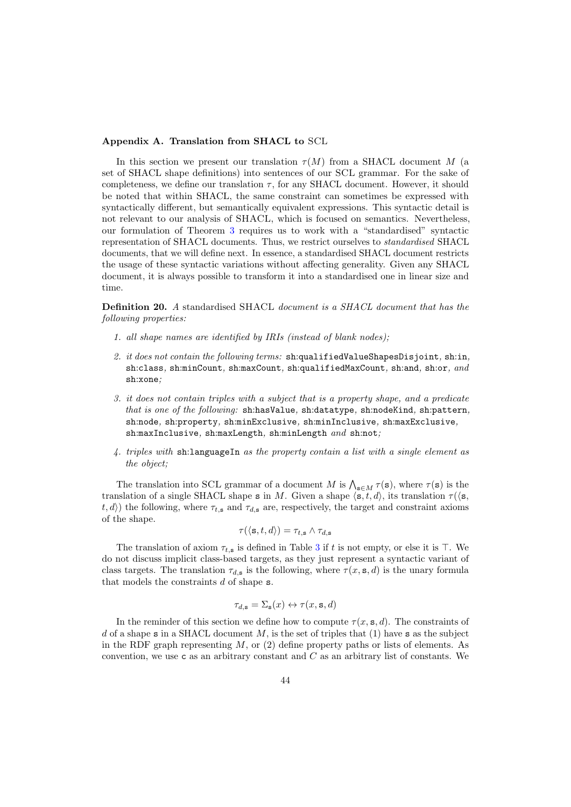### Appendix A. Translation from SHACL to SCL

In this section we present our translation  $\tau(M)$  from a SHACL document M (a set of SHACL shape definitions) into sentences of our SCL grammar. For the sake of completeness, we define our translation  $\tau$ , for any SHACL document. However, it should be noted that within SHACL, the same constraint can sometimes be expressed with syntactically different, but semantically equivalent expressions. This syntactic detail is not relevant to our analysis of SHACL, which is focused on semantics. Nevertheless, our formulation of Theorem [3](#page-17-0) requires us to work with a "standardised" syntactic representation of SHACL documents. Thus, we restrict ourselves to standardised SHACL documents, that we will define next. In essence, a standardised SHACL document restricts the usage of these syntactic variations without affecting generality. Given any SHACL document, it is always possible to transform it into a standardised one in linear size and time.

Definition 20. A standardised SHACL document is a SHACL document that has the following properties:

- 1. all shape names are identified by IRIs (instead of blank nodes);
- 2. it does not contain the following terms: sh:qualifiedValueShapesDisjoint, sh:in, sh:class, sh:minCount, sh:maxCount, sh:qualifiedMaxCount, sh:and, sh:or, and sh:xone;
- 3. it does not contain triples with a subject that is a property shape, and a predicate that is one of the following: sh:hasValue, sh:datatype, sh:nodeKind, sh:pattern, sh:node, sh:property, sh:minExclusive, sh:minInclusive, sh:maxExclusive, sh:maxInclusive, sh:maxLength, sh:minLength and sh:not;
- 4. triples with sh:languageIn as the property contain a list with a single element as the object;

The translation into SCL grammar of a document M is  $\bigwedge_{\mathbf{s}\in M}\tau(\mathbf{s})$ , where  $\tau(\mathbf{s})$  is the translation of a single SHACL shape s in M. Given a shape  $\langle s, t, d \rangle$ , its translation  $\tau(\langle s, \cdot \rangle)$  $(t, d)$  the following, where  $\tau_{t,s}$  and  $\tau_{d,s}$  are, respectively, the target and constraint axioms of the shape.

$$
\tau(\langle \mathbf{s}, t, d \rangle) = \tau_{t, \mathbf{s}} \wedge \tau_{d, \mathbf{s}}
$$

The translation of axiom  $\tau_{t,s}$  is defined in Table [3](#page-14-1) if t is not empty, or else it is  $\top$ . We do not discuss implicit class-based targets, as they just represent a syntactic variant of class targets. The translation  $\tau_{d,s}$  is the following, where  $\tau(x, s, d)$  is the unary formula that models the constraints  $d$  of shape  $s$ .

$$
\tau_{d,\mathbf{s}} = \Sigma_{\mathbf{s}}(x) \leftrightarrow \tau(x,\mathbf{s},d)
$$

In the reminder of this section we define how to compute  $\tau(x, s, d)$ . The constraints of d of a shape s in a SHACL document  $M$ , is the set of triples that (1) have s as the subject in the RDF graph representing  $M$ , or (2) define property paths or lists of elements. As convention, we use c as an arbitrary constant and  $C$  as an arbitrary list of constants. We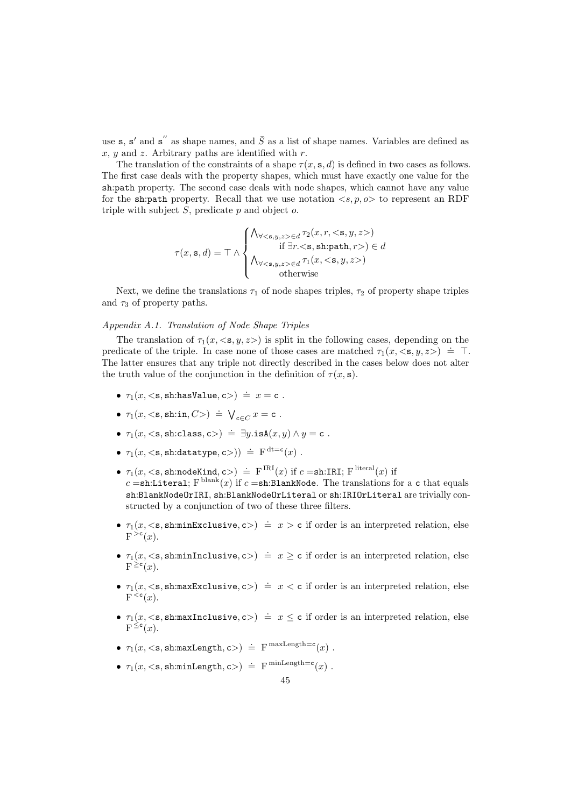use **s**, **s'** and **s**" as shape names, and  $\overline{S}$  as a list of shape names. Variables are defined as x,  $y$  and z. Arbitrary paths are identified with r.

The translation of the constraints of a shape  $\tau(x, s, d)$  is defined in two cases as follows. The first case deals with the property shapes, which must have exactly one value for the sh:path property. The second case deals with node shapes, which cannot have any value for the sh:path property. Recall that we use notation  $\langle s, p, \rho \rangle$  to represent an RDF triple with subject  $S$ , predicate  $p$  and object  $o$ .

$$
\tau(x, \mathbf{s}, d) = \top \wedge \begin{cases}\n\bigwedge_{\forall < \mathbf{s}, y, z > \in d} \tau_2(x, r, < \mathbf{s}, y, z>) \\
\text{if } \exists r. < \mathbf{s}, \text{sh:path}, r > \in d \\
\bigwedge_{\forall < \mathbf{s}, y, z > \in d} \tau_1(x, < \mathbf{s}, y, z > \text{otherwise}\n\end{cases}
$$

Next, we define the translations  $\tau_1$  of node shapes triples,  $\tau_2$  of property shape triples and  $\tau_3$  of property paths.

# Appendix A.1. Translation of Node Shape Triples

The translation of  $\tau_1(x,\langle s,y,z\rangle)$  is split in the following cases, depending on the predicate of the triple. In case none of those cases are matched  $\tau_1(x, \langle s, y, z \rangle) = \top$ . The latter ensures that any triple not directly described in the cases below does not alter the truth value of the conjunction in the definition of  $\tau(x, s)$ .

- $\tau_1(x,<$ s, sh:hasValue, c> $) \doteq x = c$ .
- $\tau_1(x, <\mathbf{s}, \text{sh.in}, C>) \doteq \bigvee_{\mathbf{c} \in C} x = \mathbf{c}$ .
- $\tau_1(x, \leq s, \text{sh:class}, \text{c}) \doteq \exists y \text{.isA}(x, y) \land y = \text{c}.$
- $\tau_1(x, \langle \mathsf{s}, \mathsf{sh}: \mathsf{datatype}, \mathsf{c} \rangle) \doteq \mathrm{F}^{\mathrm{dt}=\mathsf{c}}(x)$ .
- $\tau_1(x, <\mathbf{s}, \text{sh:nodeKind}, \mathbf{c}) \doteq \text{F}^{\text{IRI}}(x) \text{ if } c = \text{sh:IRI}; \text{F}^{\text{literal}}(x) \text{ if }$  $c =$ sh:Literal;  $\text{F}^{\text{blank}}(x)$  if  $c =$ sh:BlankNode. The translations for a c that equals sh:BlankNodeOrIRI, sh:BlankNodeOrLiteral or sh:IRIOrLiteral are trivially constructed by a conjunction of two of these three filters.
- $\tau_1(x,<\mathbf{s},\text{sh:minExclusive},\mathbf{c}) = x > \mathbf{c}$  if order is an interpreted relation, else  $F^{\geq c}(x)$ .
- $\tau_1(x,<\mathbf{s},\text{sh:minInclusive},\mathbf{c}) = x \geq \mathbf{c}$  if order is an interpreted relation, else  $F^{\geq c}(x)$ .
- $\tau_1(x,<\mathbf{s},\text{sh:max}$ Exclusive,  $\mathbf{c}$  =  $x < \mathbf{c}$  if order is an interpreted relation, else  $F^{\leq c}(x)$ .
- $\tau_1(x,<\mathbf{s},\text{sh:maxInclusive},\mathbf{c}) = x \leq \mathbf{c}$  if order is an interpreted relation, else  $F^{\leq c}(x)$ .
- $\tau_1(x, , sh:maxLength,  $c$ ) = F<sup>maxLength=c</sup>(x).$
- $\tau_1(x, <\mathbf{s}, \text{sh:minLength}, c>) = \mathbf{F}^{\minLength=c}(x)$ .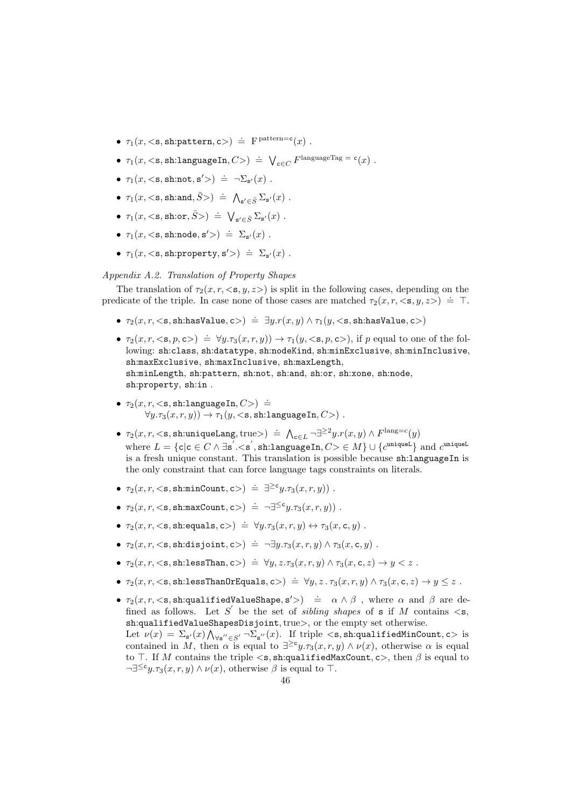- $\tau_1(x, \langle \mathsf{s}, \mathsf{sh}:\mathsf{pattern}, \mathsf{c}\rangle) \doteq \mathrm{F}^{\mathrm{pattern}=c}(x)$ .
- $\tau_1(x, <\mathbf{s}, \text{sh:languageIn}, C>) = \bigvee_{\mathbf{c} \in C} F^{\text{languagesTag}} = \mathbf{c}(x)$ .
- $\tau_1(x, <\mathbf{s}, \text{sh}:\text{not}, \mathbf{s}'>) \doteq \neg \Sigma_{\mathbf{s}'}(x)$ .
- $\tau_1(x,<\mathbf{s}, \text{sh:and}, \bar{S} > ) \doteq \bigwedge_{\mathbf{s}' \in \bar{S}} \Sigma_{\mathbf{s}'}(x)$ .
- $\tau_1(x,<\mathbf{s},\text{sh:or},\bar{S}>) \doteq \bigvee_{\mathbf{s}' \in \bar{S}} \Sigma_{\mathbf{s}'}(x)$ .
- $\tau_1(x, <\mathbf{s}, \text{sh}:\text{node}, \mathbf{s}'>) \doteq \Sigma_{\mathbf{s}'}(x)$ .
- $\tau_1(x, \langle \mathbf{s}, \mathbf{s} \mathbf{h} \rangle \colon \mathbf{p} \in \mathcal{D}_{\mathbf{s}'}(x)$ .

Appendix A.2. Translation of Property Shapes

The translation of  $\tau_2(x, r, \langle s, y, z \rangle)$  is split in the following cases, depending on the predicate of the triple. In case none of those cases are matched  $\tau_2(x, r, \langle s, y, z \rangle) \doteq T$ .

- $\bullet$   $\tau_2(x,r,<$ s, sh:hasValue, c $>$ ) =  $\exists y.r(x,y) \land \tau_1(y,<$ s, sh:hasValue, c $>$ )
- $\tau_2(x, r, \langle s, p, s \rangle) \doteq \forall y . \tau_3(x, r, y) \rightarrow \tau_1(y, \langle s, p, s \rangle)$ , if p equal to one of the following: sh:class, sh:datatype, sh:nodeKind, sh:minExclusive, sh:minInclusive, sh:maxExclusive, sh:maxInclusive, sh:maxLength, sh:minLength, sh:pattern, sh:not, sh:and, sh:or, sh:xone, sh:node, sh:property, sh:in .
- $\tau_2(x, r, <$ s, sh:languageIn, $C$ >) =  $\forall y.\tau_3(x,r,y)$   $\rightarrow \tau_1(y,<\mathbf{s},\texttt{sh:languageIn},C>)$ .
- $\tau_2(x, r, <$ s, sh:uniqueLang, true>) =  $\bigwedge_{c \in L} \neg \exists^{\geq 2} y.r(x, y) \land F^{\text{lang}=c}(y)$ where  $L = \{c | c \in C \land \exists s' . \langle s', \text{sh:languageIn}, C \rangle \in M\} \cup \{c^{\text{uniqueL}}\}$  and  $c^{\text{uniqueL}}$ is a fresh unique constant. This translation is possible because sh:languageIn is the only constraint that can force language tags constraints on literals.
- $\tau_2(x, r, \langle \mathbf{s}, \text{sh:minCount}, \mathbf{c} \rangle) \doteq \exists^{\geq \mathbf{c}} y.\tau_3(x, r, y))$ .
- $\tau_2(x, r, \langle \mathbf{s}, \mathbf{s} \mathbf{h} : \max \mathbf{Count}, \mathbf{c} \rangle) \doteq \neg \exists^{\leq c} y . \tau_3(x, r, y) )$ .
- $\tau_2(x, r, \langle \mathbf{s}, \text{sh:equals}, \mathbf{c} \rangle) \doteq \forall y . \tau_3(x, r, y) \leftrightarrow \tau_3(x, \mathbf{c}, y)$ .
- $\tau_2(x, r, \langle \mathbf{s}, \text{sh:disjoint}, \mathbf{c} \rangle) \doteq \neg \exists y . \tau_3(x, r, y) \land \tau_3(x, \mathbf{c}, y)$ .
- $\tau_2(x,r,<$ s, sh:lessThan, c> $) \doteq \forall y, z.\tau_3(x,r,y) \land \tau_3(x,c,z) \rightarrow y < z$ .
- $\bullet$   $\tau_2(x,r,<$ s, sh:lessThanOrEquals, c $>$ ) =  $\forall y,z$ .  $\tau_3(x,r,y) \land \tau_3(x,{\sf c},z) \to y \leq z$ .
- $\tau_2(x, r, \lt s, \text{sh:qualifiedValueShape}, s'>) \doteq \alpha \wedge \beta$ , where  $\alpha$  and  $\beta$  are defined as follows. Let S' be the set of *sibling shapes* of s if M contains  $\lt s$ , sh:qualifiedValueShapesDisjoint, true>, or the empty set otherwise.

Let  $\nu(x) = \sum_{\mathbf{s}'}(x) \bigwedge_{\forall \mathbf{s}'' \in S'} \neg \sum_{\mathbf{s}''}(x)$ . If triple  $\langle \mathbf{s}, \mathbf{s} \mathbf{h}:$ qualifiedMinCount,  $\mathbf{c} \rangle$  is contained in M, then  $\alpha$  is equal to  $\exists^{\geq c} y.\tau_3(x,r,y) \wedge \nu(x)$ , otherwise  $\alpha$  is equal to  $\top$ . If M contains the triple  $\lt s$ , sh:qualifiedMaxCount, c $>$ , then  $\beta$  is equal to  $\neg \exists^{\leq c} y.\tau_3(x, r, y) \wedge \nu(x)$ , otherwise  $\beta$  is equal to  $\top$ .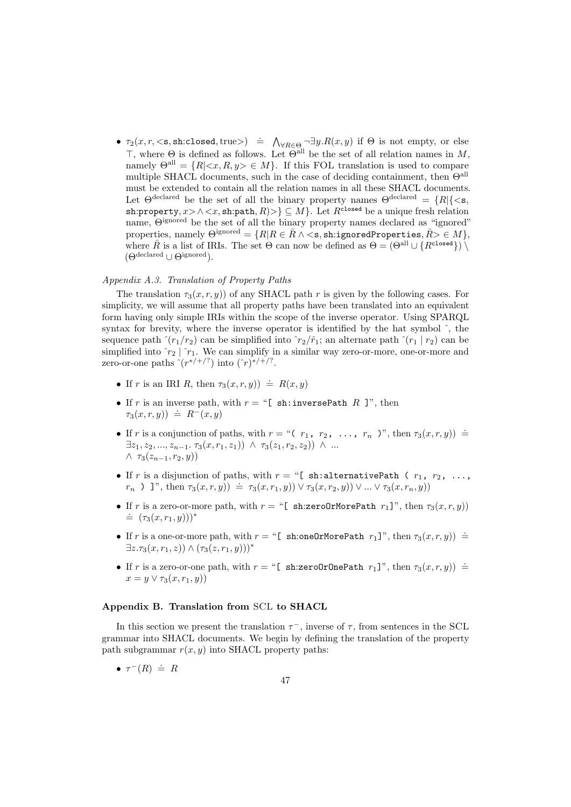•  $\tau_2(x, r, \leq s, \text{sh:closed}, \text{true}) \doteq \bigwedge_{\forall R \in \Theta} \neg \exists y. R(x, y) \text{ if } \Theta \text{ is not empty, or else}$  $\top$ , where  $\Theta$  is defined as follows. Let  $\Theta^{\text{all}}$  be the set of all relation names in M, namely  $\Theta^{\text{all}} = \{R | \langle x, R, y \rangle \in M\}$ . If this FOL translation is used to compare multiple SHACL documents, such in the case of deciding containment, then  $\Theta^{\text{all}}$ must be extended to contain all the relation names in all these SHACL documents. Let  $\Theta^{\text{declared}}$  be the set of all the binary property names  $\Theta^{\text{declared}} = \{R | \{\leq s,$ sh:property,  $x > \land \langle x, \text{sh:path}, R \rangle > \lbrace \subseteq M \rbrace$ . Let  $R^{\text{closed}}$  be a unique fresh relation name, Θignored be the set of all the binary property names declared as "ignored" properties, namely  $\Theta^{\text{ignored}} = \{R | R \in \bar{R} \land \leq s, \text{sh:ignoredProperties}, \bar{R} \geq \in M\},\$ where  $\bar{R}$  is a list of IRIs. The set  $\Theta$  can now be defined as  $\Theta = (\Theta^{\text{all}} \cup \{R^{\text{closed}}\}) \setminus$ (Θdeclared ∪ Θignored).

# Appendix A.3. Translation of Property Paths

The translation  $\tau_3(x, r, y)$  of any SHACL path r is given by the following cases. For simplicity, we will assume that all property paths have been translated into an equivalent form having only simple IRIs within the scope of the inverse operator. Using SPARQL syntax for brevity, where the inverse operator is identified by the hat symbol  $\hat{\ }$ , the sequence path  $\hat{r}(r_1/r_2)$  can be simplified into  $\hat{r}_2/\hat{r}_1$ ; an alternate path  $\hat{r}(r_1 | r_2)$  can be simplified into  $r_2 \mid r_1$ . We can simplify in a similar way zero-or-more, one-or-more and zero-or-one paths  $\hat{r}$ <sup>\*</sup>/<sup>+/?</sup>) into  $(\hat{r})$ <sup>\*/+/?</sup>.

- If r is an IRI R, then  $\tau_3(x, r, y)$   $\doteq R(x, y)$
- If r is an inverse path, with  $r = "$ [ sh:inversePath R ]", then  $\tau_3(x, r, y)$   $\doteq R^-(x, y)$
- If r is a conjunction of paths, with  $r = "r_1, r_2, \ldots, r_n$  ", then  $\tau_3(x, r, y)$   $\doteq$  $\exists z_1, z_2, ..., z_{n-1}$ .  $\tau_3(x, r_1, z_1)$ )  $\wedge \tau_3(z_1, r_2, z_2)$ )  $\wedge ...$  $\wedge \tau_3(z_{n-1}, r_2, y)$
- If r is a disjunction of paths, with  $r =$  "[ sh:alternativePath (  $r_1, r_2, \ldots$ ,  $r_n$ ) ]", then  $\tau_3(x, r, y) = \tau_3(x, r_1, y) \vee \tau_3(x, r_2, y) \vee ... \vee \tau_3(x, r_n, y)$
- If r is a zero-or-more path, with  $r =$  "[ sh:zeroOrMorePath  $r_1$ ]", then  $\tau_3(x, r, y)$ )  $\dot{=} (\tau_3(x, r_1, y))$ \*
- If r is a one-or-more path, with  $r = "$ [ sh:oneOrMorePath  $r_1$ ]", then  $\tau_3(x, r, y)$   $\doteq$  $\exists z.\tau_3(x,r_1,z)) \wedge (\tau_3(z,r_1,y)))^*$
- If r is a zero-or-one path, with  $r = "$ [ sh:zeroOrOnePath  $r_1$ ]", then  $\tau_3(x, r, y)$   $\doteq$  $x = y \vee \tau_3(x, r_1, y))$

## Appendix B. Translation from SCL to SHACL

In this section we present the translation  $\tau^-$ , inverse of  $\tau$ , from sentences in the SCL grammar into SHACL documents. We begin by defining the translation of the property path subgrammar  $r(x, y)$  into SHACL property paths:

•  $\tau^{-}(R) \doteq R$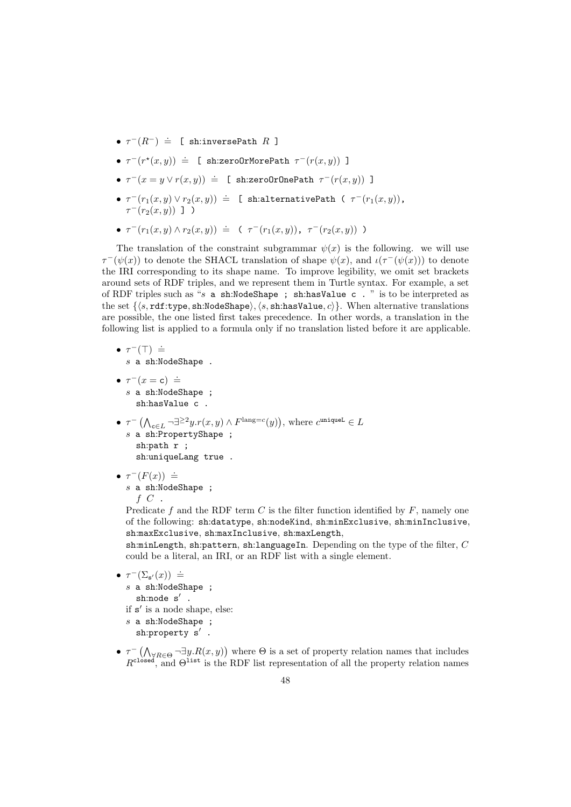- $\tau^{-}(R^{-})$  = [ sh:inversePath R ]
- $\tau^{-}(r^{*}(x, y)) \doteq \mathbb{E} \text{ sh:zeroOrMorePath } \tau^{-}(r(x, y))$  ]
- $\tau^-(x = y \lor r(x, y)) \doteq \bot$  sh:zeroOrOnePath  $\tau^-(r(x, y))$  ]
- $\tau^{-}(r_1(x,y) \vee r_2(x,y))$  = [ sh:alternativePath (  $\tau^{-}(r_1(x,y))$ ,  $\tau^-(r_2(x,y))$  ] )
- $\tau^{-}(r_1(x,y) \wedge r_2(x,y)) \doteq (\tau^{-}(r_1(x,y)), \ \tau^{-}(r_2(x,y)))$

The translation of the constraint subgrammar  $\psi(x)$  is the following. we will use  $\tau^-(\psi(x))$  to denote the SHACL translation of shape  $\psi(x)$ , and  $\iota(\tau^-(\psi(x)))$  to denote the IRI corresponding to its shape name. To improve legibility, we omit set brackets around sets of RDF triples, and we represent them in Turtle syntax. For example, a set of RDF triples such as "s a sh:NodeShape ; sh:hasValue c . " is to be interpreted as the set  $\{\langle s, \text{rdf:type}, \text{sh:NodeShape}\rangle, \langle s, \text{sh:hasValue}, c \rangle\}$ . When alternative translations are possible, the one listed first takes precedence. In other words, a translation in the following list is applied to a formula only if no translation listed before it are applicable.

- $\tau^-(\top) \doteq$ s a sh:NodeShape .
- $\tau^-(x = \mathsf{c}) \doteq$ s a sh:NodeShape ; sh:hasValue c .
- $\tau^{-}$   $(\bigwedge_{c \in L} \neg \exists^{\geq 2} y.r(x, y) \land F^{\text{lang}=c}(y)),$  where  $c^{\text{uniqueL}} \in L$  $s$  a sh:PropertyShape ; sh:path r ; sh:uniqueLang true .
- $\tau^{-}(F(x)) \doteq$ s a sh:NodeShape ;  $f\,C$  .

Predicate f and the RDF term  $C$  is the filter function identified by  $F$ , namely one of the following: sh:datatype, sh:nodeKind, sh:minExclusive, sh:minInclusive, sh:maxExclusive, sh:maxInclusive, sh:maxLength,

sh:minLength, sh:pattern, sh:languageIn. Depending on the type of the filter,  $C$ could be a literal, an IRI, or an RDF list with a single element.

$$
\tau^{-}(\Sigma_{s'}(x)) \doteq
$$
  
s a sh:NodeShape ;  
sh:node s'.  
if s' is a node shape, else:

• τ

- s a sh:NodeShape ; sh:property  $s'$ .
- $\tau^{-}(\bigwedge_{\forall R \in \Theta} \neg \exists y. R(x, y))$  where  $\Theta$  is a set of property relation names that includes  $R^{\text{closed}}$ , and  $\Theta^{\text{list}}$  is the RDF list representation of all the property relation names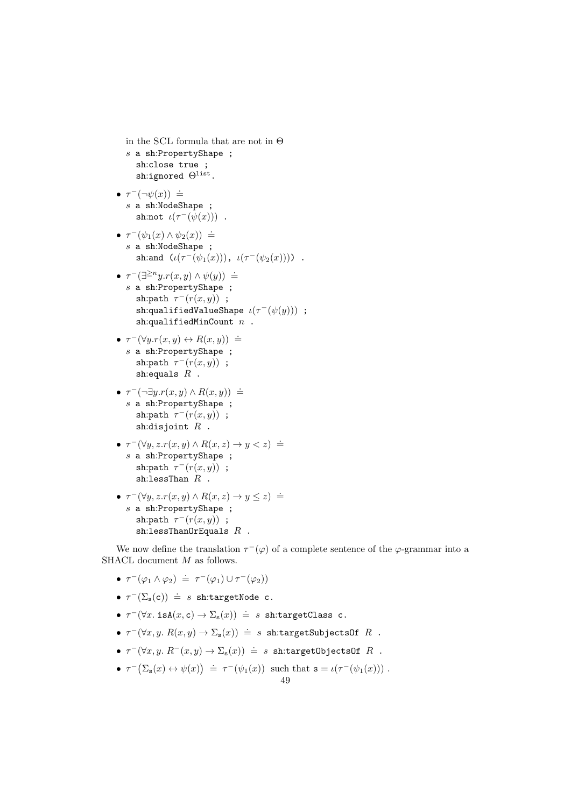```
in the SCL formula that are not in \Thetas a sh:PropertyShape ;
  sh:close true ;
  sh:ignored Θlist.
```

```
• \tau^-(\neg\psi(x)) =
  s a sh:NodeShape ;
     sh:not \iota(\tau^-(\psi(x))).
```

```
• \tau^-(\psi_1(x) \wedge \psi_2(x)) \doteqs a sh:NodeShape ;
      sh:and (\iota(\tau^-(\psi_1(x))), \iota(\tau^-(\psi_2(x)))).
```
- $\tau^-(\exists^{\geq n}y.r(x,y) \wedge \psi(y))$  =  $s$  a sh:PropertyShape; sh:path  $\tau^-(r(x,y))$ ; sh:qualifiedValueShape  $\iota(\tau^{-}(\psi(y)))$  ; sh:qualifiedMinCount  $n$ .
- $\tau^-(\forall y.r(x,y) \leftrightarrow R(x,y))$  = s a sh:PropertyShape ; sh:path  $\tau^-(r(x,y))$ ; sh:equals  $R$ .
- $\tau^{-}(\neg \exists y.r(x,y) \land R(x,y))$  = s a sh:PropertyShape ; sh:path  $\tau^-(r(x,y))$ ; sh:disjoint  $R$ .
- $\tau^-(\forall y, z. r(x, y) \land R(x, z) \rightarrow y < z) \doteq$ s a sh:PropertyShape ; sh:path  $\tau^-(r(x,y))$ ;  $sh:$ lessThan  $R$ .
- $\tau^-(\forall y, z. r(x, y) \land R(x, z) \rightarrow y \leq z) \doteq$ s a sh:PropertyShape ; sh:path  $\tau^{-}(r(x,y))$ ; sh:lessThanOrEquals  $R$ .

We now define the translation  $\tau^-(\varphi)$  of a complete sentence of the  $\varphi$ -grammar into a SHACL document  $M$  as follows.

- $\tau^-(\varphi_1 \wedge \varphi_2) \doteq \tau^-(\varphi_1) \cup \tau^-(\varphi_2)$
- $\tau^-(\Sigma_{\rm s}(c)) \doteq s$  sh:targetNode c.
- $\tau^-(\forall x \cdot \text{isA}(x, \text{c}) \rightarrow \Sigma_s(x)) = s$  sh:targetClass c.
- $\tau^-(\forall x, y. R(x, y) \rightarrow \Sigma_{\mathbf{s}}(x)) = s$  sh:targetSubjectsOf  $R$ .
- $\tau^-(\forall x, y, R^-(x, y) \to \Sigma_{\mathbf{s}}(x)) \doteq s$  sh:targetObjectsOf  $R$ .
- $\tau^-(\Sigma_{\mathbf{s}}(x) \leftrightarrow \psi(x)) \doteq \tau^-(\psi_1(x))$  such that  $\mathbf{s} = \iota(\tau^-(\psi_1(x)))$ .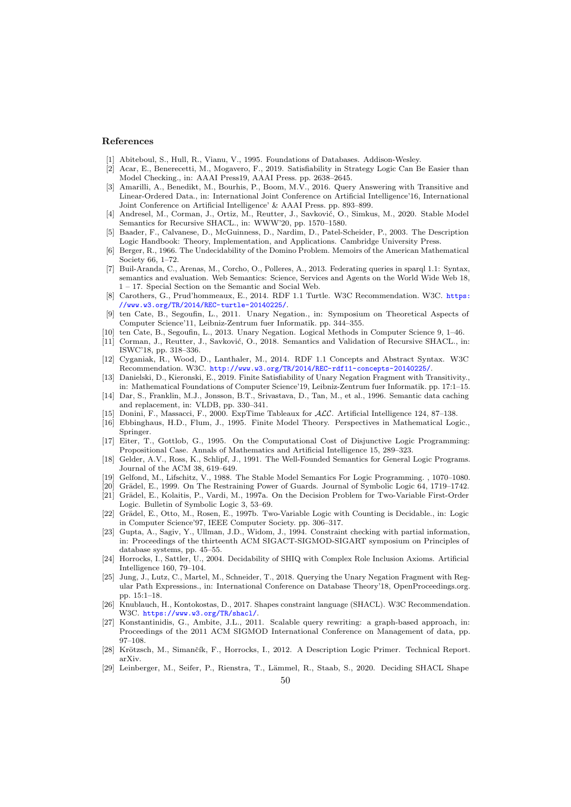#### References

- <span id="page-49-2"></span>[1] Abiteboul, S., Hull, R., Vianu, V., 1995. Foundations of Databases. Addison-Wesley.
- <span id="page-49-14"></span>[2] Acar, E., Benerecetti, M., Mogavero, F., 2019. Satisfiability in Strategy Logic Can Be Easier than Model Checking., in: AAAI Press19, AAAI Press. pp. 2638–2645.
- <span id="page-49-25"></span>[3] Amarilli, A., Benedikt, M., Bourhis, P., Boom, M.V., 2016. Query Answering with Transitive and Linear-Ordered Data., in: International Joint Conference on Artificial Intelligence'16, International Joint Conference on Artificial Intelligence' & AAAI Press. pp. 893–899.
- <span id="page-49-8"></span>[4] Andresel, M., Corman, J., Ortiz, M., Reutter, J., Savković, O., Simkus, M., 2020. Stable Model Semantics for Recursive SHACL., in: WWW'20, pp. 1570–1580.
- <span id="page-49-16"></span>[5] Baader, F., Calvanese, D., McGuinness, D., Nardim, D., Patel-Scheider, P., 2003. The Description Logic Handbook: Theory, Implementation, and Applications. Cambridge University Press.
- <span id="page-49-27"></span>[6] Berger, R., 1966. The Undecidability of the Domino Problem. Memoirs of the American Mathematical Society 66, 1–72.
- <span id="page-49-15"></span>[7] Buil-Aranda, C., Arenas, M., Corcho, O., Polleres, A., 2013. Federating queries in sparql 1.1: Syntax, semantics and evaluation. Web Semantics: Science, Services and Agents on the World Wide Web 18, 1 – 17. Special Section on the Semantic and Social Web.
- <span id="page-49-9"></span>[8] Carothers, G., Prud'hommeaux, E., 2014. RDF 1.1 Turtle. W3C Recommendation. W3C. [https:](https://www.w3.org/TR/2014/REC-turtle-20140225/) [//www.w3.org/TR/2014/REC-turtle-20140225/](https://www.w3.org/TR/2014/REC-turtle-20140225/).
- <span id="page-49-22"></span>[9] ten Cate, B., Segoufin, L., 2011. Unary Negation., in: Symposium on Theoretical Aspects of Computer Science'11, Leibniz-Zentrum fuer Informatik. pp. 344–355.
- <span id="page-49-24"></span>[10] ten Cate, B., Segoufin, L., 2013. Unary Negation. Logical Methods in Computer Science 9, 1–46.
- <span id="page-49-7"></span>[11] Corman, J., Reutter, J., Savković, O., 2018. Semantics and Validation of Recursive SHACL., in: ISWC'18, pp. 318–336.
- <span id="page-49-1"></span>[12] Cyganiak, R., Wood, D., Lanthaler, M., 2014. RDF 1.1 Concepts and Abstract Syntax. W3C Recommendation. W3C. <http://www.w3.org/TR/2014/REC-rdf11-concepts-20140225/>.
- <span id="page-49-26"></span>[13] Danielski, D., Kieronski, E., 2019. Finite Satisfiability of Unary Negation Fragment with Transitivity., in: Mathematical Foundations of Computer Science'19, Leibniz-Zentrum fuer Informatik. pp. 17:1–15.
- <span id="page-49-5"></span>[14] Dar, S., Franklin, M.J., Jonsson, B.T., Srivastava, D., Tan, M., et al., 1996. Semantic data caching and replacement, in: VLDB, pp. 330–341.
- <span id="page-49-18"></span>[15] Donini, F., Massacci, F., 2000. ExpTime Tableaux for ALC. Artificial Intelligence 124, 87–138.
- <span id="page-49-13"></span>[16] Ebbinghaus, H.D., Flum, J., 1995. Finite Model Theory. Perspectives in Mathematical Logic., Springer.
- <span id="page-49-10"></span>[17] Eiter, T., Gottlob, G., 1995. On the Computational Cost of Disjunctive Logic Programming: Propositional Case. Annals of Mathematics and Artificial Intelligence 15, 289–323.
- <span id="page-49-12"></span>[18] Gelder, A.V., Ross, K., Schlipf, J., 1991. The Well-Founded Semantics for General Logic Programs. Journal of the ACM 38, 619–649.
- <span id="page-49-11"></span>[19] Gelfond, M., Lifschitz, V., 1988. The Stable Model Semantics For Logic Programming. , 1070–1080.
- <span id="page-49-28"></span>[20] Grädel, E., 1999. On The Restraining Power of Guards. Journal of Symbolic Logic  $64$ , 1719–1742.
- <span id="page-49-20"></span>[21] Grädel, E., Kolaitis, P., Vardi, M., 1997a. On the Decision Problem for Two-Variable First-Order Logic. Bulletin of Symbolic Logic 3, 53–69.
- <span id="page-49-21"></span>[22] Grädel, E., Otto, M., Rosen, E., 1997b. Two-Variable Logic with Counting is Decidable., in: Logic in Computer Science'97, IEEE Computer Society. pp. 306–317.
- <span id="page-49-4"></span>[23] Gupta, A., Sagiv, Y., Ullman, J.D., Widom, J., 1994. Constraint checking with partial information, in: Proceedings of the thirteenth ACM SIGACT-SIGMOD-SIGART symposium on Principles of database systems, pp. 45–55.
- <span id="page-49-17"></span>[24] Horrocks, I., Sattler, U., 2004. Decidability of SHIQ with Complex Role Inclusion Axioms. Artificial Intelligence 160, 79–104.
- <span id="page-49-23"></span>[25] Jung, J., Lutz, C., Martel, M., Schneider, T., 2018. Querying the Unary Negation Fragment with Regular Path Expressions., in: International Conference on Database Theory'18, OpenProceedings.org. pp. 15:1–18.
- <span id="page-49-0"></span>[26] Knublauch, H., Kontokostas, D., 2017. Shapes constraint language (SHACL). W3C Recommendation. W3C. <https://www.w3.org/TR/shacl/>.
- <span id="page-49-3"></span>[27] Konstantinidis, G., Ambite, J.L., 2011. Scalable query rewriting: a graph-based approach, in: Proceedings of the 2011 ACM SIGMOD International Conference on Management of data, pp. 97–108.
- <span id="page-49-19"></span>[28] Krötzsch, M., Simančík, F., Horrocks, I., 2012. A Description Logic Primer. Technical Report. arXiv.
- <span id="page-49-6"></span>[29] Leinberger, M., Seifer, P., Rienstra, T., Lämmel, R., Staab, S., 2020. Deciding SHACL Shape